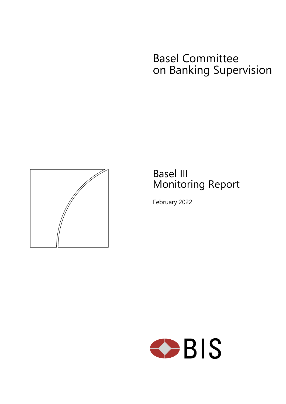# Basel Committee on Banking Supervision



# Basel III Monitoring Report

February 2022

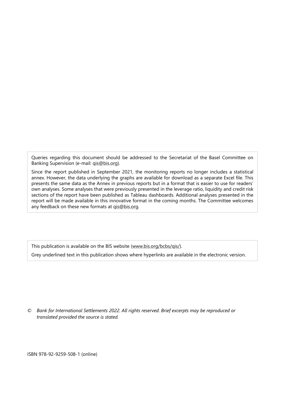Queries regarding this document should be addressed to the Secretariat of the Basel Committee on Banking Supervision (e-mail: [qis@bis.org\)](mailto:qis@bis.org).

Since the report published in September 2021, the monitoring reports no longer includes a statistical annex. However, the data underlying the graphs are available for download as a separate Excel file. This presents the same data as the Annex in previous reports but in a format that is easier to use for readers' own analyses. Some analyses that were previously presented in the leverage ratio, liquidity and credit risk sections of the report have been published as Tableau dashboards. Additional analyses presented in the report will be made available in this innovative format in the coming months. The Committee welcomes any feedback on these new formats at [qis@bis.org.](mailto:qis@bis.org)

This publication is available on the BIS website [\(www.bis.org/bcbs/qis/\)](http://www.bis.org/bcbs/qis/).

Grey underlined text in this publication shows where hyperlinks are available in the electronic version.

*© Bank for International Settlements 2022. All rights reserved. Brief excerpts may be reproduced or translated provided the source is stated.* 

ISBN 978-92-9259-508-1 (online)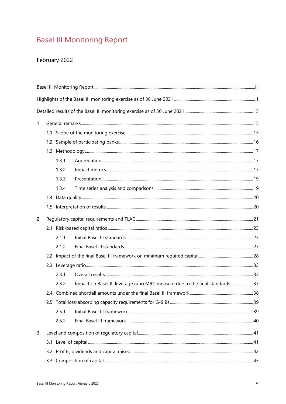# <span id="page-2-0"></span>**Basel III Monitoring Report**

## February 2022

| 1. |  |       |                                                                              |  |  |  |  |  |
|----|--|-------|------------------------------------------------------------------------------|--|--|--|--|--|
|    |  |       |                                                                              |  |  |  |  |  |
|    |  |       |                                                                              |  |  |  |  |  |
|    |  |       |                                                                              |  |  |  |  |  |
|    |  | 1.3.1 |                                                                              |  |  |  |  |  |
|    |  | 1.3.2 |                                                                              |  |  |  |  |  |
|    |  | 1.3.3 |                                                                              |  |  |  |  |  |
|    |  | 1.3.4 |                                                                              |  |  |  |  |  |
|    |  |       |                                                                              |  |  |  |  |  |
|    |  |       |                                                                              |  |  |  |  |  |
| 2. |  |       |                                                                              |  |  |  |  |  |
|    |  |       |                                                                              |  |  |  |  |  |
|    |  | 2.1.1 |                                                                              |  |  |  |  |  |
|    |  | 2.1.2 |                                                                              |  |  |  |  |  |
|    |  |       |                                                                              |  |  |  |  |  |
|    |  |       |                                                                              |  |  |  |  |  |
|    |  | 2.3.1 |                                                                              |  |  |  |  |  |
|    |  | 2.3.2 | Impact on Basel III leverage ratio MRC measure due to the final standards 37 |  |  |  |  |  |
|    |  |       |                                                                              |  |  |  |  |  |
|    |  |       |                                                                              |  |  |  |  |  |
|    |  | 2.5.1 |                                                                              |  |  |  |  |  |
|    |  | 2.5.2 |                                                                              |  |  |  |  |  |
| 3. |  |       |                                                                              |  |  |  |  |  |
|    |  |       |                                                                              |  |  |  |  |  |
|    |  |       |                                                                              |  |  |  |  |  |
|    |  |       |                                                                              |  |  |  |  |  |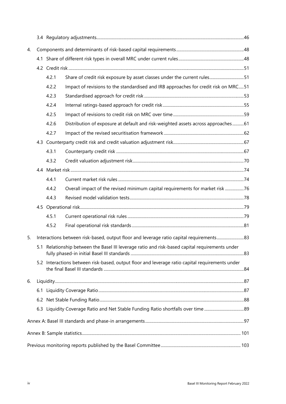| 4. |                                                                                                 |       |                                                                                                 |  |  |  |  |
|----|-------------------------------------------------------------------------------------------------|-------|-------------------------------------------------------------------------------------------------|--|--|--|--|
|    |                                                                                                 |       |                                                                                                 |  |  |  |  |
|    |                                                                                                 |       |                                                                                                 |  |  |  |  |
|    |                                                                                                 | 4.2.1 | Share of credit risk exposure by asset classes under the current rules51                        |  |  |  |  |
|    |                                                                                                 | 4.2.2 | Impact of revisions to the standardised and IRB approaches for credit risk on MRC51             |  |  |  |  |
|    |                                                                                                 | 4.2.3 |                                                                                                 |  |  |  |  |
|    |                                                                                                 | 4.2.4 |                                                                                                 |  |  |  |  |
|    |                                                                                                 | 4.2.5 |                                                                                                 |  |  |  |  |
|    |                                                                                                 | 4.2.6 | Distribution of exposure at default and risk-weighted assets across approaches61                |  |  |  |  |
|    |                                                                                                 | 4.2.7 |                                                                                                 |  |  |  |  |
|    |                                                                                                 |       |                                                                                                 |  |  |  |  |
|    |                                                                                                 | 4.3.1 |                                                                                                 |  |  |  |  |
|    |                                                                                                 | 4.3.2 |                                                                                                 |  |  |  |  |
|    |                                                                                                 |       |                                                                                                 |  |  |  |  |
|    |                                                                                                 | 4.4.1 |                                                                                                 |  |  |  |  |
|    |                                                                                                 | 4.4.2 | Overall impact of the revised minimum capital requirements for market risk 76                   |  |  |  |  |
|    |                                                                                                 | 4.4.3 |                                                                                                 |  |  |  |  |
|    |                                                                                                 |       |                                                                                                 |  |  |  |  |
|    |                                                                                                 | 4.5.1 |                                                                                                 |  |  |  |  |
|    |                                                                                                 | 4.5.2 |                                                                                                 |  |  |  |  |
| 5. |                                                                                                 |       | Interactions between risk-based, output floor and leverage ratio capital requirements83         |  |  |  |  |
|    | 5.1 Relationship between the Basel III leverage ratio and risk-based capital requirements under |       |                                                                                                 |  |  |  |  |
|    |                                                                                                 |       | 5.2 Interactions between risk-based, output floor and leverage ratio capital requirements under |  |  |  |  |
| 6. |                                                                                                 |       |                                                                                                 |  |  |  |  |
|    |                                                                                                 |       |                                                                                                 |  |  |  |  |
|    |                                                                                                 |       |                                                                                                 |  |  |  |  |
|    |                                                                                                 |       |                                                                                                 |  |  |  |  |
|    |                                                                                                 |       |                                                                                                 |  |  |  |  |
|    |                                                                                                 |       |                                                                                                 |  |  |  |  |
|    |                                                                                                 |       |                                                                                                 |  |  |  |  |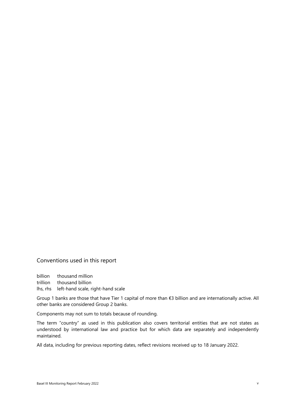### Conventions used in this report

billion thousand million trillion thousand billion lhs, rhs left-hand scale, right-hand scale

Group 1 banks are those that have Tier 1 capital of more than €3 billion and are internationally active. All other banks are considered Group 2 banks.

Components may not sum to totals because of rounding.

The term "country" as used in this publication also covers territorial entities that are not states as understood by international law and practice but for which data are separately and independently maintained.

All data, including for previous reporting dates, reflect revisions received up to 18 January 2022.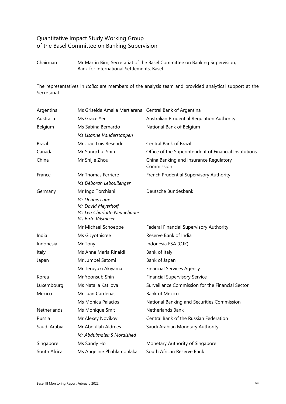## Quantitative Impact Study Working Group of the Basel Committee on Banking Supervision

Chairman Mr Martin Birn, Secretariat of the Basel Committee on Banking Supervision, Bank for International Settlements, Basel

The representatives in *italics* are members of the analysis team and provided analytical support at the Secretariat.

| Argentina    | Ms Griselda Amalia Martiarena Central Bank of Argentina                                   |                                                        |  |  |  |
|--------------|-------------------------------------------------------------------------------------------|--------------------------------------------------------|--|--|--|
| Australia    | Ms Grace Yen                                                                              | Australian Prudential Regulation Authority             |  |  |  |
| Belgium      | Ms Sabina Bernardo                                                                        | National Bank of Belgium                               |  |  |  |
|              | Ms Lisanne Vanderstappen                                                                  |                                                        |  |  |  |
| Brazil       | Mr João Luís Resende                                                                      | <b>Central Bank of Brazil</b>                          |  |  |  |
| Canada       | Mr Sungchul Shin                                                                          | Office of the Superintendent of Financial Institutions |  |  |  |
| China        | Mr Shijie Zhou                                                                            | China Banking and Insurance Regulatory<br>Commission   |  |  |  |
| France       | Mr Thomas Ferriere                                                                        | French Prudential Supervisory Authority                |  |  |  |
|              | Ms Déborah Leboullenger                                                                   |                                                        |  |  |  |
| Germany      | Mr Ingo Torchiani                                                                         | Deutsche Bundesbank                                    |  |  |  |
|              | Mr Dennis Laux<br>Mr David Meyerhoff<br>Ms Lea Charlotte Neugebauer<br>Ms Birte Vilsmeier |                                                        |  |  |  |
|              | Mr Michael Schoeppe                                                                       | Federal Financial Supervisory Authority                |  |  |  |
| India        | Ms G Jyothisree                                                                           | Reserve Bank of India                                  |  |  |  |
| Indonesia    | Mr Tony                                                                                   | Indonesia FSA (OJK)                                    |  |  |  |
| Italy        | Ms Anna Maria Rinaldi                                                                     | Bank of Italy                                          |  |  |  |
| Japan        | Mr Jumpei Satomi                                                                          | Bank of Japan                                          |  |  |  |
|              | Mr Teruyuki Akiyama                                                                       | <b>Financial Services Agency</b>                       |  |  |  |
| Korea        | Mr Yoonsub Shin                                                                           | <b>Financial Supervisory Service</b>                   |  |  |  |
| Luxembourg   | Ms Natalia Katilova                                                                       | Surveillance Commission for the Financial Sector       |  |  |  |
| Mexico       | Mr Juan Cardenas                                                                          | <b>Bank of Mexico</b>                                  |  |  |  |
|              | Ms Monica Palacios                                                                        | National Banking and Securities Commission             |  |  |  |
| Netherlands  | Ms Monique Smit                                                                           | Netherlands Bank                                       |  |  |  |
| Russia       | Mr Alexey Novikov                                                                         | Central Bank of the Russian Federation                 |  |  |  |
| Saudi Arabia | Mr Abdullah Aldrees                                                                       | Saudi Arabian Monetary Authority                       |  |  |  |
|              | Mr Abdulmalek S Moraished                                                                 |                                                        |  |  |  |
| Singapore    | Ms Sandy Ho                                                                               | Monetary Authority of Singapore                        |  |  |  |
| South Africa | Ms Angeline Phahlamohlaka                                                                 | South African Reserve Bank                             |  |  |  |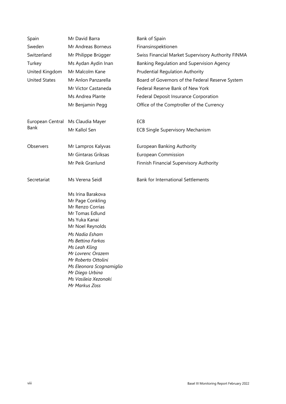| Spain                | Mr David Barra                                                                                                                                                                                                                                                                                                 | Bank of Spain                                      |  |  |  |  |
|----------------------|----------------------------------------------------------------------------------------------------------------------------------------------------------------------------------------------------------------------------------------------------------------------------------------------------------------|----------------------------------------------------|--|--|--|--|
| Sweden               | Mr Andreas Borneus                                                                                                                                                                                                                                                                                             | Finansinspektionen                                 |  |  |  |  |
| Switzerland          | Mr Philippe Brügger                                                                                                                                                                                                                                                                                            | Swiss Financial Market Supervisory Authority FINMA |  |  |  |  |
| Turkey               | Ms Aydan Aydin Inan                                                                                                                                                                                                                                                                                            | Banking Regulation and Supervision Agency          |  |  |  |  |
| United Kingdom       | Mr Malcolm Kane                                                                                                                                                                                                                                                                                                | <b>Prudential Regulation Authority</b>             |  |  |  |  |
| <b>United States</b> | Mr Anlon Panzarella                                                                                                                                                                                                                                                                                            | Board of Governors of the Federal Reserve System   |  |  |  |  |
|                      | Mr Victor Castaneda                                                                                                                                                                                                                                                                                            | Federal Reserve Bank of New York                   |  |  |  |  |
|                      | Ms Andrea Plante                                                                                                                                                                                                                                                                                               | Federal Deposit Insurance Corporation              |  |  |  |  |
|                      | Mr Benjamin Pegg                                                                                                                                                                                                                                                                                               | Office of the Comptroller of the Currency          |  |  |  |  |
| European Central     | Ms Claudia Mayer                                                                                                                                                                                                                                                                                               | ECB                                                |  |  |  |  |
| Bank                 | Mr Kallol Sen                                                                                                                                                                                                                                                                                                  | <b>ECB Single Supervisory Mechanism</b>            |  |  |  |  |
| Observers            | Mr Lampros Kalyvas                                                                                                                                                                                                                                                                                             | European Banking Authority                         |  |  |  |  |
|                      | Mr Gintaras Griksas                                                                                                                                                                                                                                                                                            | <b>European Commission</b>                         |  |  |  |  |
|                      | Mr Peik Granlund                                                                                                                                                                                                                                                                                               | Finnish Financial Supervisory Authority            |  |  |  |  |
| Secretariat          | Ms Verena Seidl                                                                                                                                                                                                                                                                                                | <b>Bank for International Settlements</b>          |  |  |  |  |
|                      | Ms Irina Barakova<br>Mr Page Conkling<br>Mr Renzo Corrias<br>Mr Tomas Edlund<br>Ms Yuka Kanai<br>Mr Noel Reynolds<br>Ms Nadia Esham<br>Ms Bettina Farkas<br>Ms Leah Kling<br>Mr Lovrenc Orazem<br>Mr Roberto Ottolini<br>Ms Eleonora Scognamiglio<br>Mr Diego Urbina<br>Ms Vasileia Xezonaki<br>Mr Markus Zoss |                                                    |  |  |  |  |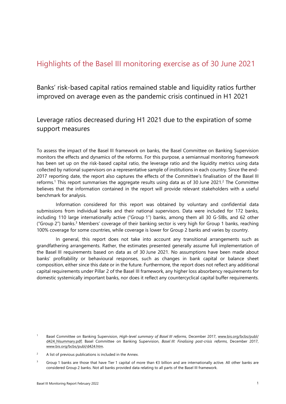# <span id="page-8-0"></span>Highlights of the Basel III monitoring exercise as of 30 June 2021

Banks' risk-based capital ratios remained stable and liquidity ratios further improved on average even as the pandemic crisis continued in H1 2021

## Leverage ratios decreased during H1 2021 due to the expiration of some support measures

To assess the impact of the Basel III framework on banks, the Basel Committee on Banking Supervision monitors the effects and dynamics of the reforms. For this purpose, a semiannual monitoring framework has been set up on the risk-based capital ratio, the leverage ratio and the liquidity metrics using data collected by national supervisors on a representative sample of institutions in each country. Since the end-2017 reporting date, the report also captures the effects of the Committee's finalisation of the Basel III reforms.<sup>1</sup> This report summarises the aggregate results using data as of 30 June 2021.<sup>2</sup> The Committee believes that the information contained in the report will provide relevant stakeholders with a useful benchmark for analysis.

Information considered for this report was obtained by voluntary and confidential data submissions from individual banks and their national supervisors. Data were included for 172 banks, including 110 large internationally active ("Group 1") banks, among them all 30 G-SIBs, and 62 other ("Group 2") banks.<sup>[3](#page-8-3)</sup> Members' coverage of their banking sector is very high for Group 1 banks, reaching 100% coverage for some countries, while coverage is lower for Group 2 banks and varies by country.

In general, this report does not take into account any transitional arrangements such as grandfathering arrangements. Rather, the estimates presented generally assume full implementation of the Basel III requirements based on data as of 30 June 2021. No assumptions have been made about banks' profitability or behavioural responses, such as changes in bank capital or balance sheet composition, either since this date or in the future. Furthermore, the report does not reflect any additional capital requirements under Pillar 2 of the Basel III framework, any higher loss absorbency requirements for domestic systemically important banks, nor does it reflect any countercyclical capital buffer requirements.

<span id="page-8-1"></span><sup>1</sup> Basel Committee on Banking Supervision, *High-level summary of Basel III reforms*, December 2017, [www.bis.org/bcbs/publ/](https://www.bis.org/bcbs/publ/d424_hlsummary.pdf) [d424\\_hlsummary.pdf;](https://www.bis.org/bcbs/publ/d424_hlsummary.pdf) Basel Committee on Banking Supervision, *Basel III: Finalising post-crisis reforms*, December 2017, [www.bis.org/bcbs/publ/d424.htm.](https://www.bis.org/bcbs/publ/d424.htm) 

<span id="page-8-2"></span> $\overline{2}$ A list of previous publications is included in the Annex.

<span id="page-8-3"></span><sup>3</sup> Group 1 banks are those that have Tier 1 capital of more than €3 billion and are internationally active. All other banks are considered Group 2 banks. Not all banks provided data relating to all parts of the Basel III framework.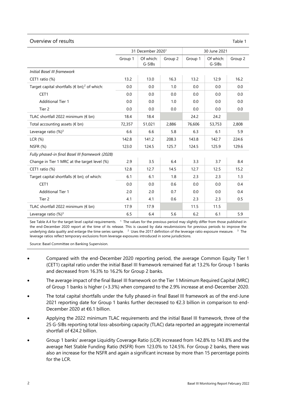#### Overview of results Table 1

|                                                                  | 31 December 2020 <sup>1</sup> |                     |         | 30 June 2021 |                     |         |
|------------------------------------------------------------------|-------------------------------|---------------------|---------|--------------|---------------------|---------|
|                                                                  | Group 1                       | Of which:<br>G-SIBs | Group 2 | Group 1      | Of which:<br>G-SIBs | Group 2 |
| Initial Basel III framework                                      |                               |                     |         |              |                     |         |
| CET1 ratio (%)                                                   | 13.2                          | 13.0                | 16.3    | 13.2         | 12.9                | 16.2    |
| Target capital shortfalls ( $\notin$ bn); <sup>2</sup> of which: | 0.0                           | 0.0                 | 1.0     | 0.0          | 0.0                 | 0.0     |
| CET1                                                             | 0.0                           | 0.0                 | 0.0     | 0.0          | 0.0                 | 0.0     |
| <b>Additional Tier 1</b>                                         | 0.0                           | 0.0                 | 1.0     | 0.0          | 0.0                 | 0.0     |
| Tier 2                                                           | 0.0                           | 0.0                 | 0.0     | 0.0          | 0.0                 | 0.0     |
| TLAC shortfall 2022 minimum (€ bn)                               | 18.4                          | 18.4                |         | 24.2         | 24.2                |         |
| Total accounting assets ( $\notin$ bn)                           | 72,357                        | 51,021              | 2,886   | 76,606       | 53,753              | 2,808   |
| Leverage ratio (%) <sup>3</sup>                                  | 6.6                           | 6.6                 | 5.8     | 6.3          | 6.1                 | 5.9     |
| LCR(%)                                                           | 142.8                         | 141.2               | 208.3   | 143.8        | 142.7               | 224.6   |
| <b>NSFR (%)</b>                                                  | 123.0                         | 124.5               | 125.7   | 124.5        | 125.9               | 129.6   |
| Fully phased-in final Basel III framework (2028)                 |                               |                     |         |              |                     |         |
| Change in Tier 1 MRC at the target level (%)                     | 2.9                           | 3.5                 | 6.4     | 3.3          | 3.7                 | 8.4     |
| CET1 ratio (%)                                                   | 12.8                          | 12.7                | 14.5    | 12.7         | 12.5                | 15.2    |
| Target capital shortfalls ( $\notin$ bn); of which:              | 6.1                           | 6.1                 | 1.8     | 2.3          | 2.3                 | 1.3     |
| CET1                                                             | 0.0                           | 0.0                 | 0.6     | 0.0          | 0.0                 | 0.4     |
| <b>Additional Tier 1</b>                                         | 2.0                           | 2.0                 | 0.7     | 0.0          | 0.0                 | 0.4     |
| Tier <sub>2</sub>                                                | 4.1                           | 4.1                 | 0.6     | 2.3          | 2.3                 | 0.5     |
| TLAC shortfall 2022 minimum ( $\notin$ bn)                       | 17.9                          | 17.9                |         | 11.5         | 11.5                |         |
| Leverage ratio $(%)^3$                                           | 6.5                           | 6.4                 | 5.6     | 6.2          | 6.1                 | 5.9     |

See [Table A.4 f](#page-106-0)or the target level capital requirements.  $1$  The values for the previous period may slightly differ from those published in the end-December 2020 report at the time of its release. This is caused by data resubmissions for previous periods to improve the underlying data quality and enlarge the time series sample.  $2$  Uses the 2017 definition of the leverage ratio exposure measure.  $3$  The leverage ratios reflect temporary exclusions from leverage exposures introduced in some jurisdictions.

Source: Basel Committee on Banking Supervision.

- Compared with the end-December 2020 reporting period, the average Common Equity Tier 1 (CET1) capital ratio under the initial Basel III framework remained flat at 13.2% for Group 1 banks and decreased from 16.3% to 16.2% for Group 2 banks.
- The average impact of the final Basel III framework on the Tier 1 Minimum Required Capital (MRC) of Group 1 banks is higher (+3.3%) when compared to the 2.9% increase at end-December 2020.
- The total capital shortfalls under the fully phased-in final Basel III framework as of the end-June 2021 reporting date for Group 1 banks further decreased to €2.3 billion in comparison to end-December 2020 at €6.1 billion.
- Applying the 2022 minimum TLAC requirements and the initial Basel III framework, three of the 25 G-SIBs reporting total loss-absorbing capacity (TLAC) data reported an aggregate incremental shortfall of €24.2 billion.
- Group 1 banks' average Liquidity Coverage Ratio (LCR) increased from 142.8% to 143.8% and the average Net Stable Funding Ratio (NSFR) from 123.0% to 124.5%. For Group 2 banks, there was also an increase for the NSFR and again a significant increase by more than 15 percentage points for the LCR.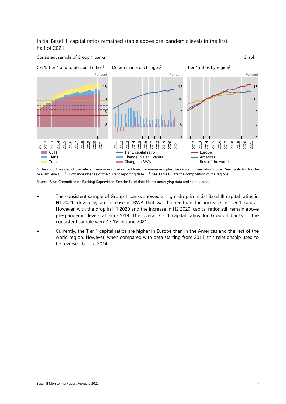#### Initial Basel III capital ratios remained stable above pre-pandemic levels in the first half of 2021



 1 The solid lines depict the relevant minimums, the dotted lines the minimums plus the capital conservation buffer. See [Table A.4](#page-106-0) for the relevant levels. <sup>2</sup> Exchange rates as of the current reporting date. <sup>3</sup> Se[e Table B.1](#page-108-1) for the composition of the regions.

- The consistent sample of Group 1 banks showed a slight drop in initial Basel III capital ratios in H1 2021, driven by an increase in RWA that was higher than the increase in Tier 1 capital. However, with the drop in H1 2020 and the increase in H2 2020, capital ratios still remain above pre-pandemic levels at end-2019. The overall CET1 capital ratios for Group 1 banks in the consistent sample were 13.1% in June 2021.
- Currently, the Tier 1 capital ratios are higher in Europe than in the Americas and the rest of the world region. However, when compared with data starting from 2011, this relationship used to be reversed before 2014.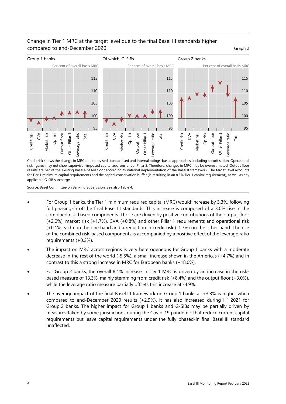#### Change in Tier 1 MRC at the target level due to the final Basel III standards higher compared to end-December 2020 Graph 2



Credit risk shows the change in MRC due to revised standardised and internal ratings-based approaches, including securitisation. Operational risk figures may not show supervisor-imposed capital add-ons under Pillar 2. Therefore, changes in MRC may be overestimated. Output floor results are net of the existing Basel I-based floor according to national implementation of the Basel II framework. The target level accounts for Tier 1 minimum capital requirements and the capital conservation buffer (ie resulting in an 8.5% Tier 1 capital requirement), as well as any applicable G-SIB surcharge.

Source: Basel Committee on Banking Supervision. See als[o Table 4.](#page-37-0) 

- For Group 1 banks, the Tier 1 minimum required capital (MRC) would increase by 3.3%, following full phasing-in of the final Basel III standards. This increase is composed of a 3.0% rise in the combined risk-based components. Those are driven by positive contributions of the output floor (+2.0%), market risk (+1.7%), CVA (+0.8%) and other Pillar 1 requirements and operational risk (+0.1% each) on the one hand and a reduction in credit risk (-1.7%) on the other hand. The rise of the combined risk-based components is accompanied by a positive effect of the leverage ratio requirements (+0.3%).
- The impact on MRC across regions is very heterogeneous for Group 1 banks with a moderate decrease in the rest of the world (-5.5%), a small increase shown in the Americas (+4.7%) and in contrast to this a strong increase in MRC for European banks (+18.0%).
- For Group 2 banks, the overall 8.4% increase in Tier 1 MRC is driven by an increase in the riskbased measure of 13.3%, mainly stemming from credit risk (+8.4%) and the output floor (+3.0%), while the leverage ratio measure partially offsets this increase at -4.9%.
- The average impact of the final Basel III framework on Group 1 banks at  $+3.3\%$  is higher when compared to end-December 2020 results (+2.9%). It has also increased during H1 2021 for Group 2 banks. The higher impact for Group 1 banks and G-SIBs may be partially driven by measures taken by some jurisdictions during the Covid-19 pandemic that reduce current capital requirements but leave capital requirements under the fully phased-in final Basel III standard unaffected.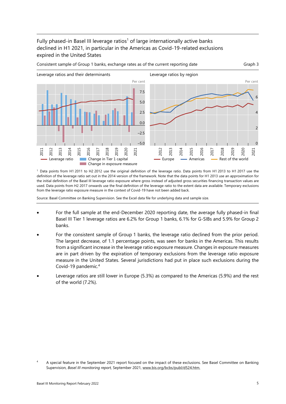#### Fully phased-in Basel III leverage ratios<sup>1</sup> of large internationally active banks declined in H1 2021, in particular in the Americas as Covid-19-related exclusions expired in the United States



1 Data points from H1 2011 to H2 2012 use the original definition of the leverage ratio. Data points from H1 2013 to H1 2017 use the definition of the leverage ratio set out in the 2014 version of the framework. Note that the data points for H1 2013 use an approximation for the initial definition of the Basel III leverage ratio exposure where gross instead of adjusted gross securities financing transaction values are used. Data points from H2 2017 onwards use the final definition of the leverage ratio to the extent data are available. Temporary exclusions from the leverage ratio exposure measure in the context of Covid-19 have not been added back.

- For the full sample at the end-December 2020 reporting date, the average fully phased-in final Basel III Tier 1 leverage ratios are 6.2% for Group 1 banks, 6.1% for G-SIBs and 5.9% for Group 2 banks.
- For the consistent sample of Group 1 banks, the leverage ratio declined from the prior period. The largest decrease, of 1.1 percentage points, was seen for banks in the Americas. This results from a significant increase in the leverage ratio exposure measure. Changes in exposure measures are in part driven by the expiration of temporary exclusions from the leverage ratio exposure measure in the United States. Several jurisdictions had put in place such exclusions during the Covid-19 pandemic.[4](#page-12-0)
- Leverage ratios are still lower in Europe (5.3%) as compared to the Americas (5.9%) and the rest of the world (7.2%).

<span id="page-12-0"></span><sup>4</sup> A special feature in the September 2021 report focused on the impact of these exclusions. See Basel Committee on Banking Supervision, *Basel III monitoring report,* September 2021, [www.bis.org/bcbs/publ/d524.htm.](http://www.bis.org/bcbs/publ/d524.htm)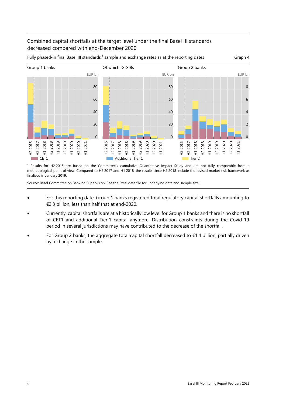#### Combined capital shortfalls at the target level under the final Basel III standards decreased compared with end-December 2020



Fully phased-in final Basel III standards,<sup>1</sup> sample and exchange rates as at the reporting dates Graph 4

1 Results for H2 2015 are based on the Committee's cumulative Quantitative Impact Study and are not fully comparable from a methodological point of view. Compared to H2 2017 and H1 2018, the results since H2 2018 include the revised market risk framework as finalised in January 2019.

- For this reporting date, Group 1 banks registered total regulatory capital shortfalls amounting to €2.3 billion, less than half that at end-2020.
- Currently, capital shortfalls are at a historically low level for Group 1 banks and there is no shortfall of CET1 and additional Tier 1 capital anymore. Distribution constraints during the Covid-19 period in several jurisdictions may have contributed to the decrease of the shortfall.
- For Group 2 banks, the aggregate total capital shortfall decreased to  $€1.4$  billion, partially driven by a change in the sample.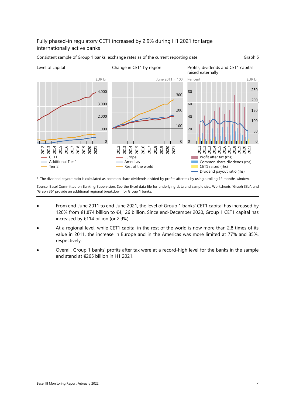## Fully phased-in regulatory CET1 increased by 2.9% during H1 2021 for large internationally active banks



Consistent sample of Group 1 banks, exchange rates as of the current reporting date Graph 5

1 The dividend payout ratio is calculated as common share dividends divided by profits after tax by using a rolling 12 months window.

Source: Basel Committee on Banking Supervision. See the Excel data file for underlying data and sample size. Worksheets ["Graph 33a](#page-48-2)", and ["Graph 36"](#page-51-0) provide an additional regional breakdown for Group 1 banks.

- From end-June 2011 to end-June 2021, the level of Group 1 banks' CET1 capital has increased by 120% from €1,874 billion to €4,126 billion. Since end-December 2020, Group 1 CET1 capital has increased by €114 billion (or 2.9%).
- At a regional level, while CET1 capital in the rest of the world is now more than 2.8 times of its value in 2011, the increase in Europe and in the Americas was more limited at 77% and 85%, respectively.
- Overall, Group 1 banks' profits after tax were at a record-high level for the banks in the sample and stand at €265 billion in H1 2021.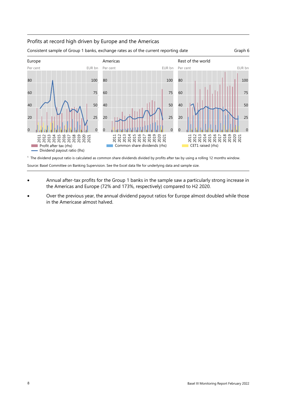#### Profits at record high driven by Europe and the Americas



1 The dividend payout ratio is calculated as common share dividends divided by profits after tax by using a rolling 12 months window. Source: Basel Committee on Banking Supervision. See the Excel data file for underlying data and sample size.

- Annual after-tax profits for the Group 1 banks in the sample saw a particularly strong increase in the Americas and Europe (72% and 173%, respectively) compared to H2 2020.
- Over the previous year, the annual dividend payout ratios for Europe almost doubled while those in the Americase almost halved.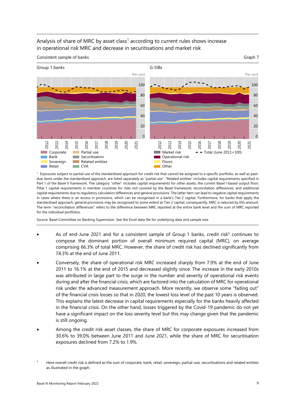#### Analysis of share of MRC by asset class<sup>1</sup> according to current rules shows increase in operational risk MRC and decrease in securitisations and market risk

Consistent sample of banks Graph 7 (Consistent sample of banks) and the consistent sample of banks Graph 7



 $<sup>1</sup>$  Exposures subject to partial use of the standardised approach for credit risk that cannot be assigned to a specific portfolio, as well as past-</sup> due items under the standardised approach, are listed separately as "partial use". "Related entities" includes capital requirements specified in Part 1 of the Basel II framework. The category "other" includes capital requirements for other assets; the current Basel I-based output floor; Pillar 1 capital requirements in member countries for risks not covered by the Basel framework; reconciliation differences; and additional capital requirements due to regulatory calculation differences and general provisions. The latter item can lead to negative capital requirements in cases where there is an excess in provisions, which can be recognised in a bank's Tier 2 capital. Furthermore, for banks that apply the standardised approach, general provisions may be recognised to some extent as Tier 2 capital; consequently, MRC is reduced by this amount. The term "reconciliation differences" refers to the difference between MRC reported at the entire bank level and the sum of MRC reported for the individual portfolios.

- As of end-June 2021 and for a consistent sample of Group 1 banks, credit risk<sup>5</sup> continues to compose the dominant portion of overall minimum required capital (MRC), on average comprising 66.3% of total MRC. However, the share of credit risk has declined significantly from 74.3% at the end of June 2011.
- Conversely, the share of operational risk MRC increased sharply from 7.9% at the end of June 2011 to 16.1% at the end of 2015 and decreased slightly since. The increase in the early 2010s was attributed in large part to the surge in the number and severity of operational risk events during and after the financial crisis, which are factored into the calculation of MRC for operational risk under the advanced measurement approach. More recently, we observe some "fading out" of the financial crisis losses so that in 2020, the lowest loss level of the past 10 years is observed. This explains the latest decrease in capital requirements especially for the banks heavily affected in the financial crisis. On the other hand, losses triggered by the Covid-19 pandemic do not yet have a significant impact on the loss severity level but this may change given that the pandemic is still ongoing.
- Among the credit risk asset classes, the share of MRC for corporate exposures increased from 30.6% to 39.0% between June 2011 and June 2021, while the share of MRC for securitisation exposures declined from 7.2% to 1.9%.

<span id="page-16-0"></span><sup>5</sup> Here overall credit risk is defined as the sum of corporate, bank, retail, sovereign, partial-use, securitisations and related entities as illustrated in the graph.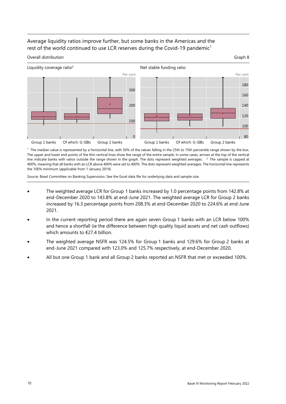### Average liquidity ratios improve further, but some banks in the Americas and the rest of the world continued to use LCR reserves during the Covid-19 pandemic<sup>1</sup>



1 Group 1 banks Of which: G-SIBs Group 2 banks Group 1 banks Of which: G-SIBs Group 2 banks<br><sup>1</sup> The median value is represented by a horizontal line, with 50% of the values falling in the 25th to 75th percentile range show The upper and lower end points of the thin vertical lines show the range of the entire sample. In some cases, arrows at the top of the vertical line indicate banks with ratios outside the range shown in the graph. The dots represent weighted averages. <sup>2</sup> The sample is capped at 400%, meaning that all banks with an LCR above 400% were set to 400%. The dots represent weighted averages. The horizontal line represents the 100% minimum (applicable from 1 January 2019).

- The weighted average LCR for Group 1 banks increased by 1.0 percentage points from 142.8% at end-December 2020 to 143.8% at end-June 2021. The weighted average LCR for Group 2 banks increased by 16.3 percentage points from 208.3% at end-December 2020 to 224.6% at end-June 2021.
- In the current reporting period there are again seven Group 1 banks with an LCR below 100% and hence a shortfall (ie the difference between high quality liquid assets and net cash outflows) which amounts to €27.4 billion.
- The weighted average NSFR was 124.5% for Group 1 banks and 129.6% for Group 2 banks at end-June 2021 compared with 123.0% and 125.7% respectively, at end-December 2020.
- All but one Group 1 bank and all Group 2 banks reported an NSFR that met or exceeded 100%.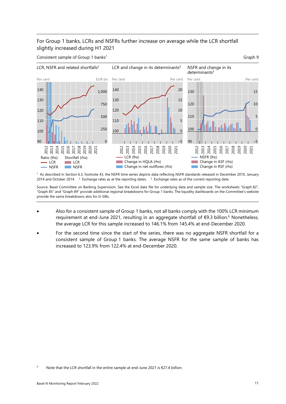### For Group 1 banks, LCRs and NSFRs further increase on average while the LCR shortfall slightly increased during H1 2021

Consistent sample of Group 1 banks<sup>1</sup> Graph 9 and Consistent sample of Group 1 banks<sup>1</sup>



 1 As described in Section 6.3, footnote [43,](#page-97-0) the NSFR time series depicts data reflecting NSFR standards released in December 2010, January 2014 and October 2014. <sup>2</sup> Exchange rates as at the reporting dates. <sup>3</sup> Exchange rates as of the current reporting date.

Source: Basel Committee on Banking Supervision. See the Excel data file for underlying data and sample size. The worksheets ["Graph 82"](#page-98-0), ["Graph 85"](#page-100-0) and ["Graph 89"](#page-102-0) provide additional regional breakdowns for Group 1 banks. The liquidity dashboards on the Committee's website provide the same breakdowns also for G-SIBs.

- Also for a consistent sample of Group 1 banks, not all banks comply with the 100% LCR minimum requirement at end-June 2021, resulting in an aggregate shortfall of €9.3 billion.<sup>[6](#page-18-0)</sup> Nonetheless, the average LCR for this sample increased to 146.1% from 145.4% at end-December 2020.
- For the second time since the start of the series, there was no aggregate NSFR shortfall for a consistent sample of Group 1 banks. The average NSFR for the same sample of banks has increased to 123.9% from 122.4% at end-December 2020.

<span id="page-18-0"></span> Note that the LCR shortfall in the entire sample at end-June 2021 is €27.4 billion.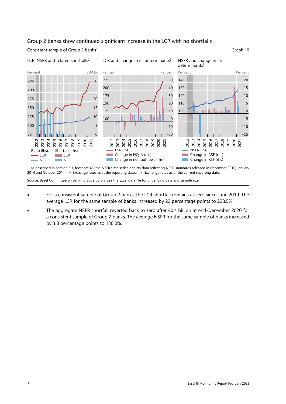#### Group 2 banks show continued significant increase in the LCR with no shortfalls

Consistent sample of Group 2 banks<sup>1</sup> Graph 10



1 As described in Section 6.3, footnote [43,](#page-97-0) the NSFR time series depicts data reflecting NSFR standards released in December 2010, January 2014 and October 2014. <sup>2</sup> Exchange rates as at the reporting dates. <sup>3</sup> Exchange rates as of the current reporting date.

- For a consistent sample of Group 2 banks, the LCR shortfall remains at zero since June 2019. The average LCR for the same sample of banks increased by 22 percentage points to 228.5%.
- The aggregate NSFR shortfall reverted back to zero after €0.4 billion at end-December 2020 for a consistent sample of Group 2 banks. The average NSFR for the same sample of banks increased by 3.8 percentage points to 130.0%.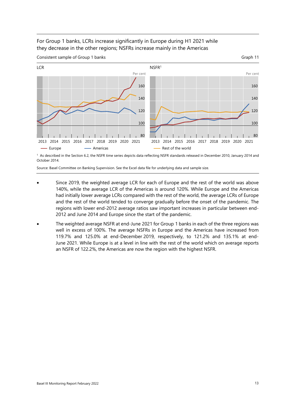#### For Group 1 banks, LCRs increase significantly in Europe during H1 2021 while they decrease in the other regions; NSFRs increase mainly in the Americas



Consistent sample of Group 1 banks Graph 11

October 2014.

- Since 2019, the weighted average LCR for each of Europe and the rest of the world was above 140%, while the average LCR of the Americas is around 120%. While Europe and the Americas had initially lower average LCRs compared with the rest of the world, the average LCRs of Europe and the rest of the world tended to converge gradually before the onset of the pandemic. The regions with lower end-2012 average ratios saw important increases in particular between end-2012 and June 2014 and Europe since the start of the pandemic.
- The weighted average NSFR at end-June 2021 for Group 1 banks in each of the three regions was well in excess of 100%. The average NSFRs in Europe and the Americas have increased from 119.7% and 125.0% at end-December 2019, respectively, to 121.2% and 135.1% at end-June 2021. While Europe is at a level in line with the rest of the world which on average reports an NSFR of 122.2%, the Americas are now the region with the highest NSFR.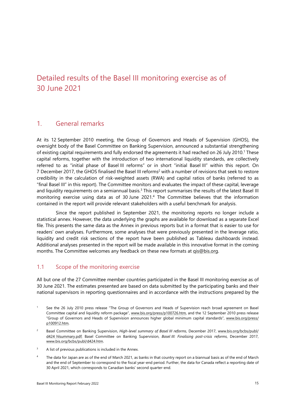# <span id="page-22-0"></span>Detailed results of the Basel III monitoring exercise as of 30 June 2021

## <span id="page-22-1"></span>1. General remarks

At its 12 September 2010 meeting, the Group of Governors and Heads of Supervision (GHOS), the oversight body of the Basel Committee on Banking Supervision, announced a substantial strengthening of existing capital requirements and fully endorsed the agreements it had reached on 26 July 2010[.1](#page-22-3) These capital reforms, together with the introduction of two international liquidity standards, are collectively referred to as "initial phase of Basel III reforms" or in short "initial Basel III" within this report. On 7 December 2017, the GHOS finalised the Basel III reforms<sup>2</sup> with a number of revisions that seek to restore credibility in the calculation of risk-weighted assets (RWA) and capital ratios of banks (referred to as "final Basel III" in this report). The Committee monitors and evaluates the impact of these capital, leverage and liquidity requirements on a semiannual basis.<sup>3</sup> This report summarises the results of the latest Basel III monitoring exercise using data as of 30 June 2021.[4](#page-22-6) The Committee believes that the information contained in the report will provide relevant stakeholders with a useful benchmark for analysis.

Since the report published in September 2021, the monitoring reports no longer include a statistical annex. However, the data underlying the graphs are available for download as a separate Excel file. This presents the same data as the Annex in previous reports but in a format that is easier to use for readers' own analyses. Furthermore, some analyses that were previously presented in the leverage ratio, liquidity and credit risk sections of the report have been published as Tableau dashboards instead. Additional analyses presented in the report will be made available in this innovative format in the coming months. The Committee welcomes any feedback on these new formats at gis@bis.org.

## <span id="page-22-2"></span>1.1 Scope of the monitoring exercise

All but one of the 27 Committee member countries participated in the Basel III monitoring exercise as of 30 June 2021. The estimates presented are based on data submitted by the participating banks and their national supervisors in reporting questionnaires and in accordance with the instructions prepared by the

- <span id="page-22-3"></span>1 See the 26 July 2010 press release "The Group of Governors and Heads of Supervision reach broad agreement on Basel Committee capital and liquidity reform package", [www.bis.org/press/p100726.htm,](http://www.bis.org/press/p100726.htm) and the 12 September 2010 press release "Group of Governors and Heads of Supervision announces higher global minimum capital standards", [www.bis.org/press/](http://www.bis.org/press/p100912.htm) [p100912.htm.](http://www.bis.org/press/p100912.htm)
- <span id="page-22-4"></span> $\overline{2}$  Basel Committee on Banking Supervision, *High-level summary of Basel III reforms*, December 2017, [www.bis.org/bcbs/publ/](https://www.bis.org/bcbs/publ/d424_hlsummary.pdf) [d424\\_hlsummary.pdf;](https://www.bis.org/bcbs/publ/d424_hlsummary.pdf) Basel Committee on Banking Supervision, *Basel III: Finalising post-crisis reforms*, December 2017, [www.bis.org/bcbs/publ/d424.htm.](https://www.bis.org/bcbs/publ/d424.htm)
- <span id="page-22-5"></span>3 A list of previous publications is included in the Annex.
- <span id="page-22-6"></span>4 The data for Japan are as of the end of March 2021, as banks in that country report on a biannual basis as of the end of March and the end of September to correspond to the fiscal year-end period. Further, the data for Canada reflect a reporting date of 30 April 2021, which corresponds to Canadian banks' second quarter-end.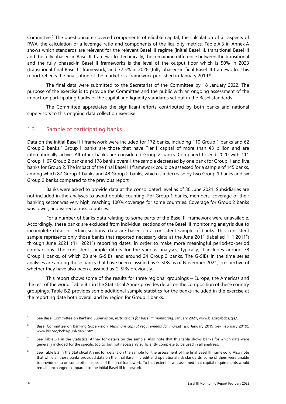Committee.<sup>[5](#page-23-1)</sup> The questionnaire covered components of eligible capital, the calculation of all aspects of RWA, the calculation of a leverage ratio and components of the liquidity metrics. [Table A.3](#page-105-0) in Annex A shows which standards are relevant for the relevant Basel III regime (initial Basel III, transitional Basel III and the fully phased-in Basel III framework). Technically, the remaining difference between the transitional and the fully phased-in Basel III frameworks is the level of the output floor which is 50% in 2023 (transitional final Basel III framework) and 72.5% in 2028 (fully phased-in final Basel III framework). This report reflects the finalisation of the market risk framework published in January 2019.<sup>[6](#page-23-2)</sup>

The final data were submitted to the Secretariat of the Committee by 18 January 2022. The purpose of the exercise is to provide the Committee and the public with an ongoing assessment of the impact on participating banks of the capital and liquidity standards set out in the Basel standards.

The Committee appreciates the significant efforts contributed by both banks and national supervisors to this ongoing data collection exercise.

#### <span id="page-23-0"></span>1.2 Sample of participating banks

Data on the initial Basel III framework were included for 172 banks, including 110 Group 1 banks and 62 Group 2 banks.<sup>7</sup> Group 1 banks are those that have Tier 1 capital of more than  $\epsilon$ 3 billion and are internationally active. All other banks are considered Group 2 banks. Compared to end-2020 with 111 Group 1, 67 Group 2 banks and 178 banks overall, the sample decreased by one bank for Group 1 and five banks for Group 2. The impact of the final Basel III framework could be assessed for a sample of 145 banks, among which 87 Group 1 banks and 48 Group 2 banks, which is a decrease by two Group 1 banks and six Group 2 banks compared to the previous report.[8](#page-23-4)

Banks were asked to provide data at the consolidated level as of 30 June 2021. Subsidiaries are not included in the analyses to avoid double-counting. For Group 1 banks, members' coverage of their banking sector was very high, reaching 100% coverage for some countries. Coverage for Group 2 banks was lower, and varied across countries.

For a number of banks data relating to some parts of the Basel III framework were unavailable. Accordingly, these banks are excluded from individual sections of the Basel III monitoring analysis due to incomplete data. In certain sections, data are based on a consistent sample of banks. This consistent sample represents only those banks that reported necessary data at the June 2011 (labelled "H1 2011") through June 2021 ("H1 2021") reporting dates, in order to make more meaningful period-to-period comparisons. The consistent sample differs for the various analyses; typically, it includes around 78 Group 1 banks, of which 28 are G-SIBs, and around 24 Group 2 banks. The G-SIBs in the time series analyses are among those banks that have been classified as G-SIBs as of November 2021, irrespective of whether they have also been classified as G-SIBs previously.

This report shows some of the results for three regional groupings – Europe, the Americas and the rest of the world[. Table B.1 i](#page-108-1)n the Statistical Annex provides detail on the composition of these country groupings. [Table B.2](#page-109-0) provides some additional sample statistics for the banks included in the exercise at the reporting date both overall and by region for Group 1 banks.

<span id="page-23-1"></span><sup>5</sup> See Basel Committee on Banking Supervision, *Instructions for Basel III monitoring*, January 2021[, www.bis.org/bcbs/qis/.](http://www.bis.org/bcbs/qis/) 

<span id="page-23-2"></span><sup>6</sup> Basel Committee on Banking Supervision, *Minimum capital requirements for market risk*, January 2019 (rev February 2019), [www.bis.org/bcbs/publ/d457.htm.](https://www.bis.org/bcbs/publ/d457.htm) 

<span id="page-23-3"></span><sup>7</sup> See [Table B.1](#page-108-1) in the Statistical Annex for details on the sample. Also note that this table shows banks for which data were generally included for the specific topics, but not necessarily sufficiently complete to be used in all analyses.

<span id="page-23-4"></span><sup>8</sup> See [Table B.3](#page-109-1) in the Statistical Annex for details on the sample for the assessment of the final Basel III framework. Also note that while all these banks provided data on the final Basel III credit and operational risk standards, some of them were unable to provide data on some other aspects of the final framework. To that extent, it was assumed that capital requirements would remain unchanged compared to the initial Basel III framework.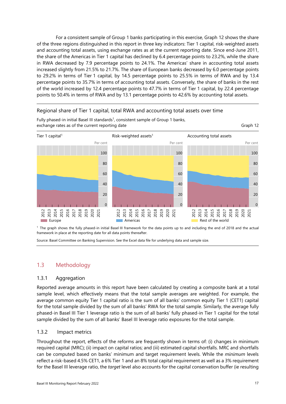For a consistent sample of Group 1 banks participating in this exercise[, Graph 12](#page-24-3) shows the share of the three regions distinguished in this report in three key indicators: Tier 1 capital, risk-weighted assets and accounting total assets, using exchange rates as at the current reporting date. Since end-June 2011, the share of the Americas in Tier 1 capital has declined by 6.4 percentage points to 23.2%, while the share in RWA decreased by 7.9 percentage points to 24.1%. The Americas' share in accounting total assets increased slightly from 21.5% to 21.7%. The share of European banks decreased by 6.0 percentage points to 29.2% in terms of Tier 1 capital, by 14.5 percentage points to 25.5% in terms of RWA and by 13.4 percentage points to 35.7% in terms of accounting total assets. Conversely, the share of banks in the rest of the world increased by 12.4 percentage points to 47.7% in terms of Tier 1 capital, by 22.4 percentage points to 50.4% in terms of RWA and by 13.1 percentage points to 42.6% by accounting total assets.

#### Regional share of Tier 1 capital, total RWA and accounting total assets over time



<span id="page-24-3"></span>Fully phased-in initial Basel III standards<sup>1</sup>, consistent sample of Group 1 banks, exchange rates as of the current reporting date Graph 12

 1 The graph shows the fully phased-in initial Basel III framework for the data points up to and including the end of 2018 and the actual framework in place at the reporting date for all data points thereafter.

Source: Basel Committee on Banking Supervision. See the Excel data file for underlying data and sample size.

## <span id="page-24-0"></span>1.3 Methodology

#### <span id="page-24-1"></span>1.3.1 Aggregation

Reported average amounts in this report have been calculated by creating a composite bank at a total sample level, which effectively means that the total sample averages are weighted. For example, the average common equity Tier 1 capital ratio is the sum of all banks' common equity Tier 1 (CET1) capital for the total sample divided by the sum of all banks' RWA for the total sample. Similarly, the average fully phased-in Basel III Tier 1 leverage ratio is the sum of all banks' fully phased-in Tier 1 capital for the total sample divided by the sum of all banks' Basel III leverage ratio exposures for the total sample.

#### <span id="page-24-2"></span>1.3.2 Impact metrics

Throughout the report, effects of the reforms are frequently shown in terms of: (i) changes in minimum required capital (MRC); (ii) impact on capital ratios; and (iii) estimated capital shortfalls. MRC and shortfalls can be computed based on banks' minimum and target requirement levels. While the *minimum* levels reflect a risk-based 4.5% CET1, a 6% Tier 1 and an 8% total capital requirement as well as a 3% requirement for the Basel III leverage ratio, the *target* level also accounts for the capital conservation buffer (ie resulting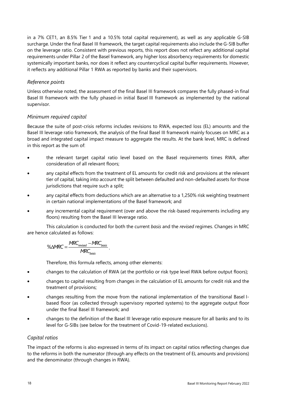in a 7% CET1, an 8.5% Tier 1 and a 10.5% total capital requirement), as well as any applicable G-SIB surcharge. Under the final Basel III framework, the target capital requirements also include the G-SIB buffer on the leverage ratio. Consistent with previous reports, this report does not reflect any additional capital requirements under Pillar 2 of the Basel framework, any higher loss absorbency requirements for domestic systemically important banks, nor does it reflect any countercyclical capital buffer requirements. However, it reflects any additional Pillar 1 RWA as reported by banks and their supervisors.

#### *Reference points*

Unless otherwise noted, the assessment of the final Basel III framework compares the fully phased-in final Basel III framework with the fully phased-in initial Basel III framework as implemented by the national supervisor.

#### *Minimum required capital*

Because the suite of post-crisis reforms includes revisions to RWA, expected loss (EL) amounts and the Basel III leverage ratio framework, the analysis of the final Basel III framework mainly focuses on MRC as a broad and integrated capital impact measure to aggregate the results. At the bank level, MRC is defined in this report as the sum of:

- the relevant target capital ratio level based on the Basel requirements times RWA, after consideration of all relevant floors;
- any capital effects from the treatment of EL amounts for credit risk and provisions at the relevant tier of capital, taking into account the split between defaulted and non-defaulted assets for those jurisdictions that require such a split;
- any capital effects from deductions which are an alternative to a 1,250% risk weighting treatment in certain national implementations of the Basel framework; and
- any incremental capital requirement (over and above the risk-based requirements including any floors) resulting from the Basel III leverage ratio.

This calculation is conducted for both the current *basis* and the *revised* regimes. Changes in MRC are hence calculated as follows:

$$
\% \triangle MRC = \frac{MRC_{revised} - MRC_{basis}}{MRC_{basis}}.
$$

Therefore, this formula reflects, among other elements:

- changes to the calculation of RWA (at the portfolio or risk type level RWA before output floors);
- changes to capital resulting from changes in the calculation of EL amounts for credit risk and the treatment of provisions;
- changes resulting from the move from the national implementation of the transitional Basel Ibased floor (as collected through supervisory reported systems) to the aggregate output floor under the final Basel III framework; and
- changes to the definition of the Basel III leverage ratio exposure measure for all banks and to its level for G-SIBs (see below for the treatment of Covid-19-related exclusions).

#### *Capital ratios*

The impact of the reforms is also expressed in terms of its impact on capital ratios reflecting changes due to the reforms in both the numerator (through any effects on the treatment of EL amounts and provisions) and the denominator (through changes in RWA).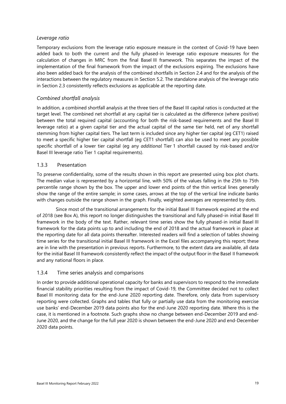#### *Leverage ratio*

Temporary exclusions from the leverage ratio exposure measure in the context of Covid-19 have been added back to both the current and the fully phased-in leverage ratio exposure measures for the calculation of changes in MRC from the final Basel III framework. This separates the impact of the implementation of the final framework from the impact of the exclusions expiring. The exclusions have also been added back for the analysis of the combined shortfalls in Section 2.4 and for the analysis of the interactions between the regulatory measures in Section 5.2. The standalone analysis of the leverage ratio in Section 2.3 consistently reflects exclusions as applicable at the reporting date.

#### *Combined shortfall analysis*

In addition, a combined shortfall analysis at the three tiers of the Basel III capital ratios is conducted at the target level. The combined net shortfall at any capital tier is calculated as the difference (where positive) between the total required capital (accounting for both the risk-based requirements and the Basel III leverage ratio) at a given capital tier and the actual capital of the same tier held, net of any shortfall stemming from higher capital tiers. The last term is included since any higher tier capital (eg CET1) raised to meet a specific higher tier capital shortfall (eg CET1 shortfall) can also be used to meet any possible specific shortfall of a lower tier capital (eg any *additional* Tier 1 shortfall caused by risk-based and/or Basel III leverage ratio Tier 1 capital requirements).

#### <span id="page-26-0"></span>1.3.3 Presentation

To preserve confidentiality, some of the results shown in this report are presented using box plot charts. The median value is represented by a horizontal line, with 50% of the values falling in the 25th to 75th percentile range shown by the box. The upper and lower end points of the thin vertical lines generally show the range of the entire sample; in some cases, arrows at the top of the vertical line indicate banks with changes outside the range shown in the graph. Finally, weighted averages are represented by dots.

Since most of the transitional arrangements for the initial Basel III framework expired at the end of 2018 (see Box A), this report no longer distinguishes the transitional and fully phased-in initial Basel III framework in the body of the text. Rather, relevant time series show the fully phased-in initial Basel III framework for the data points up to and including the end of 2018 and the actual framework in place at the reporting date for all data points thereafter. Interested readers will find a selection of tables showing time series for the transitional initial Basel III framework in the Excel files accompanying this report; these are in line with the presentation in previous reports. Furthermore, to the extent data are available, all data for the initial Basel III framework consistently reflect the impact of the output floor in the Basel II framework and any national floors in place.

#### <span id="page-26-1"></span>1.3.4 Time series analysis and comparisons

In order to provide additional operational capacity for banks and supervisors to respond to the immediate financial stability priorities resulting from the impact of Covid-19, the Committee decided not to collect Basel III monitoring data for the end-June 2020 reporting date. Therefore, only data from supervisory reporting were collected. Graphs and tables that fully or partially use data from the monitoring exercise use banks' end-December 2019 data points also for the end-June 2020 reporting date. Where this is the case, it is mentioned in a footnote. Such graphs show no change between end-December 2019 and end-June 2020, and the change for the full year 2020 is shown between the end-June 2020 and end-December 2020 data points.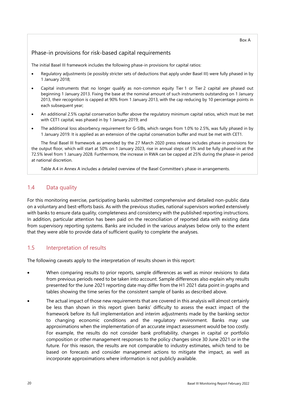#### Box A

#### Phase-in provisions for risk-based capital requirements

The initial Basel III framework includes the following phase-in provisions for capital ratios:

- Regulatory adjustments (ie possibly stricter sets of deductions that apply under Basel III) were fully phased in by 1 January 2018;
- Capital instruments that no longer qualify as non-common equity Tier 1 or Tier 2 capital are phased out beginning 1 January 2013. Fixing the base at the nominal amount of such instruments outstanding on 1 January 2013, their recognition is capped at 90% from 1 January 2013, with the cap reducing by 10 percentage points in each subsequent year;
- An additional 2.5% capital conservation buffer above the regulatory minimum capital ratios, which must be met with CET1 capital, was phased in by 1 January 2019; and
- The additional loss absorbency requirement for G-SIBs, which ranges from 1.0% to 2.5%, was fully phased in by 1 January 2019. It is applied as an extension of the capital conservation buffer and must be met with CET1.

The final Basel III framework as amended by the 27 March 2020 press release includes phase-in provisions for the output floor, which will start at 50% on 1 January 2023, rise in annual steps of 5% and be fully phased-in at the 72.5% level from 1 January 2028. Furthermore, the increase in RWA can be capped at 25% during the phase-in period at national discretion.

[Table A.4](#page-106-0) in Annex A includes a detailed overview of the Basel Committee's phase-in arrangements.

#### <span id="page-27-0"></span>1.4 Data quality

For this monitoring exercise, participating banks submitted comprehensive and detailed non-public data on a voluntary and best-efforts basis. As with the previous studies, national supervisors worked extensively with banks to ensure data quality, completeness and consistency with the published reporting instructions. In addition, particular attention has been paid on the reconciliation of reported data with existing data from supervisory reporting systems. Banks are included in the various analyses below only to the extent that they were able to provide data of sufficient quality to complete the analyses.

#### <span id="page-27-1"></span>1.5 Interpretation of results

The following caveats apply to the interpretation of results shown in this report:

- When comparing results to prior reports, sample differences as well as minor revisions to data from previous periods need to be taken into account. Sample differences also explain why results presented for the June 2021 reporting date may differ from the H1 2021 data point in graphs and tables showing the time series for the consistent sample of banks as described above.
- The actual impact of those new requirements that are covered in this analysis will almost certainly be less than shown in this report given banks' difficulty to assess the exact impact of the framework before its full implementation and interim adjustments made by the banking sector to changing economic conditions and the regulatory environment. Banks may use approximations when the implementation of an accurate impact assessment would be too costly. For example, the results do not consider bank profitability, changes in capital or portfolio composition or other management responses to the policy changes since 30 June 2021 or in the future. For this reason, the results are not comparable to industry estimates, which tend to be based on forecasts and consider management actions to mitigate the impact, as well as incorporate approximations where information is not publicly available.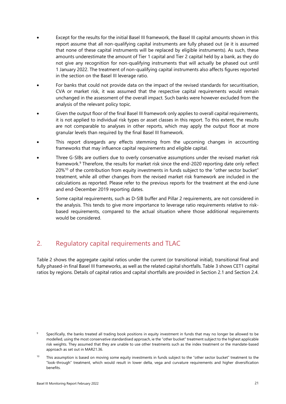- Except for the results for the initial Basel III framework, the Basel III capital amounts shown in this report assume that all non-qualifying capital instruments are fully phased out (ie it is assumed that none of these capital instruments will be replaced by eligible instruments). As such, these amounts underestimate the amount of Tier 1 capital and Tier 2 capital held by a bank, as they do not give any recognition for non-qualifying instruments that will actually be phased out until 1 January 2022. The treatment of non-qualifying capital instruments also affects figures reported in the section on the Basel III leverage ratio.
- For banks that could not provide data on the impact of the revised standards for securitisation, CVA or market risk, it was assumed that the respective capital requirements would remain unchanged in the assessment of the overall impact. Such banks were however excluded from the analysis of the relevant policy topic.
- Given the output floor of the final Basel III framework only applies to overall capital requirements, it is not applied to individual risk types or asset classes in this report. To this extent, the results are not comparable to analyses in other reports, which may apply the output floor at more granular levels than required by the final Basel III framework.
- This report disregards any effects stemming from the upcoming changes in accounting frameworks that may influence capital requirements and eligible capital.
- Three G-SIBs are outliers due to overly conservative assumptions under the revised market risk framework.<sup>9</sup> Therefore, the results for market risk since the end-2020 reporting date only reflect 20%<sup>10</sup> of the contribution from equity investments in funds subject to the "other sector bucket" treatment, while all other changes from the revised market risk framework are included in the calculations as reported. Please refer to the previous reports for the treatment at the end-June and end-December 2019 reporting dates.
- Some capital requirements, such as D-SIB buffer and Pillar 2 requirements, are not considered in the analysis. This tends to give more importance to leverage ratio requirements relative to riskbased requirements, compared to the actual situation where those additional requirements would be considered.

## <span id="page-28-0"></span>2. Regulatory capital requirements and TLAC

[Table 2](#page-29-1) shows the aggregate capital ratios under the current (or transitional initial), transitional final and fully phased-in final Basel III frameworks, as well as the related capital shortfalls[. Table 3](#page-29-2) shows CET1 capital ratios by regions. Details of capital ratios and capital shortfalls are provided in Section 2.1 and Section 2.4.

<span id="page-28-1"></span><sup>9</sup> Specifically, the banks treated all trading book positions in equity investment in funds that may no longer be allowed to be modelled, using the most conservative standardised approach, ie the "other bucket" treatment subject to the highest applicable risk weights. They assumed that they are unable to use other treatments such as the index treatment or the mandate-based approach as set out in MAR21.36.

<span id="page-28-2"></span><sup>&</sup>lt;sup>10</sup> This assumption is based on moving some equity investments in funds subject to the "other sector bucket" treatment to the "look-through" treatment, which would result in lower delta, vega and curvature requirements and higher diversification benefits.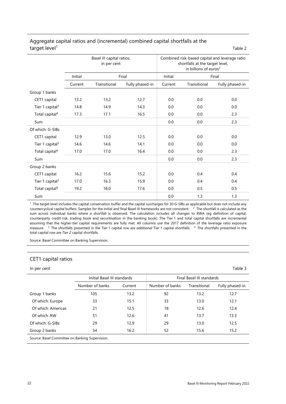|                             | Basel III capital ratios,<br>in per cent |              |                 | Combined risk-based capital and leverage ratio<br>shortfalls at the target level,<br>in billions of euros <sup>2</sup> |              |                 |  |
|-----------------------------|------------------------------------------|--------------|-----------------|------------------------------------------------------------------------------------------------------------------------|--------------|-----------------|--|
|                             | Initial                                  |              | Final           | Initial                                                                                                                | Final        |                 |  |
|                             | Current                                  | Transitional | Fully phased-in |                                                                                                                        | Transitional | Fully phased-in |  |
| Group 1 banks               |                                          |              |                 |                                                                                                                        |              |                 |  |
| CET1 capital                | 13.2                                     | 13.2         | 12.7            | 0.0                                                                                                                    | 0.0          | 0.0             |  |
| Tier 1 capital <sup>3</sup> | 14.8                                     | 14.9         | 14.3            | 0.0                                                                                                                    | 0.0          | 0.0             |  |
| Total capital <sup>4</sup>  | 17.3                                     | 17.1         | 16.5            | 0.0                                                                                                                    | 0.0          | 2.3             |  |
| Sum                         |                                          |              |                 | $0.0\,$                                                                                                                | 0.0          | 2.3             |  |
| Of which: G-SIBs            |                                          |              |                 |                                                                                                                        |              |                 |  |
| CET1 capital                | 12.9                                     | 13.0         | 12.5            | 0.0                                                                                                                    | 0.0          | 0.0             |  |
| Tier 1 capital <sup>3</sup> | 14.6                                     | 14.6         | 14.1            | 0.0                                                                                                                    | 0.0          | 0.0             |  |
| Total capital <sup>4</sup>  | 17.0                                     | 17.0         | 16.4            | 0.0                                                                                                                    | 0.0          | 2.3             |  |
| Sum                         |                                          |              |                 | 0.0                                                                                                                    | 0.0          | 2.3             |  |
| Group 2 banks               |                                          |              |                 |                                                                                                                        |              |                 |  |
| CET1 capital                | 16.2                                     | 15.6         | 15.2            | 0.0                                                                                                                    | 0.4          | 0.4             |  |
| Tier 1 capital <sup>3</sup> | 17.0                                     | 16.3         | 15.9            | 0.0                                                                                                                    | 0.4          | 0.4             |  |
| Total capital <sup>4</sup>  | 19.2                                     | 18.0         | 17.6            | 0.0                                                                                                                    | 0.5          | 0.5             |  |
| Sum                         |                                          |              |                 | 0.0                                                                                                                    | 1.3          | 1.3             |  |

#### <span id="page-29-1"></span>Aggregate capital ratios and (incremental) combined capital shortfalls at the  $\text{target level}^1$  Table 2

<sup>1</sup> The target level includes the capital conservation buffer and the capital surcharges for 30 G-SIBs as applicable but does not include any countercyclical capital buffers. Samples for the initial and final Basel III frameworks are not consistent.  $\frac{2}{3}$  The shortfall is calculated as the sum across individual banks where a shortfall is observed. The calculation includes all changes to RWA (eg definition of capital, counterparty credit risk, trading book and securitisation in the banking book). The Tier 1 and total capital shortfalls are incremental assuming that the higher-tier capital requirements are fully met. All columns use the 2017 definition of the leverage ratio exposure measure. 3 The shortfalls presented in the Tier 1 capital row are *additional* Tier 1 capital shortfalls. 4 The shortfalls presented in the total capital row are *Tier 2* capital shortfalls.

Source: Basel Committee on Banking Supervision.

#### <span id="page-29-0"></span>CET1 capital ratios

#### In per cent Table 3

<span id="page-29-2"></span>

|                                                 | Initial Basel III standards<br>Number of banks<br>Current |      | Final Basel III standards |              |                 |  |  |
|-------------------------------------------------|-----------------------------------------------------------|------|---------------------------|--------------|-----------------|--|--|
|                                                 |                                                           |      | Number of banks           | Transitional | Fully phased-in |  |  |
| Group 1 banks                                   | 105                                                       | 13.2 | 92                        | 13.2         | 12.7            |  |  |
| Of which: Europe                                | 33                                                        | 15.1 | 33                        | 13.0         | 12.1            |  |  |
| Of which: Americas                              | 21                                                        | 12.5 | 18                        | 12.6         | 12.4            |  |  |
| Of which: RW                                    | 51                                                        | 12.6 | 41                        | 13.7         | 13.3            |  |  |
| Of which: G-SIBs                                | 29                                                        | 12.9 | 29                        | 13.0         | 12.5            |  |  |
| Group 2 banks                                   | 54                                                        | 16.2 | 52                        | 15.6         | 15.2            |  |  |
| Source: Basel Committee on Banking Supervision. |                                                           |      |                           |              |                 |  |  |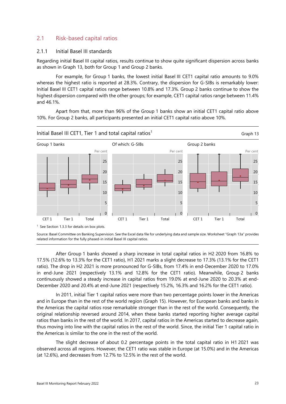#### 2.1 Risk-based capital ratios

#### <span id="page-30-0"></span>2.1.1 Initial Basel III standards

Regarding initial Basel III capital ratios, results continue to show quite significant dispersion across banks as shown in [Graph 13,](#page-30-1) both for Group 1 and Group 2 banks.

For example, for Group 1 banks, the lowest initial Basel III CET1 capital ratio amounts to 9.0% whereas the highest ratio is reported at 28.3%. Contrary, the dispersion for G-SIBs is remarkably lower: Initial Basel III CET1 capital ratios range between 10.8% and 17.3%. Group 2 banks continue to show the highest dispersion compared with the other groups; for example, CET1 capital ratios range between 11.4% and 46.1%.

Apart from that, more than 96% of the Group 1 banks show an initial CET1 capital ratio above 10%. For Group 2 banks, all participants presented an initial CET1 capital ratio above 10%.

<span id="page-30-1"></span>

Source: Basel Committee on Banking Supervision. See the Excel data file for underlying data and sample size. Worksheet ["Graph 13a](#page-30-1)" provides related information for the fully phased-in initial Basel III capital ratios.

After Group 1 banks showed a sharp increase in total capital ratios in H2 2020 from 16.8% to 17.5% (12.6% to 13.3% for the CET1 ratio), H1 2021 marks a slight decrease to 17.3% (13.1% for the CET1 ratio). The drop in H2 2021 is more pronounced for G-SIBs, from 17.4% in end-December 2020 to 17.0% in end-June 2021 (respectively 13.1% and 12.8% for the CET1 ratio). Meanwhile, Group 2 banks continuously showed a steady increase in capital ratios from 19.0% at end-June 2020 to 20.3% at end-December 2020 and 20.4% at end-June 2021 (respectively 15.2%, 16.3% and 16.2% for the CET1 ratio).

In 2011, initial Tier 1 capital ratios were more than two percentage points lower in the Americas and in Europe than in the rest of the world region [\(Graph 15\)](#page-31-0). However, for European banks and banks in the Americas the capital ratios rose remarkable stronger than in the rest of the world. Consequently, the original relationship reversed around 2014, when these banks started reporting higher average capital ratios than banks in the rest of the world. In 2017, capital ratios in the Americas started to decrease again, thus moving into line with the capital ratios in the rest of the world. Since, the initial Tier 1 capital ratio in the Americas is similar to the one in the rest of the world.

The slight decrease of about 0.2 percentage points in the total capital ratio in H1 2021 was observed across all regions. However, the CET1 ratio was stable in Europe (at 15.0%) and in the Americas (at 12.6%), and decreases from 12.7% to 12.5% in the rest of the world.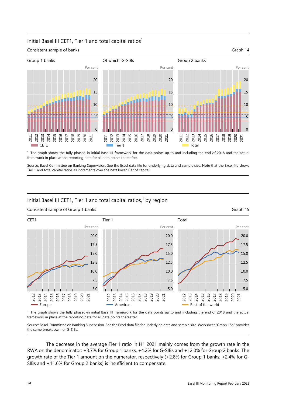#### Initial Basel III CET1, Tier 1 and total capital ratios<sup>1</sup>



framework in place at the reporting date for all data points thereafter.

Source: Basel Committee on Banking Supervision. See the Excel data file for underlying data and sample size. Note that the Excel file shows Tier 1 and total capital ratios as increments over the next lower Tier of capital.

#### <span id="page-31-0"></span>Initial Basel III CET1, Tier 1 and total capital ratios,<sup>1</sup> by region



#### Consistent sample of Group 1 banks Graph 15

<sup>1</sup> The graph shows the fully phased-in initial Basel III framework for the data points up to and including the end of 2018 and the actual framework in place at the reporting date for all data points thereafter.

Source: Basel Committee on Banking Supervision. See the Excel data file for underlying data and sample size. Worksheet ["Graph 15a](#page-31-0)" provides the same breakdown for G-SIBs.

The decrease in the average Tier 1 ratio in H1 2021 mainly comes from the growth rate in the RWA on the denominator: +3.7% for Group 1 banks, +4.2% for G-SIBs and +12.0% for Group 2 banks. The growth rate of the Tier 1 amount on the numerator, respectively (+2.8% for Group 1 banks, +2.4% for G-SIBs and +11.6% for Group 2 banks) is insufficient to compensate.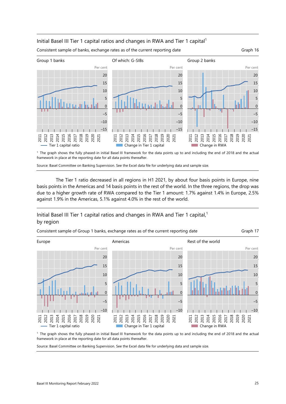#### Initial Basel III Tier 1 capital ratios and changes in RWA and Tier 1 capital<sup>1</sup>



framework in place at the reporting date for all data points thereafter.

Source: Basel Committee on Banking Supervision. See the Excel data file for underlying data and sample size.

The Tier 1 ratio decreased in all regions in H1 2021, by about four basis points in Europe, nine basis points in the Americas and 14 basis points in the rest of the world. In the three regions, the drop was due to a higher growth rate of RWA compared to the Tier 1 amount: 1.7% against 1.4% in Europe, 2.5% against 1.9% in the Americas, 5.1% against 4.0% in the rest of the world.

### Initial Basel III Tier 1 capital ratios and changes in RWA and Tier 1 capital,<sup>1</sup> by region



framework in place at the reporting date for all data points thereafter.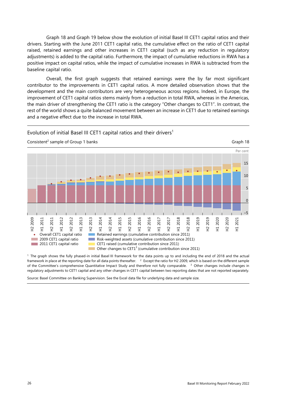[Graph 18](#page-33-0) and [Graph 19](#page-34-1) below show the evolution of initial Basel III CET1 capital ratios and their drivers. Starting with the June 2011 CET1 capital ratio, the cumulative effect on the ratio of CET1 capital raised, retained earnings and other increases in CET1 capital (such as any reduction in regulatory adjustments) is added to the capital ratio. Furthermore, the impact of cumulative reductions in RWA has a positive impact on capital ratios, while the impact of cumulative increases in RWA is subtracted from the baseline capital ratio.

Overall, the first graph suggests that retained earnings were the by far most significant contributor to the improvements in CET1 capital ratios. A more detailed observation shows that the development and the main contributors are very heterogeneous across regions. Indeed, in Europe, the improvement of CET1 capital ratios stems mainly from a reduction in total RWA, whereas in the Americas, the main driver of strengthening the CET1 ratio is the category "Other changes to CET1". In contrast, the rest of the world shows a quite balanced movement between an increase in CET1 due to retained earnings and a negative effect due to the increase in total RWA.

<span id="page-33-0"></span>

1 The graph shows the fully phased-in initial Basel III framework for the data points up to and including the end of 2018 and the actual

framework in place at the reporting date for all data points thereafter. 2 Except the ratio for H2 2009, which is based on the different sample of the Committee's comprehensive Quantitative Impact Study and therefore not fully comparable. 3 Other changes include changes in regulatory adjustments to CET1 capital and any other changes in CET1 capital between two reporting dates that are not reported separately.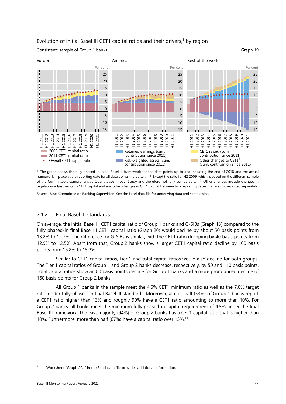#### Evolution of initial Basel III CET1 capital ratios and their drivers, $1$  by region

<span id="page-34-1"></span>Consistent<sup>2</sup> sample of Group 1 banks Graph 19



1 The graph shows the fully phased-in initial Basel III framework for the data points up to and including the end of 2018 and the actual framework in place at the reporting date for all data points thereafter. <sup>2</sup> Except the ratio for H2 2009, which is based on the different sample of the Committee's comprehensive Quantitative Impact Study and therefore not fully comparable. <sup>3</sup> Other changes include changes in regulatory adjustments to CET1 capital and any other changes in CET1 capital between two reporting dates that are not reported separately.

<span id="page-34-0"></span>Source: Basel Committee on Banking Supervision. See the Excel data file for underlying data and sample size.

#### 2.1.2 Final Basel III standards

On average, the initial Basel III CET1 capital ratio of Group 1 banks and G-SIBs [\(Graph 13\)](#page-30-1) compared to the fully phased-in final Basel III CET1 capital ratio [\(Graph 20\)](#page-35-1) would decline by about 50 basis points from 13.2% to 12.7%. The difference for G-SIBs is similar, with the CET1 ratio dropping by 40 basis points from 12.9% to 12.5%. Apart from that, Group 2 banks show a larger CET1 capital ratio decline by 100 basis points from 16.2% to 15.2%.

Similar to CET1 capital ratios, Tier 1 and total capital ratios would also decline for both groups. The Tier 1 capital ratios of Group 1 and Group 2 banks decrease, respectively, by 50 and 110 basis points. Total capital ratios show an 80 basis points decline for Group 1 banks and a more pronounced decline of 160 basis points for Group 2 banks.

All Group 1 banks in the sample meet the 4.5% CET1 minimum ratio as well as the 7.0% target ratio under fully phased-in final Basel III standards. Moreover, almost half (53%) of Group 1 banks report a CET1 ratio higher than 13% and roughly 90% have a CET1 ratio amounting to more than 10%. For Group 2 banks, all banks meet the minimum fully phased-in capital requirement of 4.5% under the final Basel III framework. The vast majority (94%) of Group 2 banks has a CET1 capital ratio that is higher than 10%. Furthermore, more than half (67%) have a capital ratio over 13%.[11](#page-34-2)

<span id="page-34-2"></span><sup>11</sup> Worksheet ["Graph 20a](#page-35-1)" in the Excel data file provides additional information.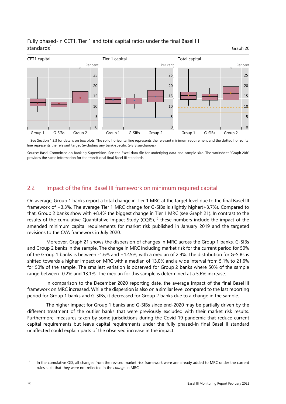#### <span id="page-35-1"></span>Fully phased-in CET1, Tier 1 and total capital ratios under the final Basel III standards $1$ Graph 20



 $1$  See Section 1.3.3 for details on box plots. The solid horizontal line represents the relevant minimum requirement and the dotted horizontal line represents the relevant target (excluding any bank-specific G-SIB surcharges).

Source: Basel Committee on Banking Supervision. See the Excel data file for underlying data and sample size. The worksheet ["Graph 20b](#page-35-1)" provides the same information for the transitional final Basel III standards.

#### <span id="page-35-0"></span>2.2 Impact of the final Basel III framework on minimum required capital

On average, Group 1 banks report a total change in Tier 1 MRC at the target level due to the final Basel III framework of +3.3%. The average Tier 1 MRC change for G-SIBs is slightly higher(+3.7%). Compared to that, Group 2 banks show with +8.4% the biggest change in Tier 1 MRC (see [Graph 21\)](#page-36-0). In contrast to the results of the cumulative Quantitative Impact Study (CQIS), $<sup>12</sup>$  these numbers include the impact of the</sup> amended minimum capital requirements for market risk published in January 2019 and the targeted revisions to the CVA framework in July 2020.

Moreover, [Graph 21](#page-36-0) shows the dispersion of changes in MRC across the Group 1 banks, G-SIBs and Group 2 banks in the sample. The change in MRC including market risk for the current period for 50% of the Group 1 banks is between -1.6% and +12.5%, with a median of 2.9%. The distribution for G-SIBs is shifted towards a higher impact on MRC with a median of 13.0% and a wide interval from 5.1% to 21.6% for 50% of the sample. The smallest variation is observed for Group 2 banks where 50% of the sample range between -0.2% and 13.1%. The median for this sample is determined at a 5.6% increase.

In comparison to the December 2020 reporting date, the average impact of the final Basel III framework on MRC increased. While the dispersion is also on a similar level compared to the last reporting period for Group 1 banks and G-SIBs, it decreased for Group 2 banks due to a change in the sample.

The higher impact for Group 1 banks and G-SIBs since end-2020 may be partially driven by the different treatment of the outlier banks that were previously excluded with their market risk results. Furthermore, measures taken by some jurisdictions during the Covid-19 pandemic that reduce current capital requirements but leave capital requirements under the fully phased-in final Basel III standard unaffected could explain parts of the observed increase in the impact.

<span id="page-35-2"></span><sup>&</sup>lt;sup>12</sup> In the cumulative QIS, all changes from the revised market risk framework were are already added to MRC under the current rules such that they were not reflected in the *change* in MRC.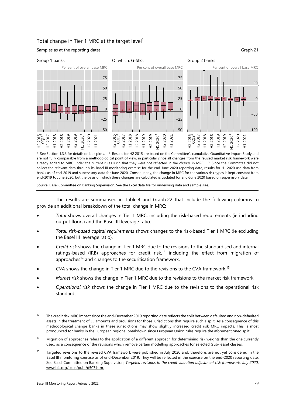#### Total change in Tier 1 MRC at the target level<sup>1</sup>

Samples as at the reporting dates Graph 21

<span id="page-36-3"></span>

are not fully comparable from a methodological point of view, in particular since all changes from the revised market risk framework were already added to MRC under the current rules such that they were not reflected in the *change* in MRC. 3 Since the Committee did not collect the relevant data through its Basel III monitoring exercise for the end-June 2020 reporting date, results for H1 2020 use data from banks as of end-2019 and supervisory data for June 2020. Consequently, the change in MRC for the various risk types is kept constant from end-2019 to June 2020, but the basis on which these changes are calculated is updated for end-June 2020 based on supervisory data.

Source: Basel Committee on Banking Supervision. See the Excel data file for underlying data and sample size.

The results are summarised in [Table 4](#page-37-0) and [Graph 22](#page-39-0) that include the following columns to provide an additional breakdown of the total change in MRC:

- *Total* shows overall changes in Tier 1 MRC, including the risk-based requirements (ie including output floors) and the Basel III leverage ratio.
- *Total: risk-based capital requirements* shows changes to the risk-based Tier 1 MRC (ie excluding the Basel III leverage ratio).
- *Credit risk* shows the change in Tier 1 MRC due to the revisions to the standardised and internal ratings-based (IRB) approaches for credit risk,<sup>13</sup> including the effect from migration of approaches<sup>14</sup> and changes to the securitisation framework.
- *CVA* shows the change in Tier 1 MRC due to the revisions to the CVA framework.[15](#page-36-2)
- *Market risk* shows the change in Tier 1 MRC due to the revisions to the market risk framework.
- *Operational risk* shows the change in Tier 1 MRC due to the revisions to the operational risk standards.

- <span id="page-36-1"></span><sup>14</sup> Migration of approaches refers to the application of a different approach for determining risk weights than the one currently used, as a consequence of the revisions which remove certain modelling approaches for selected (sub-)asset classes.
- <span id="page-36-2"></span><sup>15</sup> Targeted revisions to the revised CVA framework were published in July 2020 and, therefore, are not yet considered in the Basel III monitoring exercise as of end-December 2019. They will be reflected in the exercise on the end-2020 reporting date. See Basel Committee on Banking Supervision, *Targeted revisions to the credit valuation adjustment risk framework, July 2020*, [www.bis.org/bcbs/publ/d507.htm.](https://www.bis.org/bcbs/publ/d507.htm)

<span id="page-36-0"></span><sup>13</sup> The credit risk MRC impact since the end-December 2019 reporting date reflects the split between defaulted and non-defaulted assets in the treatment of EL amounts and provisions for those jurisdictions that require such a split. As a consequence of this methodological change banks in these jurisdictions may show slightly increased credit risk MRC impacts. This is most pronounced for banks in the European regional breakdown since European Union rules require the aforementioned split.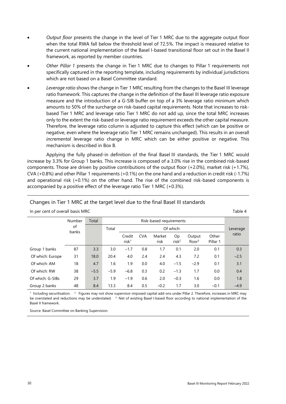- *Output floor* presents the change in the level of Tier 1 MRC due to the aggregate output floor when the total RWA fall below the threshold level of 72.5%. The impact is measured relative to the current national implementation of the Basel I-based transitional floor set out in the Basel II framework, as reported by member countries.
- *Other Pillar 1* presents the change in Tier 1 MRC due to changes to Pillar 1 requirements not specifically captured in the reporting template, including requirements by individual jurisdictions which are not based on a Basel Committee standard.
- *Leverage ratio* shows the change in Tier 1 MRC resulting from the changes to the Basel III leverage ratio framework. This captures the change in the definition of the Basel III leverage ratio exposure measure and the introduction of a G-SIB buffer on top of a 3% leverage ratio minimum which amounts to 50% of the surcharge on risk-based capital requirements. Note that increases to riskbased Tier 1 MRC and leverage ratio Tier 1 MRC do not add up, since the total MRC increases only to the extent the risk-based or leverage ratio requirement exceeds the other capital measure. Therefore, the leverage ratio column is adjusted to capture this effect (which can be positive or negative, even where the leverage ratio Tier 1 MRC remains unchanged). This results in an overall *incremental* leverage ratio change in MRC which can be either positive or negative. This mechanism is described in Box B.

Applying the fully phased-in definition of the final Basel III standards, the Tier 1 MRC would increase by 3.3% for Group 1 banks. This increase is composed of a 3.0% rise in the combined risk-based components. Those are driven by positive contributions of the output floor (+2.0%), market risk (+1.7%), CVA (+0.8%) and other Pillar 1 requirements (+0.1%) on the one hand and a reduction in credit risk (-1.7%) and operational risk (+0.1%) on the other hand. The rise of the combined risk-based components is accompanied by a positive effect of the leverage ratio Tier 1 MRC (+0.3%).

#### Changes in Tier 1 MRC at the target level due to the final Basel III standards

<span id="page-37-0"></span>In per cent of overall basis MRC Table 4

 Number  $\alpha$ f banks Total **Risk-based requirements** Leverage ratio Total Of which: Credit risk1 CVA Market risk Op  $risk<sup>2</sup>$ **Output** floor<sup>3</sup> **Other** Pillar 1 Group 1 banks  $87$   $3.3$   $3.0$   $-1.7$   $0.8$   $1.7$   $0.1$   $2.0$   $0.1$   $0.3$  Of which: Europe 31 18.0 20.4 4.0 2.4 2.4 4.3 7.2 0.1 –2.5 Of which: AM 18 4.7 1.6 1.9 0.0 4.0 -1.5 -2.9 0.1 3.1 Of which: RW 38 –5.5 –5.9 –6.8 0.3 0.2 –1.3 1.7 0.0 0.4 Of which: G-SIBs 29 3.7 1.9 -1.9 0.6 2.0 -0.3 1.6 0.0 1.8 Group 2 banks 48 8.4 13.3 8.4 0.5 -0.2 1.7 3.0 -0.1 -4.9

<sup>1</sup> Including securitisation. <sup>2</sup> Figures may not show supervisor-imposed capital add-ons under Pillar 2. Therefore, increases in MRC may be overstated and reductions may be understated. <sup>3</sup> Net of existing Basel I-based floor according to national implementation of the Basel II framework.

Source: Basel Committee on Banking Supervision.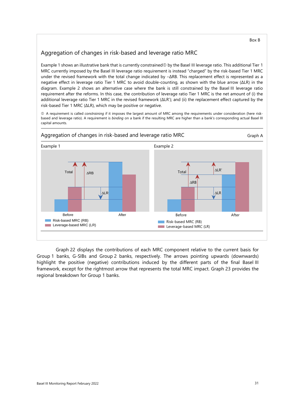# Aggregation of changes in risk-based and leverage ratio MRC

Example 1 shows an illustrative bank that is currently constrained $\Phi$  by the Basel III leverage ratio. This additional Tier 1 MRC currently imposed by the Basel III leverage ratio requirement is instead "charged" by the risk-based Tier 1 MRC under the revised framework with the total change indicated by -ΔRB. This replacement effect is represented as a negative effect in leverage ratio Tier 1 MRC to avoid double-counting, as shown with the blue arrow (ΔLR) in the diagram. Example 2 shows an alternative case where the bank is still constrained by the Basel III leverage ratio requirement after the reforms. In this case, the contribution of leverage ratio Tier 1 MRC is the net amount of (i) the additional leverage ratio Tier 1 MRC in the revised framework (ΔLR'); and (ii) the replacement effect captured by the risk-based Tier 1 MRC (ΔLR), which may be positive or negative.

 A requirement is called *constraining* if it imposes the largest amount of MRC among the requirements under consideration (here riskbased and leverage ratio). A requirement is *binding* on a bank if the resulting MRC are higher than a bank's corresponding actual Basel III capital amounts.



[Graph 22](#page-39-0) displays the contributions of each MRC component relative to the current basis for Group 1 banks, G-SIBs and Group 2 banks, respectively. The arrows pointing upwards (downwards) highlight the positive (negative) contributions induced by the different parts of the final Basel III framework, except for the rightmost arrow that represents the total MRC impact. [Graph 23](#page-39-1) provides the regional breakdown for Group 1 banks.

Box B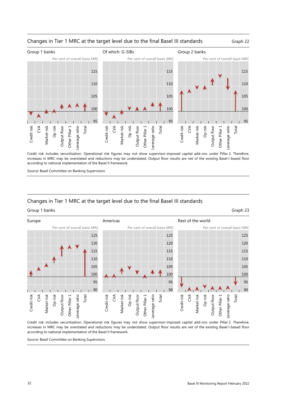

#### <span id="page-39-0"></span>Changes in Tier 1 MRC at the target level due to the final Basel III standards Graph 22

Credit risk includes securitisation. Operational risk figures may not show supervisor-imposed capital add-ons under Pillar 2. Therefore, increases in MRC may be overstated and reductions may be understated. Output floor results are net of the existing Basel I-based floor according to national implementation of the Basel II framework.

Source: Basel Committee on Banking Supervision.

#### Changes in Tier 1 MRC at the target level due to the final Basel III standards

#### <span id="page-39-1"></span>Group 1 banks Graph 23



Credit risk includes securitisation. Operational risk figures may not show supervisor-imposed capital add-ons under Pillar 2. Therefore, increases in MRC may be overstated and reductions may be understated. Output floor results are net of the existing Basel I-based floor according to national implementation of the Basel II framework.

Source: Basel Committee on Banking Supervision.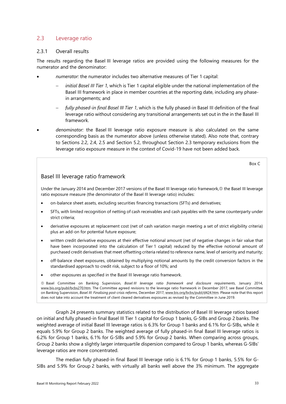# 2.3 Leverage ratio

#### 2.3.1 Overall results

The results regarding the Basel III leverage ratios are provided using the following measures for the numerator and the denominator:

- *numerator:* the numerator includes two alternative measures of Tier 1 capital:
	- *initial Basel III Tier 1,* which is Tier 1 capital eligible under the national implementation of the Basel III framework in place in member countries at the reporting date, including any phasein arrangements; and
	- − *fully phased-in final Basel III Tier 1*, which is the fully phased-in Basel III definition of the final leverage ratio without considering any transitional arrangements set out in the in the Basel III framework.
- *denominator:* the Basel III leverage ratio exposure measure is also calculated on the same corresponding basis as the numerator above (unless otherwise stated). Also note that, contrary to Sections 2.2, 2.4, 2.5 and Section 5.2, throughout Section 2.3 temporary exclusions from the leverage ratio exposure measure in the context of Covid-19 have not been added back.

Box C

### Basel III leverage ratio framework

Under the January 2014 and December 2017 versions of the Basel III leverage ratio framework, $\Phi$  the Basel III leverage ratio exposure measure (the denominator of the Basel III leverage ratio) includes:

- on-balance sheet assets, excluding securities financing transactions (SFTs) and derivatives;
- SFTs, with limited recognition of netting of cash receivables and cash payables with the same counterparty under strict criteria;
- derivative exposures at replacement cost (net of cash variation margin meeting a set of strict eligibility criteria) plus an add-on for potential future exposure;
- written credit derivative exposures at their effective notional amount (net of negative changes in fair value that have been incorporated into the calculation of Tier 1 capital) reduced by the effective notional amount of purchased credit derivatives that meet offsetting criteria related to reference name, level of seniority and maturity;
- off-balance sheet exposures, obtained by multiplying notional amounts by the credit conversion factors in the standardised approach to credit risk, subject to a floor of 10%; and
- other exposures as specified in the Basel III leverage ratio framework.

 Basel Committee on Banking Supervision, *Basel III leverage ratio framework and disclosure requirements*, January 2014, [www.bis.org/publ/bcbs270.htm.](http://www.bis.org/publ/bcbs270.htm) The Committee agreed revisions to the leverage ratio framework in December 2017, see Basel Committee on Banking Supervision, *Basel III: Finalising post-crisis reforms*, December 2017[, www.bis.org/bcbs/publ/d424.htm.](https://www.bis.org/bcbs/publ/d424.htm) Please note that this report does not take into account the treatment of client cleared derivatives exposures as revised by the Committee in June 2019.

[Graph 24](#page-41-0) presents summary statistics related to the distribution of Basel III leverage ratios based on initial and fully phased-in final Basel III Tier 1 capital for Group 1 banks, G-SIBs and Group 2 banks. The weighted average of initial Basel III leverage ratios is 6.3% for Group 1 banks and 6.1% for G-SIBs, while it equals 5.9% for Group 2 banks. The weighted average of fully phased-in final Basel III leverage ratios is 6.2% for Group 1 banks, 6.1% for G-SIBs and 5.9% for Group 2 banks. When comparing across groups, Group 2 banks show a slightly larger interquartile dispersion compared to Group 1 banks, whereas G-SIBs' leverage ratios are more concentrated.

The median fully phased-in final Basel III leverage ratio is 6.1% for Group 1 banks, 5.5% for G-SIBs and 5.9% for Group 2 banks, with virtually all banks well above the 3% minimum. The aggregate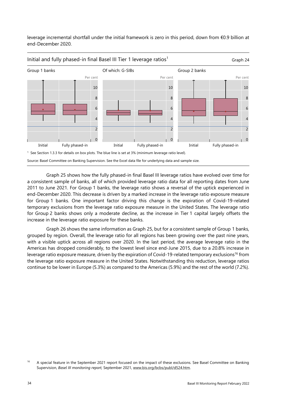<span id="page-41-0"></span>leverage incremental shortfall under the initial framework is zero in this period, down from €0.9 billion at end-December 2020.



[Graph 25](#page-42-0) shows how the fully phased-in final Basel III leverage ratios have evolved over time for a consistent sample of banks, all of which provided leverage ratio data for all reporting dates from June 2011 to June 2021. For Group 1 banks, the leverage ratio shows a reversal of the uptick experienced in end-December 2020. This decrease is driven by a marked increase in the leverage ratio exposure measure for Group 1 banks. One important factor driving this change is the expiration of Covid-19-related temporary exclusions from the leverage ratio exposure measure in the United States. The leverage ratio for Group 2 banks shows only a moderate decline, as the increase in Tier 1 capital largely offsets the increase in the leverage ratio exposure for these banks.

[Graph 26](#page-42-1) shows the same information as [Graph 25,](#page-42-0) but for a consistent sample of Group 1 banks, grouped by region. Overall, the leverage ratio for all regions has been growing over the past nine years, with a visible uptick across all regions over 2020. In the last period, the average leverage ratio in the Americas has dropped considerably, to the lowest level since end-June 2015, due to a 20.8% increase in leverage ratio exposure measure, driven by the expiration of Covid-19-related temporary exclusions<sup>16</sup> from the leverage ratio exposure measure in the United States. Notwithstanding this reduction, leverage ratios continue to be lower in Europe (5.3%) as compared to the Americas (5.9%) and the rest of the world (7.2%).

<span id="page-41-1"></span><sup>&</sup>lt;sup>16</sup> A special feature in the September 2021 report focused on the impact of these exclusions. See Basel Committee on Banking Supervision, *Basel III monitoring report,* September 2021, [www.bis.org/bcbs/publ/d524.htm.](http://www.bis.org/bcbs/publ/d524.htm)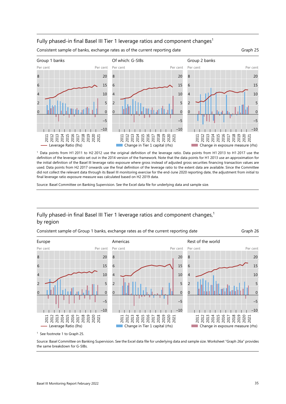#### Fully phased-in final Basel III Tier 1 leverage ratios and component changes<sup>1</sup>



Consistent sample of banks, exchange rates as of the current reporting date Graph 25

<span id="page-42-1"></span><span id="page-42-0"></span>



Source: Basel Committee on Banking Supervision. See the Excel data file for underlying data and sample size.

# Fully phased-in final Basel III Tier 1 leverage ratios and component changes,<sup>1</sup> by region



Consistent sample of Group 1 banks, exchange rates as of the current reporting date Graph 26

<sup>1</sup> See footnote 1 to Graph 25.

Source: Basel Committee on Banking Supervision. See the Excel data file for underlying data and sample size. Worksheet ["Graph 26a](#page-42-1)" provides the same breakdown for G-SIBs.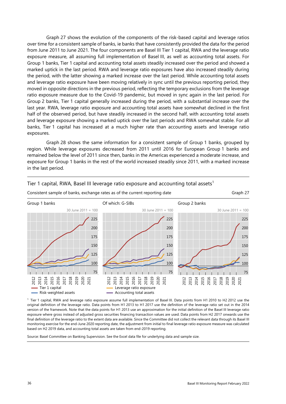[Graph 27](#page-43-0) shows the evolution of the components of the risk-based capital and leverage ratios over time for a consistent sample of banks, ie banks that have consistently provided the data for the period from June 2011 to June 2021. The four components are Basel III Tier 1 capital, RWA and the leverage ratio exposure measure, all assuming full implementation of Basel III, as well as accounting total assets. For Group 1 banks, Tier 1 capital and accounting total assets steadily increased over the period and showed a marked uptick in the last period. RWA and leverage ratio exposures have also increased steadily during the period, with the latter showing a marked increase over the last period. While accounting total assets and leverage ratio exposure have been moving relatively in sync until the previous reporting period, they moved in opposite directions in the previous period, reflecting the temporary exclusions from the leverage ratio exposure measure due to the Covid-19 pandemic, but moved in sync again in the last period. For Group 2 banks, Tier 1 capital generally increased during the period, with a substantial increase over the last year. RWA, leverage ratio exposure and accounting total assets have somewhat declined in the first half of the observed period, but have steadily increased in the second half, with accounting total assets and leverage exposure showing a marked uptick over the last periods and RWA somewhat stable. For all banks, Tier 1 capital has increased at a much higher rate than accounting assets and leverage ratio exposures.

[Graph 28](#page-44-0) shows the same information for a consistent sample of Group 1 banks, grouped by region. While leverage exposures decreased from 2011 until 2016 for European Group 1 banks and remained below the level of 2011 since then, banks in the Americas experienced a moderate increase, and exposure for Group 1 banks in the rest of the world increased steadily since 2011, with a marked increase in the last period.



# <span id="page-43-0"></span>Tier 1 capital, RWA, Basel III leverage ratio exposure and accounting total assets<sup>1</sup>

 1 Tier 1 capital, RWA and leverage ratio exposure assume full implementation of Basel III. Data points from H1 2010 to H2 2012 use the original definition of the leverage ratio. Data points from H1 2013 to H1 2017 use the definition of the leverage ratio set out in the 2014 version of the framework. Note that the data points for H1 2013 use an approximation for the initial definition of the Basel III leverage ratio exposure where gross instead of adjusted gross securities financing transaction values are used. Data points from H2 2017 onwards use the final definition of the leverage ratio to the extent data are available. Since the Committee did not collect the relevant data through its Basel III monitoring exercise for the end-June 2020 reporting date, the adjustment from initial to final leverage ratio exposure measure was calculated based on H2 2019 data, and accounting total assets are taken from end-2019 reporting.

Source: Basel Committee on Banking Supervision. See the Excel data file for underlying data and sample size.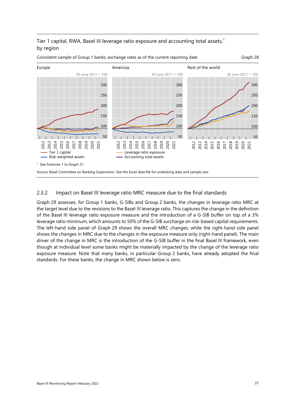# Tier 1 capital, RWA, Basel III leverage ratio exposure and accounting total assets,<sup>1</sup> by region



#### <span id="page-44-0"></span>Consistent sample of Group 1 banks, exchange rates as of the current reporting date Graph 28

#### 2.3.2 Impact on Basel III leverage ratio MRC measure due to the final standards

[Graph 29](#page-45-0) assesses, for Group 1 banks, G-SIBs and Group 2 banks, the changes in leverage ratio MRC at the target level due to the revisions to the Basel III leverage ratio. This captures the change in the definition of the Basel III leverage ratio exposure measure and the introduction of a G-SIB buffer on top of a 3% leverage ratio minimum, which amounts to 50% of the G-SIB surcharge on risk-based capital requirements. The left-hand side panel of [Graph 29](#page-45-0) shows the overall MRC changes, while the right-hand side panel shows the changes in MRC due to the changes in the exposure measure only (right-hand panel). The main driver of the change in MRC is the introduction of the G-SIB buffer in the final Basel III framework, even though at individual level some banks might be materially impacted by the change of the leverage ratio exposure measure. Note that many banks, in particular Group 2 banks, have already adopted the final standards. For these banks, the change in MRC shown below is zero.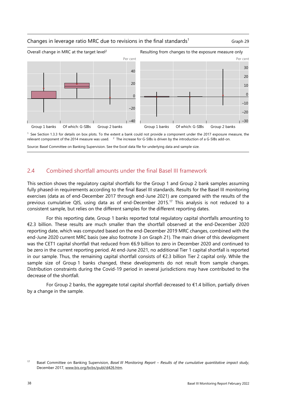#### Changes in leverage ratio MRC due to revisions in the final standards<sup>1</sup> Graph 29

<span id="page-45-0"></span>



<sup>1</sup> See Section 1.3.3 for details on box plots. To the extent a bank could not provide a component under the 2017 exposure measure, the relevant component of the 2014 measure was used. <sup>2</sup> The increase for G-SIBs is driven by the introduction of a G-SIBs add-on.

Source: Basel Committee on Banking Supervision. See the Excel data file for underlying data and sample size.

#### 2.4 Combined shortfall amounts under the final Basel III framework

This section shows the regulatory capital shortfalls for the Group 1 and Group 2 bank samples assuming fully phased-in requirements according to the final Basel III standards. Results for the Basel III monitoring exercises (data as of end-December 2017 through end-June 2021) are compared with the results of the previous cumulative QIS, using data as of end-December 2015.<sup>17</sup> This analysis is not reduced to a consistent sample, but relies on the different samples for the different reporting dates.

For this reporting date, Group 1 banks reported total regulatory capital shortfalls amounting to €2.3 billion. These results are much smaller than the shortfall observed at the end-December 2020 reporting date, which was computed based on the end-December 2019 MRC changes, combined with the end-June 2020 current MRC basis (see also footnote 3 on [Graph 21\)](#page-36-3). The main driver of this development was the CET1 capital shortfall that reduced from €6.9 billion to zero in December 2020 and continued to be zero in the current reporting period. At end-June 2021, no additional Tier 1 capital shortfall is reported in our sample. Thus, the remaining capital shortfall consists of €2.3 billion Tier 2 capital only. While the sample size of Group 1 banks changed, these developments do not result from sample changes. Distribution constraints during the Covid-19 period in several jurisdictions may have contributed to the decrease of the shortfall.

For Group 2 banks, the aggregate total capital shortfall decreased to  $€1.4$  billion, partially driven by a change in the sample.

<span id="page-45-1"></span><sup>17</sup> Basel Committee on Banking Supervision, *Basel III Monitoring Report – Results of the cumulative quantitative impact study*, December 2017, [www.bis.org/bcbs/publ/d426.htm.](https://www.bis.org/bcbs/publ/d426.htm)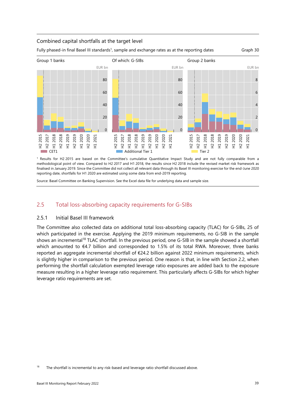#### Combined capital shortfalls at the target level

Fully phased-in final Basel III standards<sup>1</sup>, sample and exchange rates as at the reporting dates Graph 30



1 Results for H2 2015 are based on the Committee's cumulative Quantitative Impact Study and are not fully comparable from a methodological point of view. Compared to H2 2017 and H1 2018, the results since H2 2018 include the revised market risk framework as finalised in January 2019. Since the Committee did not collect all relevant data through its Basel III monitoring exercise for the end-June 2020 reporting date, shortfalls for H1 2020 are estimated using some data from end-2019 reporting.

Source: Basel Committee on Banking Supervision. See the Excel data file for underlying data and sample size.

# 2.5 Total loss-absorbing capacity requirements for G-SIBs

#### 2.5.1 Initial Basel III framework

The Committee also collected data on additional total loss-absorbing capacity (TLAC) for G-SIBs, 25 of which participated in the exercise. Applying the 2019 minimum requirements, no G-SIB in the sample shows an incremental<sup>18</sup> TLAC shortfall. In the previous period, one G-SIB in the sample showed a shortfall which amounted to €4.7 billion and corresponded to 1.5% of its total RWA. Moreover, three banks reported an aggregate incremental shortfall of €24.2 billion against 2022 minimum requirements, which is slightly higher in comparison to the previous period. One reason is that, in line with Section 2.2, when performing the shortfall calculation exempted leverage ratio exposures are added back to the exposure measure resulting in a higher leverage ratio requirement. This particularly affects G-SIBs for which higher leverage ratio requirements are set.

<span id="page-46-0"></span> $18$  The shortfall is incremental to any risk-based and leverage ratio shortfall discussed above.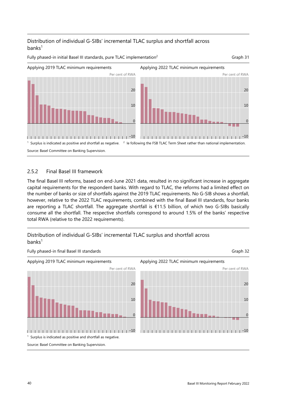# Distribution of individual G-SIBs' incremental TLAC surplus and shortfall across  $banks<sup>1</sup>$

Fully phased-in initial Basel III standards, pure TLAC implementation<sup>2</sup> Graph 31



# 2.5.2 Final Basel III framework

The final Basel III reforms, based on end-June 2021 data, resulted in no significant increase in aggregate capital requirements for the respondent banks. With regard to TLAC, the reforms had a limited effect on the number of banks or size of shortfalls against the 2019 TLAC requirements. No G-SIB shows a shortfall, however, relative to the 2022 TLAC requirements, combined with the final Basel III standards, four banks are reporting a TLAC shortfall. The aggregate shortfall is €11.5 billion, of which two G-SIBs basically consume all the shortfall. The respective shortfalls correspond to around 1.5% of the banks' respective total RWA (relative to the 2022 requirements).



# Distribution of individual G-SIBs' incremental TLAC surplus and shortfall across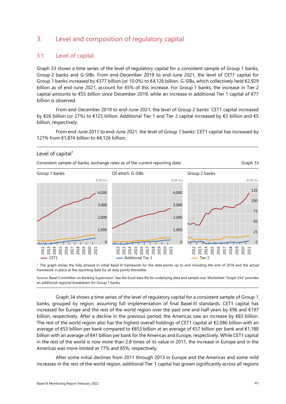# 3. Level and composition of regulatory capital

### 3.1 Level of capital

[Graph 33](#page-48-0) shows a time series of the level of regulatory capital for a consistent sample of Group 1 banks, Group 2 banks and G-SIBs. From end-December 2019 to end-June 2021, the level of CET1 capital for Group 1 banks increased by €377 billion (or 10.0%) to €4,126 billion. G-SIBs, which collectively held €2,929 billion as of end-June 2021, account for 65% of this increase. For Group 1 banks, the increase in Tier 2 capital amounts to €55 billion since December 2019, while an increase in additional Tier 1 capital of €77 billion is observed.

From end-December 2019 to end-June 2021, the level of Group 2 banks' CET1 capital increased by €26 billion (or 27%) to €125 billion. Additional Tier 1 and Tier 2 capital increased by €3 billion and €5 billion, respectively.

From end-June 2011 to end-June 2021, the level of Group 1 banks' CET1 capital has increased by 121% from €1,874 billion to €4,126 billion.

#### <span id="page-48-0"></span>Level of capital $1$



 1 The graph shows the fully phased-in initial Basel III framework for the data points up to and including the end of 2018 and the actual framework in place at the reporting date for all data points thereafter.

Source: Basel Committee on Banking Supervision. See the Excel data file for underlying data and sample size. Worksheet ["Graph 33a](#page-48-0)" provides an additional regional breakdown for Group 1 banks.

[Graph 34](#page-49-0) shows a time series of the level of regulatory capital for a consistent sample of Group 1 banks, grouped by region, assuming full implementation of final Basel III standards. CET1 capital has increased for Europe and the rest of the world region over the past one and half years by €96 and €197 billion, respectively. After a decline in the previous period, the Americas saw an increase by €83 billion. The rest of the world region also has the highest overall holdings of CET1 capital at €2,086 billion with an average of €53 billion per bank compared to €853 billion at an average of €57 billion per bank and €1,188 billion with an average of €41 billion per bank for the Americas and Europe, respectively. While CET1 capital in the rest of the world is now more than 2.8 times of its value in 2011, the increase in Europe and in the Americas was more limited at 77% and 85%, respectively.

After some initial declines from 2011 through 2013 in Europe and the Americas and some mild increases in the rest of the world region, additional Tier 1 capital has grown significantly across all regions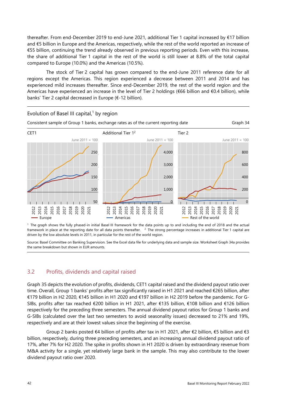thereafter. From end-December 2019 to end-June 2021, additional Tier 1 capital increased by €17 billion and €5 billion in Europe and the Americas, respectively, while the rest of the world reported an increase of €55 billion, continuing the trend already observed in previous reporting periods. Even with this increase, the share of additional Tier 1 capital in the rest of the world is still lower at 8.8% of the total capital compared to Europe (10.0%) and the Americas (10.5%).

The stock of Tier 2 capital has grown compared to the end-June 2011 reference date for all regions except the Americas. This region experienced a decrease between 2011 and 2014 and has experienced mild increases thereafter. Since end-December 2019, the rest of the world region and the Americas have experienced an increase in the level of Tier 2 holdings (€66 billion and €0.4 billion), while banks' Tier 2 capital decreased in Europe (€-12 billion).

<span id="page-49-0"></span>

<sup>1</sup> The graph shows the fully phased-in initial Basel III framework for the data points up to and including the end of 2018 and the actual framework in place at the reporting date for all data points thereafter. <sup>2</sup> The strong percentage increases in additional Tier 1 capital are driven by the low absolute levels in 2011, in particular for the rest of the world region.

Source: Basel Committee on Banking Supervision. See the Excel data file for underlying data and sample size. Workshee[t Graph 34a](#page-49-0) provides the same breakdown but shown in EUR amounts.

# 3.2 Profits, dividends and capital raised

[Graph 35](#page-50-0) depicts the evolution of profits, dividends, CET1 capital raised and the dividend payout ratio over time. Overall, Group 1 banks' profits after tax significantly raised in H1 2021 and reached €265 billion, after €179 billion in H2 2020, €145 billion in H1 2020 and €197 billion in H2 2019 before the pandemic. For G-SIBs, profits after tax reached €200 billion in H1 2021, after €135 billion, €108 billion and €126 billion respectively for the preceding three semesters. The annual dividend payout ratios for Group 1 banks and G-SIBs (calculated over the last two semesters to avoid seasonality issues) decreased to 21% and 19%, respectively and are at their lowest values since the beginning of the exercise.

Group 2 banks posted €4 billion of profits after tax in H1 2021, after €2 billion, €5 billion and €3 billion, respectively, during three preceding semesters, and an increasing annual dividend payout ratio of 17%, after 7% for H2 2020. The spike in profits shown in H1 2020 is driven by extraordinary revenue from M&A activity for a single, yet relatively large bank in the sample. This may also contribute to the lower dividend payout ratio over 2020.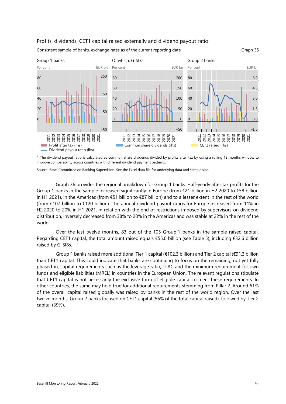#### Profits, dividends, CET1 capital raised externally and dividend payout ratio



Consistent sample of banks, exchange rates as of the current reporting date Graph 35

<span id="page-50-0"></span>

 $<sup>1</sup>$  The dividend payout ratio is calculated as common share dividends divided by profits after tax by using a rolling 12 months window to</sup> improve comparability across countries with different dividend payment patterns.

Source: Basel Committee on Banking Supervision. See the Excel data file for underlying data and sample size.

[Graph 36](#page-51-0) provides the regional breakdown for Group 1 banks. Half-yearly after tax profits for the Group 1 banks in the sample increased significantly in Europe (from  $\epsilon$ 21 billion in H2 2020 to  $\epsilon$ 58 billion in H1 2021), in the Americas (from €51 billion to €87 billion) and to a lesser extent in the rest of the world (from €107 billion to €120 billion). The annual dividend payout ratios for Europe increased from 11% in H2 2020 to 20% in H1 2021, in relation with the end of restrictions imposed by supervisors on dividend distribution, inversely decreased from 38% to 20% in the Americas and was stable at 22% in the rest of the world.

Over the last twelve months, 83 out of the 105 Group 1 banks in the sample raised capital. Regarding CET1 capital, the total amount raised equals €55.0 billion (see [Table 5\)](#page-51-1), including €32.6 billion raised by G-SIBs.

Group 1 banks raised more additional Tier 1 capital (€102.3 billion) and Tier 2 capital (€91.3 billion than CET1 capital. This could indicate that banks are continuing to focus on the remaining, not yet fully phased-in, capital requirements such as the leverage ratio, TLAC and the minimum requirement for own funds and eligible liabilities (MREL) in countries in the European Union. The relevant regulations stipulate that CET1 capital is not necessarily the exclusive form of eligible capital to meet these requirements. In other countries, the same may hold true for additional requirements stemming from Pillar 2. Around 61% of the overall capital raised globally was raised by banks in the rest of the world region. Over the last twelve months, Group 2 banks focused on CET1 capital (56% of the total capital raised), followed by Tier 2 capital (39%).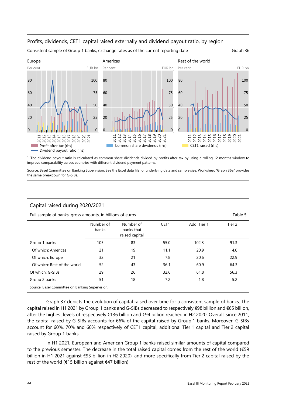#### <span id="page-51-0"></span>Profits, dividends, CET1 capital raised externally and dividend payout ratio, by region



Consistent sample of Group 1 banks, exchange rates as of the current reporting date Graph 36

1 The dividend payout ratio is calculated as common share dividends divided by profits after tax by using a rolling 12 months window to improve comparability across countries with different dividend payment patterns.

Source: Basel Committee on Banking Supervision. See the Excel data file for underlying data and sample size. Worksheet ["Graph 36a](#page-51-0)" provides the same breakdown for G-SIBs.

#### <span id="page-51-1"></span>Capital raised during 2020/2021

Full sample of banks, gross amounts, in billions of euros Table 5

|                                                 | Number of<br>banks | Number of<br>banks that<br>raised capital | CET <sub>1</sub> | Add. Tier 1 | Tier 2 |  |
|-------------------------------------------------|--------------------|-------------------------------------------|------------------|-------------|--------|--|
| Group 1 banks                                   | 105                | 83                                        | 55.0             | 102.3       | 91.3   |  |
| Of which: Americas                              | 21                 | 19                                        | 11.1             | 20.9        | 4.0    |  |
| Of which: Europe                                | 32                 | 21                                        | 7.8              | 20.6        | 22.9   |  |
| Of which: Rest of the world                     | 52                 | 43                                        | 36.1             | 60.9        | 64.3   |  |
| Of which: G-SIBs                                | 29                 | 26                                        | 32.6             | 61.8        | 56.3   |  |
| Group 2 banks                                   | 51                 | 18                                        | 7.2              | 1.8         | 5.2    |  |
| Source: Basel Committee on Banking Supervision. |                    |                                           |                  |             |        |  |

[Graph 37](#page-52-0) depicts the evolution of capital raised over time for a consistent sample of banks. The capital raised in H1 2021 by Group 1 banks and G-SIBs decreased to respectively €98 billion and €65 billion, after the highest levels of respectively €136 billion and €94 billion reached in H2 2020. Overall, since 2011, the capital raised by G-SIBs accounts for 66% of the capital raised by Group 1 banks. Moreover, G-SIBs account for 60%, 70% and 60% respectively of CET1 capital, additional Tier 1 capital and Tier 2 capital raised by Group 1 banks.

In H1 2021, European and American Group 1 banks raised similar amounts of capital compared to the previous semester. The decrease in the total raised capital comes from the rest of the world (€59 billion in H1 2021 against €93 billion in H2 2020), and more specifically from Tier 2 capital raised by the rest of the world (€15 billion against €47 billion)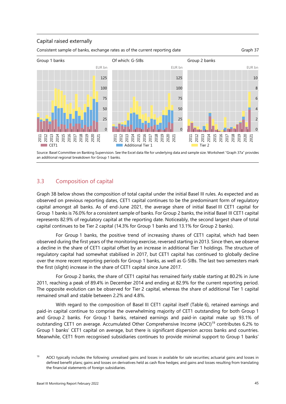#### Capital raised externally

Consistent sample of banks, exchange rates as of the current reporting date Graph 37

<span id="page-52-0"></span>



Source: Basel Committee on Banking Supervision. See the Excel data file for underlying data and sample size. Worksheet ["Graph 37a](#page-52-0)" provides an additional regional breakdown for Group 1 banks.

# 3.3 Composition of capital

[Graph 38](#page-53-0) below shows the composition of total capital under the initial Basel III rules. As expected and as observed on previous reporting dates, CET1 capital continues to be the predominant form of regulatory capital amongst all banks. As of end-June 2021, the average share of initial Basel III CET1 capital for Group 1 banks is 76.0% for a consistent sample of banks. For Group 2 banks, the initial Basel III CET1 capital represents 82.9% of regulatory capital at the reporting date. Noticeably, the second largest share of total capital continues to be Tier 2 capital (14.3% for Group 1 banks and 13.1% for Group 2 banks).

For Group 1 banks, the positive trend of increasing shares of CET1 capital, which had been observed during the first years of the monitoring exercise, reversed starting in 2013. Since then, we observe a decline in the share of CET1 capital offset by an increase in additional Tier 1 holdings. The structure of regulatory capital had somewhat stabilised in 2017, but CET1 capital has continued to globally decline over the more recent reporting periods for Group 1 banks, as well as G-SIBs. The last two semesters mark the first (slight) increase in the share of CET1 capital since June 2017.

For Group 2 banks, the share of CET1 capital has remained fairly stable starting at 80.2% in June 2011, reaching a peak of 89.4% in December 2014 and ending at 82.9% for the current reporting period. The opposite evolution can be observed for Tier 2 capital, whereas the share of additional Tier 1 capital remained small and stable between 2.2% and 4.8%.

With regard to the composition of Basel III CET1 capital itself [\(Table 6\)](#page-53-1), retained earnings and paid-in capital continue to comprise the overwhelming majority of CET1 outstanding for both Group 1 and Group 2 banks. For Group 1 banks, retained earnings and paid-in capital make up 93.1% of outstanding CET1 on average. Accumulated Other Comprehensive Income (AOCI)[19](#page-52-1) contributes 6.2% to Group 1 banks' CET1 capital on average, but there is significant dispersion across banks and countries. Meanwhile, CET1 from recognised subsidiaries continues to provide minimal support to Group 1 banks'

<span id="page-52-1"></span><sup>19</sup> AOCI typically includes the following: unrealised gains and losses in available for sale securities; actuarial gains and losses in defined benefit plans; gains and losses on derivatives held as cash flow hedges; and gains and losses resulting from translating the financial statements of foreign subsidiaries.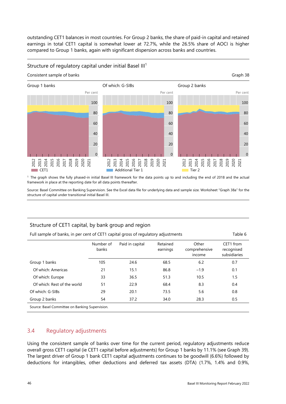outstanding CET1 balances in most countries. For Group 2 banks, the share of paid-in capital and retained earnings in total CET1 capital is somewhat lower at 72.7%, while the 26.5% share of AOCI is higher compared to Group 1 banks, again with significant dispersion across banks and countries.

#### <span id="page-53-0"></span>Structure of regulatory capital under initial Basel III<sup>1</sup>



<sup>1</sup> The graph shows the fully phased-in initial Basel III framework for the data points up to and including the end of 2018 and the actual framework in place at the reporting date for all data points thereafter.

Source: Basel Committee on Banking Supervision. See the Excel data file for underlying data and sample size. Worksheet ["Graph 38a](#page-53-0)" for the structure of capital under transitional initial Basel III.

# <span id="page-53-1"></span>Structure of CET1 capital, by bank group and region

| Full sample of banks, in per cent of CET1 capital gross of regulatory adjustments<br>Table 6 |                    |                 |                      |                                  |                                         |
|----------------------------------------------------------------------------------------------|--------------------|-----------------|----------------------|----------------------------------|-----------------------------------------|
|                                                                                              | Number of<br>banks | Paid in capital | Retained<br>earnings | Other<br>comprehensive<br>income | CET1 from<br>recognised<br>subsidiaries |
| Group 1 banks                                                                                | 105                | 24.6            | 68.5                 | 6.2                              | 0.7                                     |
| Of which: Americas                                                                           | 21                 | 15.1            | 86.8                 | $-1.9$                           | 0.1                                     |
| Of which: Europe                                                                             | 33                 | 36.5            | 51.3                 | 10.5                             | 1.5                                     |
| Of which: Rest of the world                                                                  | 51                 | 22.9            | 68.4                 | 8.3                              | 0.4                                     |
| Of which: G-SIBs                                                                             | 29                 | 20.1            | 73.5                 | 5.6                              | 0.8                                     |
| Group 2 banks                                                                                | 54                 | 37.2            | 34.0                 | 28.3                             | 0.5                                     |

Source: Basel Committee on Banking Supervision.

#### 3.4 Regulatory adjustments

Using the consistent sample of banks over time for the current period, regulatory adjustments reduce overall gross CET1 capital (ie CET1 capital before adjustments) for Group 1 banks by 11.1% (see [Graph 39\)](#page-54-0). The largest driver of Group 1 bank CET1 capital adjustments continues to be goodwill (6.6%) followed by deductions for intangibles, other deductions and deferred tax assets (DTA) (1.7%, 1.4% and 0.9%,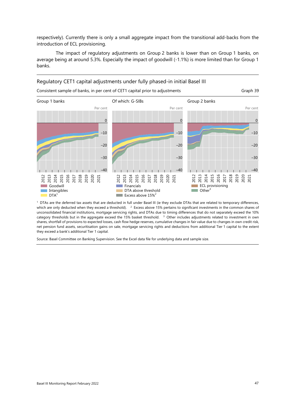respectively). Currently there is only a small aggregate impact from the transitional add-backs from the introduction of ECL provisioning.

The impact of regulatory adjustments on Group 2 banks is lower than on Group 1 banks, on average being at around 5.3%. Especially the impact of goodwill (-1.1%) is more limited than for Group 1 banks.

#### Regulatory CET1 capital adjustments under fully phased-in initial Basel III

<span id="page-54-0"></span>Consistent sample of banks, in per cent of CET1 capital prior to adjustments Graph 39

Group 1 banks Of which: G-SIBs Group 2 banks Per cent Per cent Per cent Per cent Per cent Per cent Per cent Per cent Per cent Per cent 0 –10 –20 –30  $-40$ 2012 2013<br>2015<br>2017<br>2018 2019 2020 2021 Goodwill **Intangibles**  $DTA<sup>1</sup>$ 0 –10 –20 –30 –40 2012 2013 2014 2015 2016 2017 2018 2019 2020 2021 **Financials** DTA above threshold **Excess above 15%**<sup>2</sup> 0  $-10$ –20 –30 –40 2012 2013 2014 2015 2016 2017 2018 2019 2020 2021 **ECL** provisioning  $\Box$  Other<sup>3</sup>

<sup>1</sup> DTAs are the deferred tax assets that are deducted in full under Basel III (ie they exclude DTAs that are related to temporary differences, which are only deducted when they exceed a threshold). <sup>2</sup> Excess above 15% pertains to significant investments in the common shares of unconsolidated financial institutions, mortgage servicing rights, and DTAs due to timing differences that do not separately exceed the 10% category thresholds but in the aggregate exceed the 15% basket threshold. 3 Other includes adjustments related to investment in own shares, shortfall of provisions to expected losses, cash flow hedge reserves, cumulative changes in fair value due to changes in own credit risk, net pension fund assets, securitisation gains on sale, mortgage servicing rights and deductions from additional Tier 1 capital to the extent they exceed a bank's additional Tier 1 capital.

Source: Basel Committee on Banking Supervision. See the Excel data file for underlying data and sample size.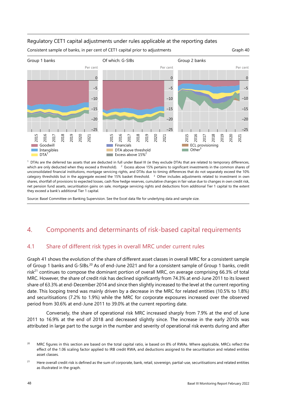#### Regulatory CET1 capital adjustments under rules applicable at the reporting dates



<sup>1</sup> DTAs are the deferred tax assets that are deducted in full under Basel III (ie they exclude DTAs that are related to temporary differences, which are only deducted when they exceed a threshold).  $2$  Excess above 15% pertains to significant investments in the common shares of unconsolidated financial institutions, mortgage servicing rights, and DTAs due to timing differences that do not separately exceed the 10% category thresholds but in the aggregate exceed the 15% basket threshold. 3 Other includes adjustments related to investment in own shares, shortfall of provisions to expected losses, cash flow hedge reserves, cumulative changes in fair value due to changes in own credit risk, net pension fund assets, securitisation gains on sale, mortgage servicing rights and deductions from additional Tier 1 capital to the extent they exceed a bank's additional Tier 1 capital.

Source: Basel Committee on Banking Supervision. See the Excel data file for underlying data and sample size.

# 4. Components and determinants of risk-based capital requirements

# 4.1 Share of different risk types in overall MRC under current rules

[Graph 41](#page-56-0) shows the evolution of the share of different asset classes in overall MRC for a consistent sample of Group 1 banks and G-SIBs.[20](#page-55-0) As of end-June 2021 and for a consistent sample of Group 1 banks, credit risk<sup>21</sup> continues to compose the dominant portion of overall MRC, on average comprising 66.3% of total MRC. However, the share of credit risk has declined significantly from 74.3% at end-June 2011 to its lowest share of 63.3% at end-December 2014 and since then slightly increased to the level at the current reporting date. This looping trend was mainly driven by a decrease in the MRC for related entities (10.5% to 1.8%) and securitisations (7.2% to 1.9%) while the MRC for corporate exposures increased over the observed period from 30.6% at end-June 2011 to 39.0% at the current reporting date.

Conversely, the share of operational risk MRC increased sharply from 7.9% at the end of June 2011 to 16.9% at the end of 2018 and decreased slightly since. The increase in the early 2010s was attributed in large part to the surge in the number and severity of operational risk events during and after

<span id="page-55-0"></span><sup>&</sup>lt;sup>20</sup> MRC figures in this section are based on the total capital ratio, ie based on 8% of RWAs. Where applicable, MRCs reflect the effect of the 1.06 scaling factor applied to IRB credit RWA, and deductions assigned to the securitisation and related entities asset classes.

<span id="page-55-1"></span><sup>&</sup>lt;sup>21</sup> Here overall credit risk is defined as the sum of corporate, bank, retail, sovereign, partial-use, securitisations and related entities as illustrated in the graph.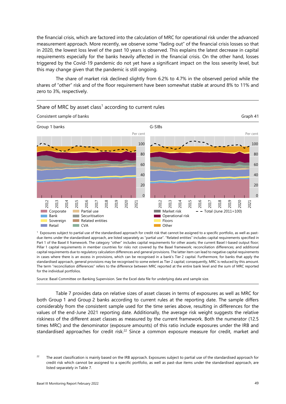the financial crisis, which are factored into the calculation of MRC for operational risk under the advanced measurement approach. More recently, we observe some "fading out" of the financial crisis losses so that in 2020, the lowest loss level of the past 10 years is observed. This explains the latest decrease in capital requirements especially for the banks heavily affected in the financial crisis. On the other hand, losses triggered by the Covid-19 pandemic do not yet have a significant impact on the loss severity level, but this may change given that the pandemic is still ongoing.

The share of market risk declined slightly from 6.2% to 4.7% in the observed period while the shares of "other" risk and of the floor requirement have been somewhat stable at around 8% to 11% and zero to 3%, respectively.



<span id="page-56-0"></span>Share of MRC by asset class<sup>1</sup> according to current rules

 $<sup>1</sup>$  Exposures subject to partial use of the standardised approach for credit risk that cannot be assigned to a specific portfolio, as well as past-</sup> due items under the standardised approach, are listed separately as "partial use". "Related entities" includes capital requirements specified in Part 1 of the Basel II framework. The category "other" includes capital requirements for other assets; the current Basel I-based output floor; Pillar 1 capital requirements in member countries for risks not covered by the Basel framework; reconciliation differences; and additional capital requirements due to regulatory calculation differences and general provisions. The latter item can lead to negative capital requirements in cases where there is an excess in provisions, which can be recognised in a bank's Tier 2 capital. Furthermore, for banks that apply the standardised approach, general provisions may be recognised to some extent as Tier 2 capital; consequently, MRC is reduced by this amount. The term "reconciliation differences" refers to the difference between MRC reported at the entire bank level and the sum of MRC reported for the individual portfolios.

Source: Basel Committee on Banking Supervision. See the Excel data file for underlying data and sample size.

[Table 7](#page-57-0) provides data on relative sizes of asset classes in terms of exposures as well as MRC for both Group 1 and Group 2 banks according to current rules at the reporting date. The sample differs considerably from the consistent sample used for the time series above, resulting in differences for the values of the end-June 2021 reporting date. Additionally, the average risk weight suggests the relative riskiness of the different asset classes as measured by the current framework. Both the numerator (12.5 times MRC) and the denominator (exposure amounts) of this ratio include exposures under the IRB and standardised approaches for credit risk.<sup>22</sup> Since a common exposure measure for credit, market and

<span id="page-56-1"></span> $22$  The asset classification is mainly based on the IRB approach. Exposures subject to partial use of the standardised approach for credit risk which cannot be assigned to a specific portfolio, as well as past-due items under the standardised approach, are listed separately i[n Table 7.](#page-57-0)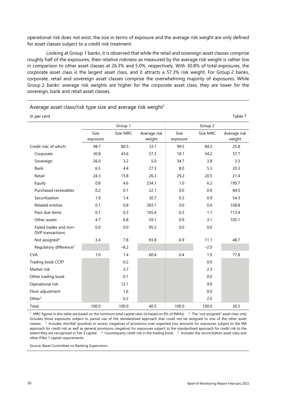operational risk does not exist, the size in terms of exposure and the average risk weight are only defined for asset classes subject to a credit risk treatment.

Looking at Group 1 banks, it is observed that while the retail and sovereign asset classes comprise roughly half of the exposures, their relative riskiness as measured by the average risk weight is rather low in comparison to other asset classes at 26.3% and 5.0%, respectively. With 30.8% of total exposures, the corporate asset class is the largest asset class, and it attracts a 57.3% risk weight. For Group 2 banks, corporate, retail and sovereign asset classes comprise the overwhelming majority of exposures. While Group 2 banks' average risk weights are higher for the corporate asset class, they are lower for the sovereign, bank and retail asset classes.

| Average asset class/risk type size and average risk weight <sup>1</sup> |  |  |
|-------------------------------------------------------------------------|--|--|
|                                                                         |  |  |

<span id="page-57-0"></span>

| In per cent                                |                  |          |                        |                  |          | Table 7                |
|--------------------------------------------|------------------|----------|------------------------|------------------|----------|------------------------|
|                                            |                  | Group 1  |                        |                  | Group 2  |                        |
|                                            | Size<br>exposure | Size MRC | Average risk<br>weight | Size<br>exposure | Size MRC | Average risk<br>weight |
| Credit risk; of which:                     | 98.7             | 80.5     | 33.1                   | 99.5             | 84.2     | 25.8                   |
| Corporate                                  | 30.8             | 43.6     | 57.3                   | 18.1             | 34.2     | 57.7                   |
| Sovereign                                  | 26.0             | 3.2      | 5.0                    | 34.7             | 3.8      | 3.3                    |
| Bank                                       | 6.5              | 4.4      | 27.3                   | 8.0              | 5.3      | 20.3                   |
| Retail                                     | 24.3             | 15.8     | 26.3                   | 29.2             | 20.5     | 21.4                   |
| Equity                                     | 0.8              | 4.6      | 234.7                  | 1.0              | 6.2      | 195.7                  |
| Purchased receivables                      | 0.2              | 0.1      | 22.1                   | 0.0              | 0.0      | 84.5                   |
| Securitisation                             | 1.9              | 1.4      | 30.7                   | 0.5              | 0.9      | 54.3                   |
| <b>Related entities</b>                    | 0.1              | 0.8      | 283.1                  | 0.0              | 0.0      | 338.8                  |
| Past-due items                             | 0.1              | 0.3      | 105.4                  | 0.3              | 1.1      | 113.4                  |
| Other assets                               | 4.7              | 6.8      | 59.1                   | 0.9              | 3.1      | 105.1                  |
| Failed trades and non-<br>DVP transactions | 0.0              | 0.0      | 95.2                   | 0.0              | 0.0      |                        |
| Not assigned <sup>2</sup>                  | 3.4              | 7.8      | 93.8                   | 6.9              | 11.1     | 48.7                   |
| Regulatory difference <sup>3</sup>         |                  | $-8.2$   |                        |                  | $-2.0$   |                        |
| <b>CVA</b>                                 | 1.0              | 1.4      | 60.4                   | 0.4              | 1.0      | 77.8                   |
| Trading book CCR <sup>4</sup>              |                  | 0.2      |                        |                  | 0.0      |                        |
| Market risk                                |                  | 3.7      |                        |                  | 2.3      |                        |
| Other trading book                         |                  | 0.1      |                        |                  | 0.0      |                        |
| Operational risk                           |                  | 12.1     |                        |                  | 9.9      |                        |
| Floor adjustment                           |                  | 1.6      |                        |                  | 0.0      |                        |
| Other <sup>5</sup>                         |                  | 0.2      |                        |                  | 2.5      |                        |
| Total                                      | 100.0            | 100.0    | 40.5                   | 100.0            | 100.0    | 30.5                   |

<sup>1</sup> MRC figures in this table are based on the minimum total capital ratio (ie based on 8% of RWAs). <sup>2</sup> The "not assigned" asset class only includes those exposures subject to partial use of the standardised approach that could not be assigned to one of the other asset classes. 3 Includes shortfall (positive) or excess (negative) of provisions over expected loss amounts for exposures subject to the IRB approach for credit risk as well as general provisions (negative) for exposures subject to the standardised approach for credit risk to the extent they are recognised in Tier 2 capital. 4 Counterparty credit risk in the trading book. <sup>5</sup> Includes the reconciliation asset class and other Pillar 1 capital requirements.

Source: Basel Committee on Banking Supervision.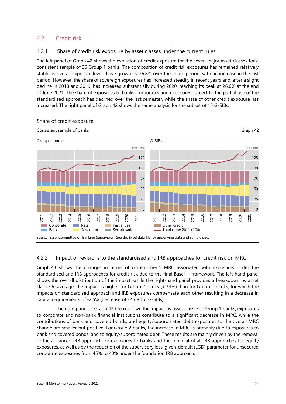# 4.2 Credit risk

#### 4.2.1 Share of credit risk exposure by asset classes under the current rules

The left panel of [Graph 42](#page-58-0) shows the evolution of credit exposure for the seven major asset classes for a consistent sample of 35 Group 1 banks. The composition of credit risk exposures has remained relatively stable as overall exposure levels have grown by 36.8% over the entire period, with an increase in the last period. However, the share of sovereign exposures has increased steadily in recent years and, after a slight decline in 2018 and 2019, has increased substantially during 2020, reaching its peak at 26.6% at the end of June 2021. The share of exposures to banks, corporates and exposures subject to the partial use of the standardised approach has declined over the last semester, while the share of other credit exposure has increased. The right panel of [Graph 42](#page-58-0) shows the same analysis for the subset of 15 G-SIBs.

<span id="page-58-0"></span>

# 4.2.2 Impact of revisions to the standardised and IRB approaches for credit risk on MRC

[Graph 43](#page-59-0) shows the changes in terms of current Tier 1 MRC associated with exposures under the standardised and IRB approaches for credit risk due to the final Basel III framework. The left-hand panel shows the overall distribution of the impact, while the right-hand panel provides a breakdown by asset class. On average, the impact is higher for Group 2 banks (+9.4%) than for Group 1 banks, for which the impacts on standardised approach and IRB exposures compensate each other resulting in a decrease in capital requirements of -2.5% (decrease of -2.7% for G-SIBs).

The right panel of [Graph 43 b](#page-59-0)reaks down the impact by asset class. For Group 1 banks, exposures to corporate and non-bank financial institutions contribute to a significant decrease in MRC, while the contributions of bank and covered bonds, and equity/subordinated debt exposures to the overall MRC change are smaller but positive. For Group 2 banks, the increase in MRC is primarily due to exposures to bank and covered bonds, and to equity/subordinated debt. These results are mainly driven by the removal of the advanced IRB approach for exposures to banks and the removal of all IRB approaches for equity exposures, as well as by the reduction of the supervisory loss-given-default (LGD) parameter for unsecured corporate exposures from 45% to 40% under the foundation IRB approach.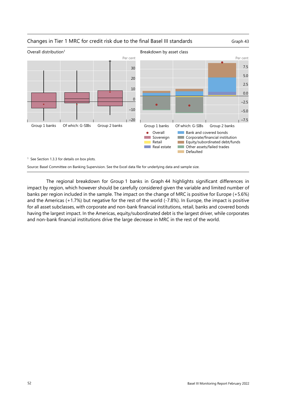<span id="page-59-0"></span>

The regional breakdown for Group 1 banks in [Graph 44](#page-60-0) highlights significant differences in impact by region, which however should be carefully considered given the variable and limited number of banks per region included in the sample. The impact on the change of MRC is positive for Europe (+5.6%) and the Americas (+1.7%) but negative for the rest of the world (-7.8%). In Europe, the impact is positive for all asset subclasses, with corporate and non-bank financial institutions, retail, banks and covered bonds having the largest impact. In the Americas, equity/subordinated debt is the largest driver, while corporates and non-bank financial institutions drive the large decrease in MRC in the rest of the world.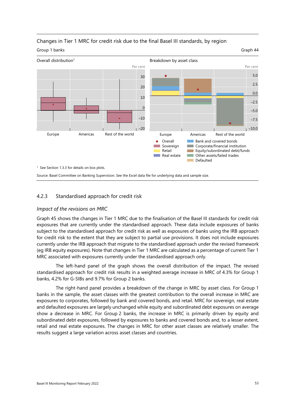

# <span id="page-60-0"></span>Changes in Tier 1 MRC for credit risk due to the final Basel III standards, by region

#### 4.2.3 Standardised approach for credit risk

#### *Impact of the revisions on MRC*

[Graph 45](#page-61-0) shows the changes in Tier 1 MRC due to the finalisation of the Basel III standards for credit risk exposures that are currently under the standardised approach. These data include exposures of banks subject to the standardised approach for credit risk as well as exposures of banks using the IRB approach for credit risk to the extent that they are subject to partial use provisions. It does not include exposures currently under the IRB approach that migrate to the standardised approach under the revised framework (eg IRB equity exposures). Note that changes in Tier 1 MRC are calculated as a percentage of current Tier 1 MRC associated with exposures currently under the standardised approach only.

The left-hand panel of the graph shows the overall distribution of the impact. The revised standardised approach for credit risk results in a weighted average increase in MRC of 4.3% for Group 1 banks, 4.2% for G-SIBs and 9.7% for Group 2 banks.

The right-hand panel provides a breakdown of the change in MRC by asset class. For Group 1 banks in the sample, the asset classes with the greatest contribution to the overall increase in MRC are exposures to corporates, followed by bank and covered bonds, and retail. MRC for sovereign, real estate and defaulted exposures are largely unchanged while equity and subordinated debt exposures on average show a decrease in MRC. For Group 2 banks, the increase in MRC is primarily driven by equity and subordinated debt exposures, followed by exposures to banks and covered bonds and, to a lesser extent, retail and real estate exposures. The changes in MRC for other asset classes are relatively smaller. The results suggest a large variation across asset classes and countries.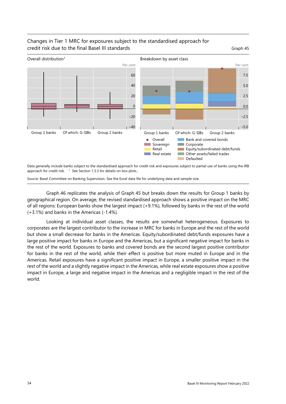

# <span id="page-61-0"></span>Changes in Tier 1 MRC for exposures subject to the standardised approach for credit risk due to the final Basel III standards and the control of Graph 45

Data generally include banks subject to the standardised approach for credit risk and exposures subject to partial use of banks using the IRB approach for credit risk.  $1$  See Section 1.3.3 for details on box plots..

Source: Basel Committee on Banking Supervision. See the Excel data file for underlying data and sample size.

[Graph 46](#page-62-0) replicates the analysis of [Graph 45](#page-61-0) but breaks down the results for Group 1 banks by geographical region. On average, the revised standardised approach shows a positive impact on the MRC of all regions: European banks show the largest impact (+9.1%), followed by banks in the rest of the world (+3.1%) and banks in the Americas (-1.4%).

Looking at individual asset classes, the results are somewhat heterogeneous. Exposures to corporates are the largest contributor to the increase in MRC for banks in Europe and the rest of the world but show a small decrease for banks in the Americas. Equity/subordinated debt/funds exposures have a large positive impact for banks in Europe and the Americas, but a significant negative impact for banks in the rest of the world. Exposures to banks and covered bonds are the second largest positive contributor for banks in the rest of the world, while their effect is positive but more muted in Europe and in the Americas. Retail exposures have a significant positive impact in Europe, a smaller positive impact in the rest of the world and a slightly negative impact in the Americas, while real estate exposures show a positive impact in Europe, a large and negative impact in the Americas and a negligible impact in the rest of the world.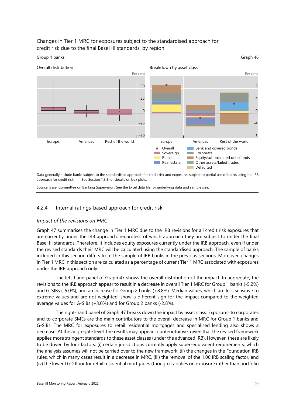# Changes in Tier 1 MRC for exposures subject to the standardised approach for credit risk due to the final Basel III standards, by region

<span id="page-62-0"></span>Group 1 banks Graph 46



Data generally include banks subject to the standardised approach for credit risk and exposures subject to partial use of banks using the IRB approach for credit risk.  $1$  See Section 1.3.3 for details on box plots.

Source: Basel Committee on Banking Supervision. See the Excel data file for underlying data and sample size.

# 4.2.4 Internal ratings-based approach for credit risk

#### *Impact of the revisions on MRC*

[Graph 47](#page-63-0) summarises the change in Tier 1 MRC due to the IRB revisions for all credit risk exposures that are currently under the IRB approach, regardless of which approach they are subject to under the final Basel III standards. Therefore, it includes equity exposures currently under the IRB approach, even if under the revised standards their MRC will be calculated using the standardised approach. The sample of banks included in this section differs from the sample of IRB banks in the previous sections. Moreover, changes in Tier 1 MRC in this section are calculated as a percentage of current Tier 1 MRC associated with exposures under the IRB approach only.

The left-hand panel of [Graph 47](#page-63-0) shows the overall distribution of the impact. In aggregate, the revisions to the IRB approach appear to result in a decrease in overall Tier 1 MRC for Group 1 banks (-5.2%) and G-SIBs (-5.0%), and an increase for Group 2 banks (+8.8%). Median values, which are less sensitive to extreme values and are not weighted, show a different sign for the impact compared to the weighted average values for G-SIBs (+3.0%) and for Group 2 banks (-2.8%).

The right-hand panel o[f Graph 47](#page-63-0) breaks down the impact by asset class. Exposures to corporates and to corporate SMEs are the main contributors to the overall decrease in MRC for Group 1 banks and G-SIBs. The MRC for exposures to retail residential mortgages and specialised lending also shows a decrease. At the aggregate level, the results may appear counterintuitive, given that the revised framework applies more stringent standards to these asset classes (under the advanced IRB). However, these are likely to be driven by four factors: (i) certain jurisdictions currently apply super-equivalent requirements, which the analysis assumes will not be carried over to the new framework, (ii) the changes in the Foundation IRB rules, which in many cases result in a decrease in MRC, (iii) the removal of the 1.06 IRB scaling factor, and (iv) the lower LGD floor for retail residential mortgages (though it applies on exposure rather than portfolio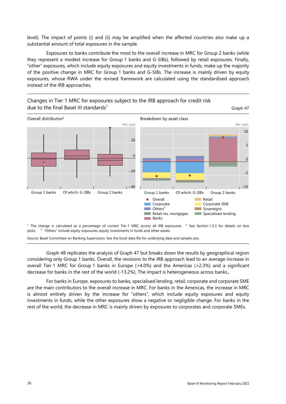level). The impact of points (i) and (ii) may be amplified when the affected countries also make up a substantial amount of total exposures in the sample.

Exposures to banks contribute the most to the overall increase in MRC for Group 2 banks (while they represent a modest increase for Group 1 banks and G-SIBs), followed by retail exposures. Finally, "other" exposures, which include equity exposures and equity investments in funds, make up the majority of the positive change in MRC for Group 1 banks and G-SIBs. The increase is mainly driven by equity exposures, whose RWA under the revised framework are calculated using the standardised approach instead of the IRB approaches.

<span id="page-63-0"></span>

Source: Basel Committee on Banking Supervision. See the Excel data file for underlying data and sample size.

[Graph 48](#page-64-0) replicates the analysis of [Graph 47](#page-63-0) but breaks down the results by geographical region considering only Group 1 banks. Overall, the revisions to the IRB approach lead to an average increase in overall Tier 1 MRC for Group 1 banks in Europe (+4.0%) and the Americas (+2.3%) and a significant decrease for banks in the rest of the world (-13.2%). The impact is heterogeneous across banks.,

For banks in Europe, exposures to banks, specialised lending, retail, corporate and corporate SME are the main contributors to the overall increase in MRC. For banks in the Americas, the increase in MRC is almost entirely driven by the increase for "others", which include equity exposures and equity investments in funds, while the other exposures show a negative or negligible change. For banks in the rest of the world, the decrease in MRC is mainly driven by exposures to corporates and corporate SMEs.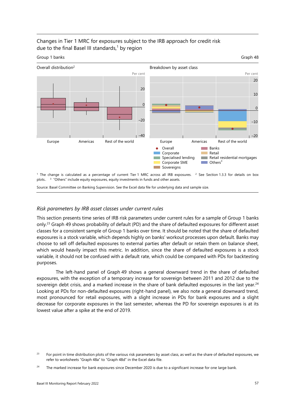

# Changes in Tier 1 MRC for exposures subject to the IRB approach for credit risk due to the final Basel III standards, $1$  by region

<sup>1</sup> The change is calculated as a percentage of current Tier 1 MRC across all IRB exposures. <sup>2</sup> See Section 1.3.3 for details on box plots.. <sup>3</sup> "Others" include equity exposures, equity investments in funds and other assets.

Overall Corporate Specialised lending Corporate SME Sovereigns

<span id="page-64-0"></span>Banks **Retail** 

 $\blacksquare$  Others<sup>3</sup>

**Retail residential mortgages** 

Source: Basel Committee on Banking Supervision. See the Excel data file for underlying data and sample size.

#### *Risk parameters by IRB asset classes under current rules*

This section presents time series of IRB risk parameters under current rules for a sample of Group 1 banks only.[23](#page-64-1) [Graph 49](#page-65-0) shows probability of default (PD) and the share of defaulted exposures for different asset classes for a consistent sample of Group 1 banks over time. It should be noted that the share of defaulted exposures is a stock variable, which depends highly on banks' workout processes upon default. Banks may choose to sell off defaulted exposures to external parties after default or retain them on balance sheet, which would heavily impact this metric. In addition, since the share of defaulted exposures is a stock variable, it should not be confused with a default rate, which could be compared with PDs for backtesting purposes.

The left-hand panel of [Graph 49](#page-65-0) shows a general downward trend in the share of defaulted exposures, with the exception of a temporary increase for sovereign between 2011 and 2012 due to the sovereign debt crisis, and a marked increase in the share of bank defaulted exposures in the last year.<sup>[24](#page-64-2)</sup> Looking at PDs for non-defaulted exposures (right-hand panel), we also note a general downward trend, most pronounced for retail exposures, with a slight increase in PDs for bank exposures and a slight decrease for corporate exposures in the last semester, whereas the PD for sovereign exposures is at its lowest value after a spike at the end of 2019.

<span id="page-64-1"></span><sup>&</sup>lt;sup>23</sup> For point in time distribution plots of the various risk parameters by asset class, as well as the share of defaulted exposures, we refer to worksheets ["Graph 48a](#page-64-0)" to ["Graph 48d](#page-64-0)" in the Excel data file.

<span id="page-64-2"></span><sup>&</sup>lt;sup>24</sup> The marked increase for bank exposures since December 2020 is due to a significant increase for one large bank.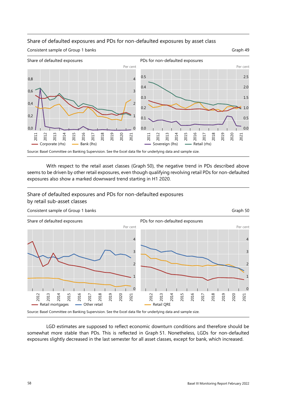

#### <span id="page-65-0"></span>Share of defaulted exposures and PDs for non-defaulted exposures by asset class

With respect to the retail asset classes [\(Graph 50\)](#page-65-1), the negative trend in PDs described above seems to be driven by other retail exposures, even though qualifying revolving retail PDs for non-defaulted exposures also show a marked downward trend starting in H1 2020.

# <span id="page-65-1"></span>Share of defaulted exposures and PDs for non-defaulted exposures by retail sub-asset classes



LGD estimates are supposed to reflect economic downturn conditions and therefore should be somewhat more stable than PDs. This is reflected in [Graph 51.](#page-66-0) Nonetheless, LGDs for non-defaulted exposures slightly decreased in the last semester for all asset classes, except for bank, which increased.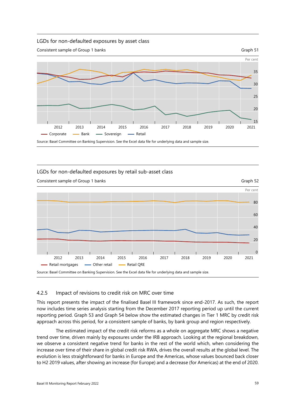#### <span id="page-66-0"></span>LGDs for non-defaulted exposures by asset class



#### LGDs for non-defaulted exposures by retail sub-asset class



#### 4.2.5 Impact of revisions to credit risk on MRC over time

This report presents the impact of the finalised Basel III framework since end-2017. As such, the report now includes time series analysis starting from the December 2017 reporting period up until the current reporting period. [Graph 53](#page-67-0) and [Graph 54](#page-67-1) below show the estimated changes in Tier 1 MRC by credit risk approach across this period, for a consistent sample of banks, by bank group and region respectively.

The estimated impact of the credit risk reforms as a whole on aggregate MRC shows a negative trend over time, driven mainly by exposures under the IRB approach. Looking at the regional breakdown, we observe a consistent negative trend for banks in the rest of the world which, when considering the increase over time of their share in global credit risk RWA, drives the overall results at the global level. The evolution is less straightforward for banks in Europe and the Americas, whose values bounced back closer to H2 2019 values, after showing an increase (for Europe) and a decrease (for Americas) at the end of 2020.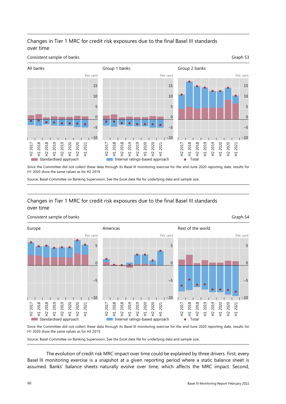# Changes in Tier 1 MRC for credit risk exposures due to the final Basel III standards over time

#### <span id="page-67-0"></span>**Consistent sample of banks** Graph 53



Since the Committee did not collect these data through its Basel III monitoring exercise for the end-June 2020 reporting date, results for H1 2020 show the same values as for H2 2019.

Source: Basel Committee on Banking Supervision. See the Excel data file for underlying data and sample size.

# Changes in Tier 1 MRC for credit risk exposures due to the final Basel III standards over time

<span id="page-67-1"></span>

Since the Committee did not collect these data through its Basel III monitoring exercise for the end-June 2020 reporting date, results for H1 2020 show the same values as for H2 2019.

Source: Basel Committee on Banking Supervision. See the Excel data file for underlying data and sample size.

The evolution of credit risk MRC impact over time could be explained by three drivers. First, every Basel III monitoring exercise is a snapshot at a given reporting period where a static balance sheet is assumed. Banks' balance sheets naturally evolve over time, which affects the MRC impact. Second,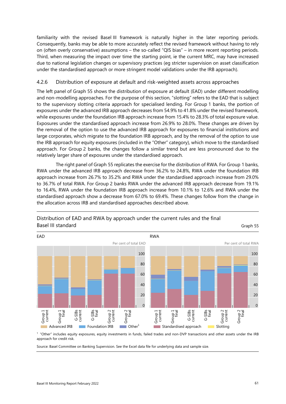familiarity with the revised Basel III framework is naturally higher in the later reporting periods. Consequently, banks may be able to more accurately reflect the revised framework without having to rely on (often overly conservative) assumptions – the so-called "QIS bias" – in more recent reporting periods. Third, when measuring the impact over time the starting point, ie the current MRC, may have increased due to national legislation changes or supervisory practices (eg stricter supervision on asset classification under the standardised approach or more stringent model validations under the IRB approach).

#### 4.2.6 Distribution of exposure at default and risk-weighted assets across approaches

The left panel of [Graph 55](#page-68-0) shows the distribution of exposure at default (EAD) under different modelling and non-modelling approaches. For the purpose of this section, "slotting" refers to the EAD that is subject to the supervisory slotting criteria approach for specialised lending. For Group 1 banks, the portion of exposures under the advanced IRB approach decreases from 54.9% to 41.8% under the revised framework, while exposures under the foundation IRB approach increase from 15.4% to 28.3% of total exposure value. Exposures under the standardised approach increase from 26.9% to 28.0%. These changes are driven by the removal of the option to use the advanced IRB approach for exposures to financial institutions and large corporates, which migrate to the foundation IRB approach, and by the removal of the option to use the IRB approach for equity exposures (included in the "Other" category), which move to the standardised approach. For Group 2 banks, the changes follow a similar trend but are less pronounced due to the relatively larger share of exposures under the standardised approach.

The right panel of [Graph 55 r](#page-68-0)eplicates the exercise for the distribution of RWA. For Group 1 banks, RWA under the advanced IRB approach decrease from 36.2% to 24.8%, RWA under the foundation IRB approach increase from 26.7% to 35.2% and RWA under the standardised approach increase from 29.0% to 36.7% of total RWA. For Group 2 banks RWA under the advanced IRB approach decrease from 19.1% to 16.4%, RWA under the foundation IRB approach increase from 10.1% to 12.6% and RWA under the standardised approach show a decrease from 67.0% to 69.4%. These changes follow from the change in the allocation across IRB and standardised approaches described above.



<span id="page-68-0"></span>Distribution of EAD and RWA by approach under the current rules and the final Basel III standard Graph 55

**1** "Other" includes equity exposures, equity investments in funds, failed trades and non-DVP transactions and other assets under the IRB<br><sup>1</sup> "Other" includes equity exposures, equity investments in funds, failed trades a approach for credit risk.

Source: Basel Committee on Banking Supervision. See the Excel data file for underlying data and sample size.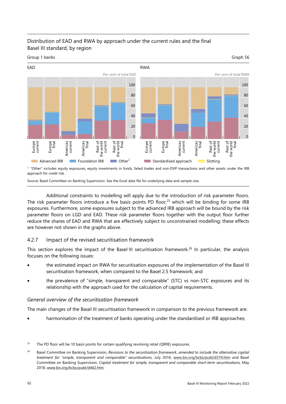# Distribution of EAD and RWA by approach under the current rules and the final Basel III standard, by region





approach for credit risk.

Source: Basel Committee on Banking Supervision. See the Excel data file for underlying data and sample size.

Additional constraints to modelling will apply due to the introduction of risk parameter floors. The risk parameter floors introduce a five basis points PD floor,<sup>25</sup> which will be binding for some IRB exposures. Furthermore, some exposures subject to the advanced IRB approach will be bound by the risk parameter floors on LGD and EAD. These risk parameter floors together with the output floor further reduce the shares of EAD and RWA that are effectively subject to unconstrained modelling; these effects are however not shown in the graphs above.

#### 4.2.7 Impact of the revised securitisation framework

This section explores the impact of the Basel III securitisation framework.<sup>26</sup> In particular, the analysis focuses on the following issues:

- the estimated impact on RWA for securitisation exposures of the implementation of the Basel III securitisation framework, when compared to the Basel 2.5 framework; and
- the prevalence of "simple, transparent and comparable" (STC) vs non-STC exposures and its relationship with the approach used for the calculation of capital requirements.

#### *General overview of the securitisation framework*

The main changes of the Basel III securitisation framework in comparison to the previous framework are:

harmonisation of the treatment of banks operating under the standardised or IRB approaches;

<span id="page-69-0"></span><sup>&</sup>lt;sup>25</sup> The PD floor will be 10 basis points for certain qualifying revolving retail (QRRE) exposures.

<span id="page-69-1"></span><sup>&</sup>lt;sup>26</sup> Basel Committee on Banking Supervision, Revisions to the securitisation framework, amended to include the alternative capital *treatment for "simple, transparent and comparable" securitisations*, July 2016, [www.bis.org/bcbs/publ/d374.htm](http://www.bis.org/bcbs/publ/d374.htm) and Basel Committee on Banking Supervision, *Capital treatment for simple, transparent and comparable short-term securitisations*, May 2018[, www.bis.org/bcbs/publ/d442.htm.](https://www.bis.org/bcbs/publ/d442.htm)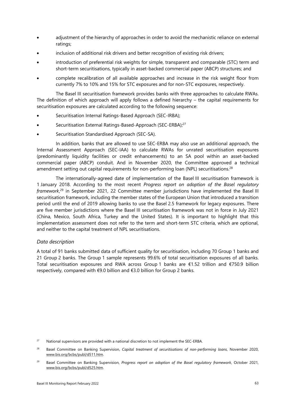- adjustment of the hierarchy of approaches in order to avoid the mechanistic reliance on external ratings;
- inclusion of additional risk drivers and better recognition of existing risk drivers;
- introduction of preferential risk weights for simple, transparent and comparable (STC) term and short-term securitisations, typically in asset-backed commercial paper (ABCP) structures; and
- complete recalibration of all available approaches and increase in the risk weight floor from currently 7% to 10% and 15% for STC exposures and for non-STC exposures, respectively.

The Basel III securitisation framework provides banks with three approaches to calculate RWAs. The definition of which approach will apply follows a defined hierarchy – the capital requirements for securitisation exposures are calculated according to the following sequence:

- Securitisation Internal Ratings-Based Approach (SEC-IRBA);
- Securitisation External Ratings-Based-Approach (SEC-ERBA);<sup>[27](#page-70-0)</sup>
- Securitisation Standardised Approach (SEC-SA).

In addition, banks that are allowed to use SEC-ERBA may also use an additional approach, the Internal Assessment Approach (SEC-IAA) to calculate RWAs for unrated securitisation exposures (predominantly liquidity facilities or credit enhancements) to an SA pool within an asset-backed commercial paper (ABCP) conduit. And in November 2020, the Committee approved a technical amendment setting out capital requirements for non-performing loan (NPL) securitisations.<sup>[28](#page-70-1)</sup>

The internationally-agreed date of implementation of the Basel III securitisation framework is 1 January 2018. According to the most recent *Progress report on adoption of the Basel regulatory framework*, [29](#page-70-2) in September 2021, 22 Committee member jurisdictions have implemented the Basel III securitisation framework, including the member states of the European Union that introduced a transition period until the end of 2019 allowing banks to use the Basel 2.5 framework for legacy exposures. There are five member jurisdictions where the Basel III securitisation framework was not in force in July 2021 (China, Mexico, South Africa, Turkey and the United States). It is important to highlight that this implementation assessment does not refer to the term and short-term STC criteria, which are optional, and neither to the capital treatment of NPL securitisations.

#### *Data description*

A total of 91 banks submitted data of sufficient quality for securitisation, including 70 Group 1 banks and 21 Group 2 banks. The Group 1 sample represents 99.6% of total securitisation exposures of all banks. Total securitisation exposures and RWA across Group 1 banks are €1.52 trillion and €750.9 billion respectively, compared with €9.0 billion and €3.0 billion for Group 2 banks.

<span id="page-70-0"></span><sup>27</sup> National supervisors are provided with a national discretion to not implement the SEC-ERBA.

<span id="page-70-1"></span><sup>28</sup> Basel Committee on Banking Supervision, *Capital treatment of securitisations of non-performing loans*, November 2020, [www.bis.org/bcbs/publ/d511.htm.](https://www.bis.org/bcbs/publ/d511.htm) 

<span id="page-70-2"></span><sup>29</sup> Basel Committee on Banking Supervision, *Progress report on adoption of the Basel regulatory framework*, October 2021, [www.bis.org/bcbs/publ/d525.htm.](http://www.bis.org/bcbs/publ/d525.htm)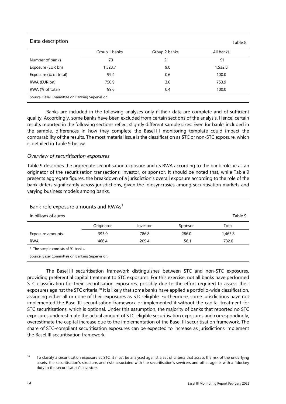| Data description                                |               |               | Table 8   |  |  |
|-------------------------------------------------|---------------|---------------|-----------|--|--|
|                                                 | Group 1 banks | Group 2 banks | All banks |  |  |
| Number of banks                                 | 70            | 21            | 91        |  |  |
| Exposure (EUR bn)                               | 1,523.7       | 9.0           | 1,532.8   |  |  |
| Exposure (% of total)                           | 99.4          | 0.6           | 100.0     |  |  |
| RWA (EUR bn)                                    | 750.9         | 3.0           | 753.9     |  |  |
| RWA (% of total)                                | 99.6          | 0.4           | 100.0     |  |  |
| Source: Basel Committee on Banking Supervision. |               |               |           |  |  |

Banks are included in the following analyses only if their data are complete and of sufficient quality. Accordingly, some banks have been excluded from certain sections of the analysis. Hence, certain results reported in the following sections reflect slightly different sample sizes. Even for banks included in the sample, differences in how they complete the Basel III monitoring template could impact the comparability of the results. The most material issue is the classification as STC or non-STC exposure, which is detailed in [Table 9](#page-71-0) below.

#### *Overview of securitisation exposures*

[Table 9](#page-71-0) describes the aggregate securitisation exposure and its RWA according to the bank role, ie as an originator of the securitisation transactions, investor, or sponsor. It should be noted that, while [Table 9](#page-71-0)  presents aggregate figures, the breakdown of a jurisdiction's overall exposure according to the role of the bank differs significantly across jurisdictions, given the idiosyncrasies among securitisation markets and varying business models among banks.

| Bank role exposure amounts and RWAs <sup>1</sup> |            |          |         |         |
|--------------------------------------------------|------------|----------|---------|---------|
| In billions of euros                             | Table 9    |          |         |         |
|                                                  | Originator | Investor | Sponsor | Total   |
| Exposure amounts                                 | 393.0      | 786.8    | 286.0   | 1,465.8 |
| <b>RWA</b>                                       | 466.4      | 209.4    | 56.1    | 732.0   |
| المراميما 0.1 كما مغذوم ومعامل والمرومة والملتال |            |          |         |         |

<span id="page-71-0"></span><sup>1</sup> The sample consists of 91 banks.

Source: Basel Committee on Banking Supervision.

The Basel III securitisation framework distinguishes between STC and non-STC exposures, providing preferential capital treatment to STC exposures. For this exercise, not all banks have performed STC classification for their securitisation exposures, possibly due to the effort required to assess their exposures against the STC criteria.<sup>30</sup> It is likely that some banks have applied a portfolio-wide classification, assigning either all or none of their exposures as STC-eligible. Furthermore, some jurisdictions have not implemented the Basel III securitisation framework or implemented it without the capital treatment for STC securitisations, which is optional. Under this assumption, the majority of banks that reported no STC exposures underestimate the actual amount of STC-eligible securitisation exposures and correspondingly, overestimate the capital increase due to the implementation of the Basel III securitisation framework. The share of STC-compliant securitisation exposures can be expected to increase as jurisdictions implement the Basel III securitisation framework.

<span id="page-71-1"></span><sup>&</sup>lt;sup>30</sup> To classify a securitisation exposure as STC, it must be analysed against a set of criteria that assess the risk of the underlying assets, the securitisation's structure, and risks associated with the securitisation's servicers and other agents with a fiduciary duty to the securitisation's investors.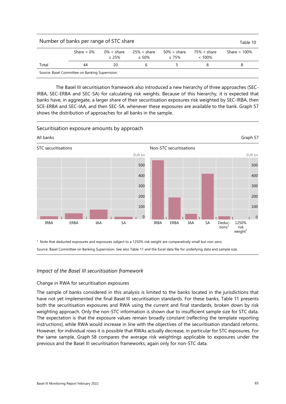| Number of banks per range of STC share          |                 |    |   |  |  |   |  |  |
|-------------------------------------------------|-----------------|----|---|--|--|---|--|--|
|                                                 | Share = $100\%$ |    |   |  |  |   |  |  |
| Total                                           | 44              | 20 | h |  |  | 8 |  |  |
| Source: Basel Committee on Banking Supervision. |                 |    |   |  |  |   |  |  |

The Basel III securitisation framework also introduced a new hierarchy of three approaches (SEC-IRBA, SEC-ERBA and SEC-SA) for calculating risk weights. Because of this hierarchy, it is expected that banks have, in aggregate, a larger share of their securitisation exposures risk weighted by SEC-IRBA, then SCE-ERBA and SEC-IAA, and then SEC-SA, whenever these exposures are available to the bank. [Graph 57](#page-72-0)  shows the distribution of approaches for all banks in the sample.

#### Securitisation exposure amounts by approach

<span id="page-72-0"></span>

1 Note that deducted exposures and exposures subject to a 1250% risk weight are comparatively small but non-zero. Source: Basel Committee on Banking Supervision. See also [Table 11](#page-73-0) and the Excel data file for underlying data and sample size.

#### *Impact of the Basel III securitisation framework*

#### Change in RWA for securitisation exposures

The sample of banks considered in this analysis is limited to the banks located in the jurisdictions that have not yet implemented the final Basel III securitisation standards. For these banks, [Table 11](#page-73-0) presents both the securitisation exposures and RWA using the current and final standards, broken down by risk weighting approach. Only the non-STC information is shown due to insufficient sample size for STC data. The expectation is that the exposure values remain broadly constant (reflecting the template reporting instructions), while RWA would increase in line with the objectives of the securitisation standard reforms. However, for individual rows it is possible that RWAs actually decrease, in particular for STC exposures. For the same sample, [Graph 58](#page-73-1) compares the average risk weightings applicable to exposures under the previous and the Basel III securitisation frameworks, again only for non-STC data.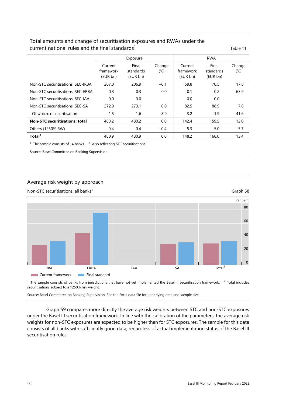## <span id="page-73-0"></span>Total amounts and change of securitisation exposures and RWAs under the current national rules and the final standards<sup>1</sup> Table 11

|                                       |                                  | Exposure                       |                  | <b>RWA</b>                       |                                |                  |  |
|---------------------------------------|----------------------------------|--------------------------------|------------------|----------------------------------|--------------------------------|------------------|--|
|                                       | Current<br>framework<br>(EUR bn) | Final<br>standards<br>(EUR bn) | Change<br>$(\%)$ | Current<br>framework<br>(EUR bn) | Final<br>standards<br>(EUR bn) | Change<br>$(\%)$ |  |
| Non-STC securitisations: SEC-IRBA     | 207.0                            | 206.9                          | $-0.1$           | 59.8                             | 70.5                           | 17.8             |  |
| Non-STC securitisations: SEC-ERBA     | 0.3                              | 0.3                            | 0.0              | 0.1                              | 0.2                            | 63.9             |  |
| Non-STC securitisations: SEC-IAA      | 0.0                              | 0.0                            |                  | 0.0                              | 0.0                            |                  |  |
| Non-STC securitisations: SEC-SA       | 272.9                            | 273.1                          | 0.0              | 82.5                             | 88.9                           | 7.8              |  |
| Of which: resecuritisation            | 1.5                              | 1.6                            | 8.9              | 3.2                              | 1.9                            | $-41.6$          |  |
| <b>Non-STC securitisations: total</b> | 480.2                            | 480.2                          | 0.0              | 142.4                            | 159.5                          | 12.0             |  |
| Others (1250% RW)                     | 0.4                              | 0.4                            | $-0.4$           | 5.3                              | 5.0                            | $-5.7$           |  |
| Total <sup>2</sup>                    | 480.9                            | 480.9                          | 0.0              | 148.2                            | 168.0                          | 13.4             |  |

<sup>1</sup> The sample consists of 14 banks.  $2$  Also reflecting STC securitisations.

Source: Basel Committee on Banking Supervision.

# <span id="page-73-1"></span>Average risk weight by approach



<sup>1</sup> The sample consists of banks from jurisdictions that have not yet implemented the Basel III securitisation framework. <sup>2</sup> Total includes securitisations subject to a 1250% risk weight.

Source: Basel Committee on Banking Supervision. See the Excel data file for underlying data and sample size.

[Graph 59](#page-74-0) compares more directly the average risk weights between STC and non-STC exposures under the Basel III securitisation framework. In line with the calibration of the parameters, the average risk weights for non-STC exposures are expected to be higher than for STC exposures. The sample for this data consists of all banks with sufficiently good data, regardless of actual implementation status of the Basel III securitisation rules.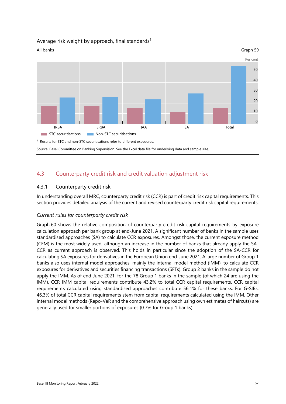#### <span id="page-74-0"></span>Average risk weight by approach, final standards<sup>1</sup>



# 4.3 Counterparty credit risk and credit valuation adjustment risk

## 4.3.1 Counterparty credit risk

In understanding overall MRC, counterparty credit risk (CCR) is part of credit risk capital requirements. This section provides detailed analysis of the current and revised counterparty credit risk capital requirements.

#### *Current rules for counterparty credit risk*

[Graph 60](#page-75-0) shows the relative composition of counterparty credit risk capital requirements by exposure calculation approach per bank group at end-June 2021. A significant number of banks in the sample uses standardised approaches (SA) to calculate CCR exposures. Amongst those, the current exposure method (CEM) is the most widely used, although an increase in the number of banks that already apply the SA-CCR as current approach is observed. This holds in particular since the adoption of the SA-CCR for calculating SA exposures for derivatives in the European Union end-June 2021. A large number of Group 1 banks also uses internal model approaches, mainly the internal model method (IMM), to calculate CCR exposures for derivatives and securities financing transactions (SFTs). Group 2 banks in the sample do not apply the IMM. As of end-June 2021, for the 78 Group 1 banks in the sample (of which 24 are using the IMM), CCR IMM capital requirements contribute 43.2% to total CCR capital requirements. CCR capital requirements calculated using standardised approaches contribute 56.1% for these banks. For G-SIBs, 46.3% of total CCR capital requirements stem from capital requirements calculated using the IMM. Other internal model methods (Repo-VaR and the comprehensive approach using own estimates of haircuts) are generally used for smaller portions of exposures (0.7% for Group 1 banks).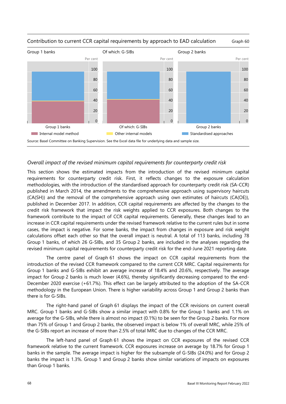

#### <span id="page-75-0"></span>Contribution to current CCR capital requirements by approach to EAD calculation Graph 60

#### *Overall impact of the revised minimum capital requirements for counterparty credit risk*

This section shows the estimated impacts from the introduction of the revised minimum capital requirements for counterparty credit risk. First, it reflects changes to the exposure calculation methodologies, with the introduction of the standardised approach for counterparty credit risk (SA-CCR) published in March 2014, the amendments to the comprehensive approach using supervisory haircuts (CA(SH)) and the removal of the comprehensive approach using own estimates of haircuts (CA(OE)), published in December 2017. In addition, CCR capital requirements are affected by the changes to the credit risk framework that impact the risk weights applied to CCR exposures. Both changes to the framework contribute to the impact of CCR capital requirements. Generally, these changes lead to an increase in CCR capital requirements under the revised framework relative to the current rules but in some cases, the impact is negative. For some banks, the impact from changes in exposure and risk weight calculations offset each other so that the overall impact is neutral. A total of 113 banks, including 78 Group 1 banks, of which 26 G-SIBs, and 35 Group 2 banks, are included in the analyses regarding the revised minimum capital requirements for counterparty credit risk for the end-June 2021 reporting date.

The centre panel of [Graph 61](#page-76-0) shows the impact on CCR capital requirements from the introduction of the revised CCR framework compared to the current CCR MRC. Capital requirements for Group 1 banks and G-SIBs exhibit an average increase of 18.4% and 20.6%, respectively. The average impact for Group 2 banks is much lower (4.6%), thereby significantly decreasing compared to the end-December 2020 exercise (+61.7%). This effect can be largely attributed to the adoption of the SA-CCR methodology in the European Union. There is higher variability across Group 1 and Group 2 banks than there is for G-SIBs.

The right-hand panel of [Graph 61](#page-76-0) displays the impact of the CCR revisions on current overall MRC. Group 1 banks and G-SIBs show a similar impact with 0.8% for the Group 1 banks and 1.1% on average for the G-SIBs, while there is almost no impact (0.1%) to be seen for the Group 2 banks. For more than 75% of Group 1 and Group 2 banks, the observed impact is below 1% of overall MRC, while 25% of the G-SIBs report an increase of more than 2.5% of total MRC due to changes of the CCR MRC.

The left-hand panel of [Graph 61](#page-76-0) shows the impact on CCR exposures of the revised CCR framework relative to the current framework. CCR exposures increase on average by 18.7% for Group 1 banks in the sample. The average impact is higher for the subsample of G-SIBs (24.0%) and for Group 2 banks the impact is 1.3%. Group 1 and Group 2 banks show similar variations of impacts on exposures than Group 1 banks.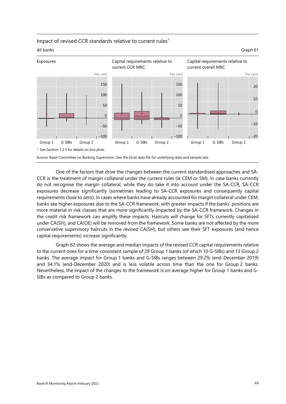

#### <span id="page-76-0"></span>Impact of revised CCR standards relative to current rules<sup>1</sup>

One of the factors that drive the changes between the current standardised approaches and SA-CCR is the treatment of margin collateral under the current rules (ie CEM or SM). In case banks currently do not recognise the margin collateral, while they do take it into account under the SA-CCR, SA-CCR exposures decrease significantly (sometimes leading to SA-CCR exposures and consequently capital requirements close to zero). In cases where banks have already accounted for margin collateral under CEM, banks see higher exposures due to the SA-CCR framework, with greater impacts if the banks' positions are more material in risk classes that are more significantly impacted by the SA-CCR framework. Changes in the credit risk framework can amplify these impacts. Haircuts will change for SFTs currently capitalised under CA(SH), and CA(OE) will be removed from the framework. Some banks are not affected by the more conservative supervisory haircuts in the revised CA(SH), but others see their SFT exposures (and hence capital requirements) increase significantly.

[Graph 62](#page-77-0) shows the average and median impacts of the revised CCR capital requirements relative to the current ones for a time-consistent sample of 29 Group 1 banks (of which 10 G-SIBs) and 13 Group 2 banks. The average impact for Group 1 banks and G-SIBs ranges between 29.2% (end-December 2019) and 34.1% (end-December 2020) and is less volatile across time than the one for Group 2 banks. Nevertheless, the impact of the changes to the framework is on average higher for Group 1 banks and G-SIBs as compared to Group 2 banks.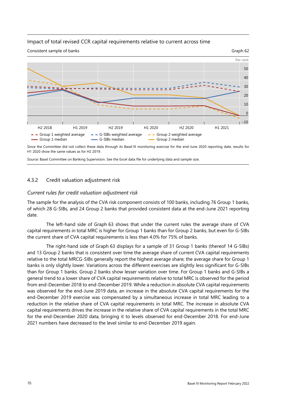#### <span id="page-77-0"></span>Impact of total revised CCR capital requirements relative to current across time



Since the Committee did not collect these data through its Basel III monitoring exercise for the end-June 2020 reporting date, results for H1 2020 show the same values as for H2 2019.

Source: Basel Committee on Banking Supervision. See the Excel data file for underlying data and sample size.

#### 4.3.2 Credit valuation adjustment risk

#### *Current rules for credit valuation adjustment risk*

The sample for the analysis of the CVA risk component consists of 100 banks, including 76 Group 1 banks, of which 28 G-SIBs, and 24 Group 2 banks that provided consistent data at the end-June 2021 reporting date.

The left-hand side of [Graph 63](#page-78-0) shows that under the current rules the average share of CVA capital requirements in total MRC is higher for Group 1 banks than for Group 2 banks, but even for G-SIBs the current share of CVA capital requirements is less than 4.0% for 75% of banks.

The right-hand side of [Graph 63](#page-78-0) displays for a sample of 31 Group 1 banks (thereof 14 G-SIBs) and 13 Group 2 banks that is consistent over time the average share of current CVA capital requirements relative to the total MRCG-SIBs generally report the highest average share; the average share for Group 1 banks is only slightly lower. Variations across the different exercises are slightly less significant for G-SIBs than for Group 1 banks. Group 2 banks show lesser variation over time. For Group 1 banks and G-SIBs a general trend to a lower share of CVA capital requirements relative to total MRC is observed for the period from end-December 2018 to end-December 2019. While a reduction in absolute CVA capital requirements was observed for the end-June 2019 data, an increase in the absolute CVA capital requirements for the end-December 2019 exercise was compensated by a simultaneous increase in total MRC leading to a reduction in the relative share of CVA capital requirements in total MRC. The increase in absolute CVA capital requirements drives the increase in the relative share of CVA capital requirements in the total MRC for the end-December 2020 data, bringing it to levels observed for end-December 2018. For end-June 2021 numbers have decreased to the level similar to end-December 2019 again.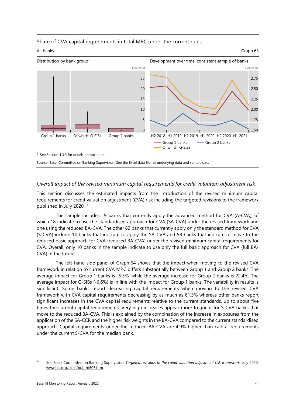



<span id="page-78-0"></span>



#### *Overall impact of the revised minimum capital requirements for credit valuation adjustment risk*

This section discusses the estimated impacts from the introduction of the revised minimum capital requirements for credit valuation adjustment (CVA) risk including the targeted revisions to the framework published in July 2020.[31](#page-78-1) 

The sample includes 19 banks that currently apply the advanced method for CVA (A-CVA), of which 18 indicate to use the standardised approach for CVA (SA-CVA) under the revised framework and one using the reduced BA-CVA. The other 82 banks that currently apply only the standard method for CVA (S-CVA) include 14 banks that indicate to apply the SA-CVA and 58 banks that indicate to move to the reduced basic approach for CVA (reduced BA-CVA) under the revised minimum capital requirements for CVA. Overall, only 10 banks in the sample indicate to use only the full basic approach for CVA (full BA-CVA) in the future.

The left-hand side panel of [Graph 64](#page-79-0) shows that the impact when moving to the revised CVA framework in relation to current CVA MRC differs substantially between Group 1 and Group 2 banks. The average impact for Group 1 banks is -5.3%, while the average increase for Group 2 banks is 22.4%. The average impact for G-SIBs (-6.6%) is in line with the impact for Group 1 banks. The variability in results is significant. Some banks report decreasing capital requirements when moving to the revised CVA framework with CVA capital requirements decreasing by as much as 81.3% whereas other banks report significant increases in the CVA capital requirements relative to the current standards, up to about five times the current capital requirements. Very high increases appear more frequent for S-CVA banks that move to the reduced BA-CVA. This is explained by the combination of the increase in exposures from the application of the SA-CCR and the higher risk weights in the BA-CVA compared to the current standardised approach. Capital requirements under the reduced BA-CVA are 4.9% higher than capital requirements under the current S-CVA for the median bank.

<span id="page-78-1"></span><sup>&</sup>lt;sup>31</sup> See Basel Committee on Banking Supervision, *Targeted revisions to the credit valuation adjustment risk framework, July 2020*, [www.bis.org/bcbs/publ/d507.htm.](https://www.bis.org/bcbs/publ/d507.htm)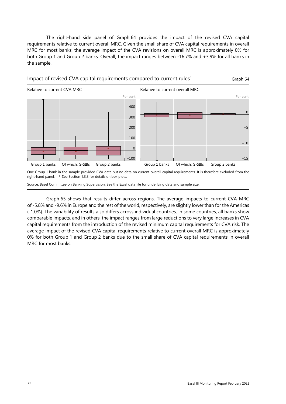The right-hand side panel of [Graph 64](#page-79-0) provides the impact of the revised CVA capital requirements relative to current overall MRC. Given the small share of CVA capital requirements in overall MRC for most banks, the average impact of the CVA revisions on overall MRC is approximately 0% for both Group 1 and Group 2 banks. Overall, the impact ranges between -16.7% and +3.9% for all banks in the sample.

<span id="page-79-0"></span>

One Group 1 bank in the sample provided CVA data but no data on current overall capital requirements. It is therefore excluded from the right-hand panel. <sup>1</sup> See Section 1.3.3 for details on box plots.

Source: Basel Committee on Banking Supervision. See the Excel data file for underlying data and sample size.

[Graph 65](#page-80-0) shows that results differ across regions. The average impacts to current CVA MRC of -5.8% and -9.6% in Europe and the rest of the world, respectively, are slightly lower than for the Americas (-1.0%). The variability of results also differs across individual countries. In some countries, all banks show comparable impacts, and in others, the impact ranges from large reductions to very large increases in CVA capital requirements from the introduction of the revised minimum capital requirements for CVA risk. The average impact of the revised CVA capital requirements relative to current overall MRC is approximately 0% for both Group 1 and Group 2 banks due to the small share of CVA capital requirements in overall MRC for most banks.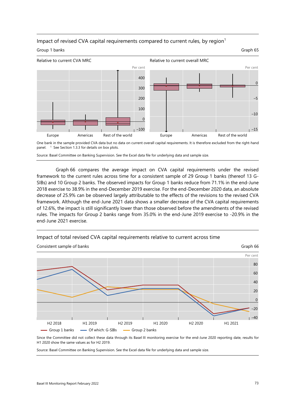#### Impact of revised CVA capital requirements compared to current rules, by region<sup>1</sup>

#### <span id="page-80-0"></span>Group 1 banks Graph 65



One bank in the sample provided CVA data but no data on current overall capital requirements. It is therefore excluded from the right-hand panel.  $1$  See Section 1.3.3 for details on box plots.

Source: Basel Committee on Banking Supervision. See the Excel data file for underlying data and sample size.

[Graph 66](#page-80-1) compares the average impact on CVA capital requirements under the revised framework to the current rules across time for a consistent sample of 29 Group 1 banks (thereof 13 G-SIBs) and 10 Group 2 banks. The observed impacts for Group 1 banks reduce from 71.1% in the end-June 2018 exercise to 38.9% in the end-December 2019 exercise. For the end-December 2020 data, an absolute decrease of 25.9% can be observed largely attributable to the effects of the revisions to the revised CVA framework. Although the end-June 2021 data shows a smaller decrease of the CVA capital requirements of 12.6%, the impact is still significantly lower than those observed before the amendments of the revised rules. The impacts for Group 2 banks range from 35.0% in the end-June 2019 exercise to -20.9% in the end-June 2021 exercise.

#### <span id="page-80-1"></span>Impact of total revised CVA capital requirements relative to current across time



Since the Committee did not collect these data through its Basel III monitoring exercise for the end-June 2020 reporting date, results for H1 2020 show the same values as for H2 2019.

Source: Basel Committee on Banking Supervision. See the Excel data file for underlying data and sample size.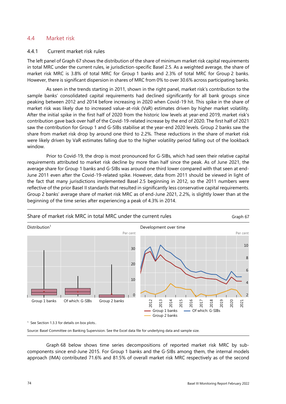### 4.4 Market risk

#### 4.4.1 Current market risk rules

The left panel of [Graph 67 s](#page-81-0)hows the distribution of the share of minimum market risk capital requirements in total MRC under the current rules, ie jurisdiction-specific Basel 2.5. As a weighted average, the share of market risk MRC is 3.8% of total MRC for Group 1 banks and 2.3% of total MRC for Group 2 banks. However, there is significant dispersion in shares of MRC from 0% to over 30.6% across participating banks.

As seen in the trends starting in 2011, shown in the right panel, market risk's contribution to the sample banks' consolidated capital requirements had declined significantly for all bank groups since peaking between 2012 and 2014 before increasing in 2020 when Covid-19 hit. This spike in the share of market risk was likely due to increased value-at-risk (VaR) estimates driven by higher market volatility. After the initial spike in the first half of 2020 from the historic low levels at year-end 2019, market risk's contribution gave back over half of the Covid-19-related increase by the end of 2020. The first half of 2021 saw the contribution for Group 1 and G-SIBs stabilise at the year-end 2020 levels. Group 2 banks saw the share from market risk drop by around one third to 2.2%. These reductions in the share of market risk were likely driven by VaR estimates falling due to the higher volatility period falling out of the lookback window.

Prior to Covid-19, the drop is most pronounced for G-SIBs, which had seen their relative capital requirements attributed to market risk decline by more than half since the peak. As of June 2021, the average share for Group 1 banks and G-SIBs was around one third lower compared with that seen at end-June 2011 even after the Covid-19-related spike. However, data from 2011 should be viewed in light of the fact that many jurisdictions implemented Basel 2.5 beginning in 2012, so the 2011 numbers were reflective of the prior Basel II standards that resulted in significantly less conservative capital requirements. Group 2 banks' average share of market risk MRC as of end-June 2021, 2.2%, is slightly lower than at the beginning of the time series after experiencing a peak of 4.3% in 2014.

<span id="page-81-0"></span>

[Graph 68](#page-82-0) below shows time series decompositions of reported market risk MRC by subcomponents since end-June 2015. For Group 1 banks and the G-SIBs among them, the internal models approach (IMA) contributed 71.6% and 81.5% of overall market risk MRC respectively as of the second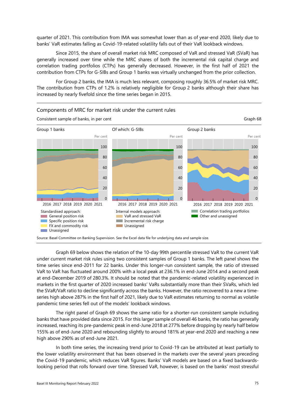quarter of 2021. This contribution from IMA was somewhat lower than as of year-end 2020, likely due to banks' VaR estimates falling as Covid-19-related volatility falls out of their VaR lookback windows.

Since 2015, the share of overall market risk MRC composed of VaR and stressed VaR (SVaR) has generally increased over time while the MRC shares of both the incremental risk capital charge and correlation trading portfolios (CTPs) has generally decreased. However, in the first half of 2021 the contribution from CTPs for G-SIBs and Group 1 banks was virtually unchanged from the prior collection.

For Group 2 banks, the IMA is much less relevant, composing roughly 36.5% of market risk MRC. The contribution from CTPs of 1.2% is relatively negligible for Group 2 banks although their share has increased by nearly fivefold since the time series began in 2015.



<span id="page-82-0"></span>Components of MRC for market risk under the current rules

[Graph 69](#page-83-0) below shows the relation of the 10-day 99th percentile stressed VaR to the current VaR under current market risk rules using two consistent samples of Group 1 banks. The left panel shows the time series since end-2011 for 22 banks. Under this longer-run consistent sample, the ratio of stressed VaR to VaR has fluctuated around 200% with a local peak at 236.1% in end-June 2014 and a second peak at end-December 2019 of 280.3%. It should be noted that the pandemic-related volatility experienced in markets in the first quarter of 2020 increased banks' VaRs substantially more than their SVaRs, which led the SVaR/VaR ratio to decline significantly across the banks. However, the ratio recovered to a new a timeseries high above 287% in the first half of 2021, likely due to VaR estimates returning to normal as volatile pandemic time series fell out of the models' lookback windows.

The right panel of [Graph 69](#page-83-0) shows the same ratio for a shorter-run consistent sample including banks that have provided data since 2015. For this larger sample of overall 46 banks, the ratio has generally increased, reaching its pre-pandemic peak in end-June 2018 at 277% before dropping by nearly half below 155% as of end-June 2020 and rebounding slightly to around 181% at year-end 2020 and reaching a new high above 290% as of end-June 2021.

In both time series, the increasing trend prior to Covid-19 can be attributed at least partially to the lower volatility environment that has been observed in the markets over the several years preceding the Covid-19 pandemic, which reduces VaR figures. Banks' VaR models are based on a fixed backwardslooking period that rolls forward over time. Stressed VaR, however, is based on the banks' most stressful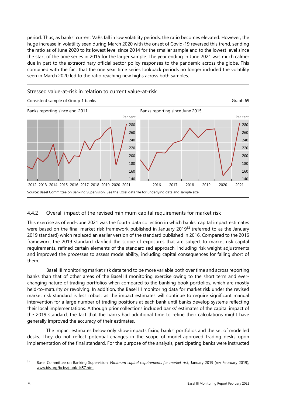<span id="page-83-0"></span>period. Thus, as banks' current VaRs fall in low volatility periods, the ratio becomes elevated. However, the huge increase in volatility seen during March 2020 with the onset of Covid-19 reversed this trend, sending the ratio as of June 2020 to its lowest level since 2014 for the smaller sample and to the lowest level since the start of the time series in 2015 for the larger sample. The year ending in June 2021 was much calmer due in part to the extraordinary official sector policy responses to the pandemic across the globe. This combined with the fact that the one year time series lookback periods no longer included the volatility seen in March 2020 led to the ratio reaching new highs across both samples.



#### 4.4.2 Overall impact of the revised minimum capital requirements for market risk

This exercise as of end-June 2021 was the fourth data collection in which banks' capital impact estimates were based on the final market risk framework published in January 2019<sup>32</sup> (referred to as the January 2019 standard) which replaced an earlier version of the standard published in 2016. Compared to the 2016 framework, the 2019 standard clarified the scope of exposures that are subject to market risk capital requirements, refined certain elements of the standardised approach, including risk weight adjustments and improved the processes to assess modellability, including capital consequences for falling short of them.

Basel III monitoring market risk data tend to be more variable both over time and across reporting banks than that of other areas of the Basel III monitoring exercise owing to the short term and everchanging nature of trading portfolios when compared to the banking book portfolios, which are mostly held-to-maturity or revolving. In addition, the Basel III monitoring data for market risk under the revised market risk standard is less robust as the impact estimates will continue to require significant manual intervention for a large number of trading positions at each bank until banks develop systems reflecting their local implementations. Although prior collections included banks' estimates of the capital impact of the 2019 standard, the fact that the banks had additional time to refine their calculations might have generally improved the accuracy of their estimates.

The impact estimates below only show impacts fixing banks' portfolios and the set of modelled desks. They do not reflect potential changes in the scope of model-approved trading desks upon implementation of the final standard. For the purpose of the analysis, participating banks were instructed

<span id="page-83-1"></span><sup>32</sup> Basel Committee on Banking Supervision, *Minimum capital requirements for market risk*, January 2019 (rev February 2019), [www.bis.org/bcbs/publ/d457.htm.](https://www.bis.org/bcbs/publ/d457.htm)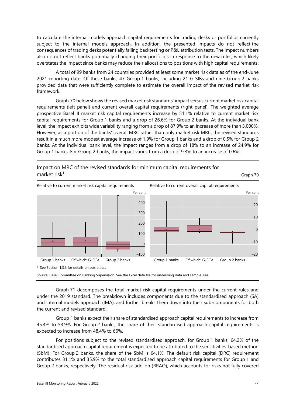to calculate the internal models approach capital requirements for trading desks or portfolios currently subject to the internal models approach. In addition, the presented impacts do not reflect the consequences of trading desks potentially failing backtesting or P&L attribution tests. The impact numbers also do not reflect banks potentially changing their portfolios in response to the new rules, which likely overstates the impact since banks may reduce their allocations to positions with high capital requirements.

A total of 99 banks from 24 countries provided at least some market risk data as of the end-June 2021 reporting date. Of these banks, 47 Group 1 banks, including 21 G-SIBs and nine Group 2 banks provided data that were sufficiently complete to estimate the overall impact of the revised market risk framework.

[Graph 70 b](#page-84-0)elow shows the revised market risk standards' impact versus current market risk capital requirements (left panel) and current overall capital requirements (right panel). The weighted average prospective Basel III market risk capital requirements increase by 51.1% relative to current market risk capital requirements for Group 1 banks and a drop of 26.6% for Group 2 banks. At the individual bank level, the impact exhibits wide variability ranging from a drop of 87.9% to an increase of more than 3,000%. However, as a portion of the banks' overall MRC rather than only market risk MRC, the revised standards result in a much more modest average increase of 1.9% for Group 1 banks and a drop of 0.5% for Group 2 banks. At the individual bank level, the impact ranges from a drop of 18% to an increase of 24.9% for Group 1 banks. For Group 2 banks, the impact varies from a drop of 9.3% to an increase of 0.6%.



<span id="page-84-0"></span>Impact on MRC of the revised standards for minimum capital requirements for

Source: Basel Committee on Banking Supervision. See the Excel data file for underlying data and sample size.

[Graph 71](#page-85-0) decomposes the total market risk capital requirements under the current rules and under the 2019 standard. The breakdown includes components due to the standardised approach (SA) and internal models approach (IMA), and further breaks them down into their sub-components for both the current and revised standard.

Group 1 banks expect their share of standardised approach capital requirements to increase from 45.4% to 53.9%. For Group 2 banks, the share of their standardised approach capital requirements is expected to increase from 48.4% to 66%.

For positions subject to the revised standardised approach, for Group 1 banks, 64.2% of the standardised approach capital requirement is expected to be attributed to the sensitivities-based method (SbM). For Group 2 banks, the share of the SbM is 64.1%. The default risk capital (DRC) requirement contributes 31.1% and 35.9% to the total standardised approach capital requirements for Group 1 and Group 2 banks, respectively. The residual risk add-on (RRAO), which accounts for risks not fully covered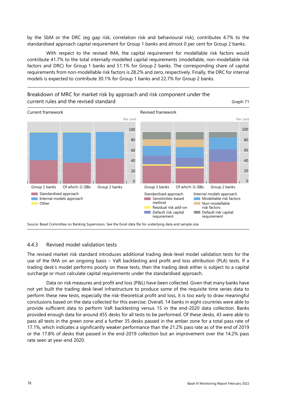by the SbM or the DRC (eg gap risk, correlation risk and behavioural risk), contributes 4.7% to the standardised approach capital requirement for Group 1 banks and almost 0 per cent for Group 2 banks.

With respect to the revised IMA, the capital requirement for modellable risk factors would contribute 41.7% to the total internally-modelled capital requirements (modellable, non-modellable risk factors and DRC) for Group 1 banks and 51.1% for Group 2 banks. The corresponding share of capital requirements from non-modellable risk factors is 28.2% and zero, respectively. Finally, the DRC for internal models is expected to contribute 30.1% for Group 1 banks and 22.7% for Group 2 banks.



<span id="page-85-0"></span>Breakdown of MRC for market risk by approach and risk component under the current rules and the revised standard Graph 71

#### 4.4.3 Revised model validation tests

The revised market risk standard introduces additional trading desk-level model validation tests for the use of the IMA on an ongoing basis - VaR backtesting and profit and loss attribution (PLA) tests. If a trading desk's model performs poorly on these tests, then the trading desk either is subject to a capital surcharge or must calculate capital requirements under the standardised approach.

Data on risk measures and profit and loss (P&L) have been collected. Given that many banks have not yet built the trading desk-level infrastructure to produce some of the requisite time series data to perform these new tests, especially the risk-theoretical profit and loss, it is too early to draw meaningful conclusions based on the data collected for this exercise. Overall, 14 banks in eight countries were able to provide sufficient data to perform VaR backtesting versus 15 in the end-2020 data collection. Banks provided enough data for around 455 desks for all tests to be performed. Of these desks, 43 were able to pass all tests in the green zone and a further 35 desks passed in the amber zone for a total pass rate of 17.1%, which indicates a significantly weaker performance than the 21.2% pass rate as of the end of 2019 or the 17.8% of desks that passed in the end-2019 collection but an improvement over the 14.2% pass rate seen at year-end 2020.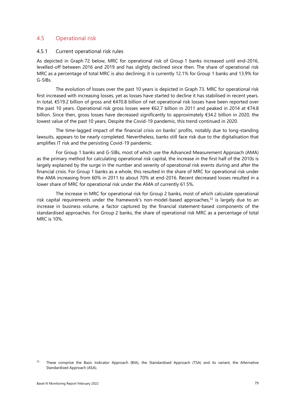## 4.5 Operational risk

#### 4.5.1 Current operational risk rules

As depicted in [Graph 72](#page-87-0) below, MRC for operational risk of Group 1 banks increased until end-2016, levelled-off between 2016 and 2019 and has slightly declined since then. The share of operational risk MRC as a percentage of total MRC is also declining; it is currently 12.1% for Group 1 banks and 13.9% for G-SIBs.

The evolution of losses over the past 10 years is depicted in [Graph 73.](#page-87-1) MRC for operational risk first increased with increasing losses, yet as losses have started to decline it has stabilised in recent years. In total, €519.2 billion of gross and €470.8 billion of net operational risk losses have been reported over the past 10 years. Operational risk gross losses were €62.7 billion in 2011 and peaked in 2014 at €74.8 billion. Since then, gross losses have decreased significantly to approximately €34.2 billion in 2020, the lowest value of the past 10 years. Despite the Covid-19 pandemic, this trend continued in 2020.

The time-lagged impact of the financial crisis on banks' profits, notably due to long-standing lawsuits, appears to be nearly completed. Nevertheless, banks still face risk due to the digitalisation that amplifies IT risk and the persisting Covid-19 pandemic.

For Group 1 banks and G-SIBs, most of which use the Advanced Measurement Approach (AMA) as the primary method for calculating operational risk capital, the increase in the first half of the 2010s is largely explained by the surge in the number and severity of operational risk events during and after the financial crisis. For Group 1 banks as a whole, this resulted in the share of MRC for operational risk under the AMA increasing from 60% in 2011 to about 70% at end-2016. Recent decreased losses resulted in a lower share of MRC for operational risk under the AMA of currently 61.5%.

The increase in MRC for operational risk for Group 2 banks, most of which calculate operational risk capital requirements under the framework's non-model-based approaches, $33$  is largely due to an increase in business volume, a factor captured by the financial statement-based components of the standardised approaches. For Group 2 banks, the share of operational risk MRC as a percentage of total MRC is 10%.

<span id="page-86-0"></span><sup>&</sup>lt;sup>33</sup> These comprise the Basic Indicator Approach (BIA), the Standardised Approach (TSA) and its variant, the Alternative Standardised Approach (ASA).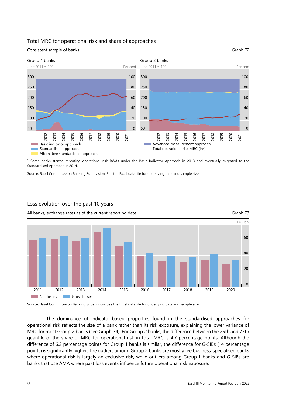#### <span id="page-87-0"></span>Total MRC for operational risk and share of approaches



1 Some banks started reporting operational risk RWAs under the Basic Indicator Approach in 2013 and eventually migrated to the Standardised Approach in 2014.

Source: Basel Committee on Banking Supervision. See the Excel data file for underlying data and sample size.

#### Loss evolution over the past 10 years

<span id="page-87-1"></span>All banks, exchange rates as of the current reporting date Graph 73



The dominance of indicator-based properties found in the standardised approaches for operational risk reflects the size of a bank rather than its risk exposure, explaining the lower variance of MRC for most Group 2 banks (se[e Graph 74\)](#page-88-0). For Group 2 banks, the difference between the 25th and 75th quantile of the share of MRC for operational risk in total MRC is 4.7 percentage points. Although the difference of 6.2 percentage points for Group 1 banks is similar, the difference for G-SIBs (14 percentage points) is significantly higher. The outliers among Group 2 banks are mostly fee business-specialised banks where operational risk is largely an exclusive risk, while outliers among Group 1 banks and G-SIBs are banks that use AMA where past loss events influence future operational risk exposure.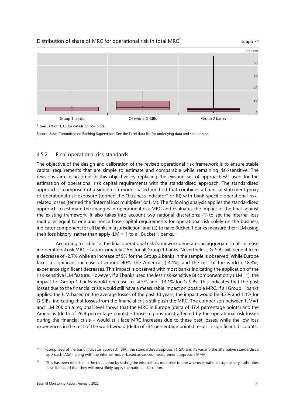

<span id="page-88-0"></span>



Source: Basel Committee on Banking Supervision. See the Excel data file for underlying data and sample size.

# 4.5.2 Final operational risk standards

The objective of the design and calibration of the revised operational risk framework is to ensure stable capital requirements that are simple to estimate and comparable while remaining risk-sensitive. The revisions aim to accomplish this objective by replacing the existing set of approaches<sup>34</sup> used for the estimation of operational risk capital requirements with the standardised approach. The standardised approach is comprised of a single non-model-based method that combines a financial statement proxy of operational risk exposure (termed the "business indicator" or BI) with bank-specific operational riskrelated losses (termed the "internal loss multiplier" or ILM). The following analysis applies the standardised approach to estimate the changes in operational risk MRC and evaluates the impact of the final against the existing framework. It also takes into account two national discretions: (1) to set the internal loss multiplier equal to one and hence base capital requirements for operational risk solely on the business indicator component for all banks in a jurisdiction; and (2) to have Bucket 1 banks measure their ILM using their loss history, rather than apply ILM = 1 to all Bucket 1 banks.<sup>[35](#page-88-2)</sup>

According t[o Table 12,](#page-89-0) the final operational risk framework generates an aggregate small increase in operational risk MRC of approximately 2.5% for all Group 1 banks. Nevertheless, G-SIBs will benefit from a decrease of -2.7% while an increase of 9% for the Group 2 banks in the sample is observed. While Europe faces a significant increase of around 40%, the Americas (-4.1%) and the rest of the world (-18.3%) experience significant decreases. This impact is observed with most banks indicating the application of the risk-sensitive ILM feature. However, if all banks used the less risk-sensitive BI component only (ILM=1), the impact for Group 1 banks would decrease to -4.5% and -13.1% for G-SIBs. This indicates that the past losses due to the financial crisis would still have a measurable impact on possible MRC. If all Group 1 banks applied the ILM based on the average losses of the past 10 years, the impact would be 8.3% and 1.1% for G-SIBs, indicating that losses from the financial crisis still push the MRC. The comparison between ILM=1 and ILM 20k on a regional level shows that the MRC in Europe (delta of 47.4 percentage points) and the Americas (delta of 26.8 percentage points) – those regions most affected by the operational risk losses during the financial crisis – would still face MRC increases due to these past losses, while the low loss experiences in the rest of the world would (delta of -34 percentage points) result in significant discounts.

<span id="page-88-1"></span><sup>&</sup>lt;sup>34</sup> Comprised of the basic indicator approach (BIA), the standardised approach (TSA) and its variant, the alternative standardised approach (ASA), along with the internal model-based advanced measurement approach (AMA).

<span id="page-88-2"></span><sup>&</sup>lt;sup>35</sup> This has been reflected in the calculation by setting the internal loss multiplier to one whenever national supervisory authorities have indicated that they will most likely apply the national discretion.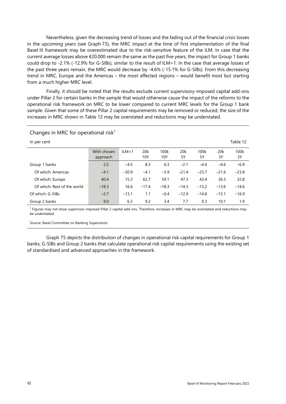Nevertheless, given the decreasing trend of losses and the fading out of the financial crisis losses in the upcoming years (see [Graph 73\)](#page-87-1), the MRC impact at the time of first implementation of the final Basel III framework may be overestimated due to the risk-sensitive feature of the ILM. In case that the current average losses above  $\epsilon$ 20,000 remain the same as the past five years, the impact for Group 1 banks could drop to -2.1% (-12.9% for G-SIBs), similar to the result of ILM=1. In the case that average losses of the past three years remain, the MRC would decrease by -4.6% (-15.1% for G-SIBs). From this decreasing trend in MRC, Europe and the Americas – the most affected regions – would benefit most but starting from a much higher MRC level.

Finally, it should be noted that the results exclude current supervisory-imposed capital add-ons under Pillar 2 for certain banks in the sample that would otherwise cause the impact of the reforms to the operational risk framework on MRC to be lower compared to current MRC levels for the Group 1 bank sample. Given that some of these Pillar 2 capital requirements may be removed or reduced, the size of the increases in MRC shown in [Table 12](#page-89-0) may be overstated and reductions may be understated.

| In per cent                 |                         |           |            |             |           |            |           | Table 12   |
|-----------------------------|-------------------------|-----------|------------|-------------|-----------|------------|-----------|------------|
|                             | With chosen<br>approach | $ILM = 1$ | 20k<br>10Y | 100k<br>10Y | 20k<br>5Υ | 100k<br>5Y | 20k<br>3Y | 100k<br>3Y |
| Group 1 banks               | 2.5                     | $-4.5$    | 8.3        | 6.3         | $-2.1$    | $-4.4$     | $-4.6$    | $-6.9$     |
| Of which: Americas          | $-4.1$                  | $-30.9$   | $-4.1$     | $-5.9$      | $-21.4$   | $-23.7$    | $-21.6$   | $-23.8$    |
| Of which: Europe            | 40.4                    | 15.3      | 62.7       | 59.1        | 47.3      | 43.4       | 36.5      | 32.8       |
| Of which: Rest of the world | $-18.3$                 | 16.6      | $-17.4$    | $-18.3$     | $-14.3$   | $-15.2$    | $-13.6$   | $-14.6$    |
| Of which: G-SIBs            | $-2.7$                  | $-13.1$   | 1.1        | $-0.4$      | $-12.9$   | $-14.8$    | $-15.1$   | $-16.9$    |
| Group 2 banks               | 9.0                     | 6.3       | 9.2        | 3.4         | 7.7       | 0.3        | 10.1      | 1.9        |

<span id="page-89-0"></span>Changes in MRC for operational risk<sup>1</sup>

<sup>1</sup> Figures may not show supervisor-imposed Pillar 2 capital add-ons. Therefore, increases in MRC may be overstated and reductions may be understated.

Source: Basel Committee on Banking Supervision.

[Graph 75](#page-90-0) depicts the distribution of changes in operational risk capital requirements for Group 1 banks, G-SIBs and Group 2 banks that calculate operational risk capital requirements using the existing set of standardised and advanced approaches in the framework.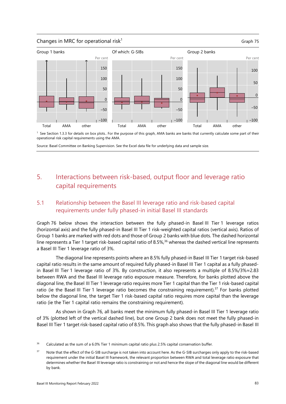#### <span id="page-90-0"></span>Changes in MRC for operational risk<sup>1</sup>  $\sim$  Graph 75



<sup>1</sup> See Section 1.3.3 for details on box plots.. For the purpose of this graph, AMA banks are banks that currently calculate some part of their operational risk capital requirements using the AMA.

Source: Basel Committee on Banking Supervision. See the Excel data file for underlying data and sample size.

# 5. Interactions between risk-based, output floor and leverage ratio capital requirements

# 5.1 Relationship between the Basel III leverage ratio and risk-based capital requirements under fully phased-in initial Basel III standards

[Graph 76](#page-91-0) below shows the interaction between the fully phased-in Basel III Tier 1 leverage ratios (horizontal axis) and the fully phased-in Basel III Tier 1 risk-weighted capital ratios (vertical axis). Ratios of Group 1 banks are marked with red dots and those of Group 2 banks with blue dots. The dashed horizontal line represents a Tier 1 target risk-based capital ratio of 8.5%,<sup>36</sup> whereas the dashed vertical line represents a Basel III Tier 1 leverage ratio of 3%.

The diagonal line represents points where an 8.5% fully phased-in Basel III Tier 1 target risk-based capital ratio results in the same amount of required fully phased-in Basel III Tier 1 capital as a fully phasedin Basel III Tier 1 leverage ratio of 3%. By construction, it also represents a multiple of 8.5%/3%≈2.83 between RWA and the Basel III leverage ratio exposure measure. Therefore, for banks plotted above the diagonal line, the Basel III Tier 1 leverage ratio requires more Tier 1 capital than the Tier 1 risk-based capital ratio (ie the Basel III Tier 1 leverage ratio becomes the constraining requirement). $37$  For banks plotted below the diagonal line, the target Tier 1 risk-based capital ratio requires more capital than the leverage ratio (ie the Tier 1 capital ratio remains the constraining requirement).

As shown in [Graph 76,](#page-91-0) all banks meet the minimum fully phased-in Basel III Tier 1 leverage ratio of 3% (plotted left of the vertical dashed line), but one Group 2 bank does not meet the fully phased-in Basel III Tier 1 target risk-based capital ratio of 8.5%. This graph also shows that the fully phased-in Basel III

<span id="page-90-1"></span><sup>&</sup>lt;sup>36</sup> Calculated as the sum of a 6.0% Tier 1 minimum capital ratio plus 2.5% capital conservation buffer.

<span id="page-90-2"></span><sup>&</sup>lt;sup>37</sup> Note that the effect of the G-SIB surcharge is not taken into account here. As the G-SIB surcharges only apply to the risk-based requirement under the initial Basel III framework, the relevant proportion between RWA and total leverage ratio exposure that determines whether the Basel III leverage ratio is constraining or not and hence the slope of the diagonal line would be different by bank.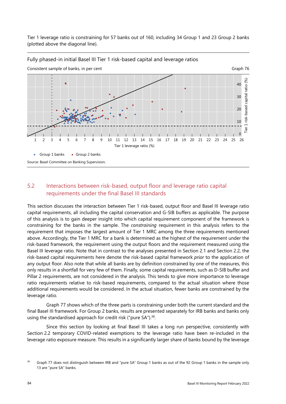Tier 1 leverage ratio is constraining for 57 banks out of 160, including 34 Group 1 and 23 Group 2 banks (plotted above the diagonal line).



#### <span id="page-91-0"></span>Fully phased-in initial Basel III Tier 1 risk-based capital and leverage ratios

# 5.2 Interactions between risk-based, output floor and leverage ratio capital requirements under the final Basel III standards

This section discusses the interaction between Tier 1 risk-based, output floor and Basel III leverage ratio capital requirements, all including the capital conservation and G-SIB buffers as applicable. The purpose of this analysis is to gain deeper insight into which capital requirement component of the framework is constraining for the banks in the sample. The *constraining* requirement in this analysis refers to the requirement that imposes the largest amount of Tier 1 MRC among the three requirements mentioned above. Accordingly, the Tier 1 MRC for a bank is determined as the highest of the requirement under the risk-based framework, the requirement using the output floors and the requirement measured using the Basel III leverage ratio. Note that in contrast to the analyses presented in Section 2.1 and Section 2.2, the risk-based capital requirements here denote the risk-based capital framework *prior* to the application of any output floor. Also note that while all banks are by definition constrained by one of the measures, this only results in a shortfall for very few of them. Finally, some capital requirements, such as D-SIB buffer and Pillar 2 requirements, are not considered in the analysis. This tends to give more importance to leverage ratio requirements relative to risk-based requirements, compared to the actual situation where those additional requirements would be considered. In the actual situation, fewer banks are constrained by the leverage ratio.

[Graph 77](#page-93-0) shows which of the three parts is constraining under both the current standard and the final Basel III framework. For Group 2 banks, results are presented separately for IRB banks and banks only using the standardised approach for credit risk ("pure SA").<sup>38</sup>.

Since this section by looking at final Basel III takes a long run perspective, consistently with Section 2.2 temporary COVID-related exemptions to the leverage ratio have been re-included in the leverage ratio exposure measure. This results in a significantly larger share of banks bound by the leverage

<span id="page-91-1"></span><sup>&</sup>lt;sup>38</sup> [Graph 77](#page-93-0) does not distinguish between IRB and "pure SA" Group 1 banks as out of the 92 Group 1 banks in the sample only 13 are "pure SA" banks.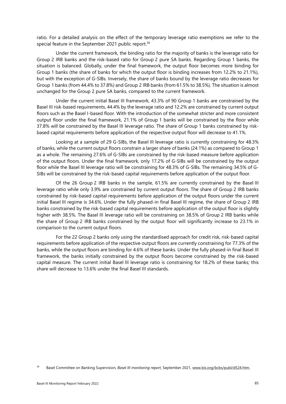ratio. For a detailed analysis on the effect of the temporary leverage ratio exemptions we refer to the special feature in the September 2021 public report.<sup>[39](#page-92-0)</sup>

Under the current framework, the binding ratio for the majority of banks is the leverage ratio for Group 2 IRB banks and the risk-based ratio for Group 2 pure SA banks. Regarding Group 1 banks, the situation is balanced. Globally, under the final framework, the output floor becomes more binding for Group 1 banks (the share of banks for which the output floor is binding increases from 12.2% to 21.1%), but with the exception of G-SIBs. Inversely, the share of banks bound by the leverage ratio decreases for Group 1 banks (from 44.4% to 37.8%) and Group 2 IRB banks (from 61.5% to 38.5%). The situation is almost unchanged for the Group 2 pure SA banks, compared to the current framework.

Under the current initial Basel III framework, 43.3% of 90 Group 1 banks are constrained by the Basel III risk-based requirements, 44.4% by the leverage ratio and 12.2% are constrained by current output floors such as the Basel I-based floor. With the introduction of the somewhat stricter and more consistent output floor under the final framework, 21.1% of Group 1 banks will be constrained by the floor while 37.8% will be constrained by the Basel III leverage ratio. The share of Group 1 banks constrained by riskbased capital requirements before application of the respective output floor will decrease to 41.1%.

Looking at a sample of 29 G-SIBs, the Basel III leverage ratio is currently constraining for 48.3% of banks, while the current output floors constrain a larger share of banks (24.1%) as compared to Group 1 as a whole. The remaining 27.6% of G-SIBs are constrained by the risk-based measure before application of the output floors. Under the final framework, only 17.2% of G-SIBs will be constrained by the output floor while the Basel III leverage ratio will be constraining for 48.3% of G-SIBs. The remaining 34.5% of G-SIBs will be constrained by the risk-based capital requirements before application of the output floor.

Of the 26 Group 2 IRB banks in the sample, 61.5% are currently constrained by the Basel III leverage ratio while only 3.9% are constrained by current output floors. The share of Group 2 IRB banks constrained by risk-based capital requirements before application of the output floors under the current initial Basel III regime is 34.6%. Under the fully phased-in final Basel III regime, the share of Group 2 IRB banks constrained by the risk-based capital requirements before application of the output floor is slightly higher with 38.5%. The Basel III leverage ratio will be constraining on 38.5% of Group 2 IRB banks while the share of Group 2 IRB banks constrained by the output floor will significantly increase to 23.1% in comparison to the current output floors.

For the 22 Group 2 banks only using the standardised approach for credit risk, risk-based capital requirements before application of the respective output floors are currently constraining for 77.3% of the banks, while the output floors are binding for 4.6% of these banks. Under the fully phased-in final Basel III framework, the banks initially constrained by the output floors become constrained by the risk-based capital measure. The current initial Basel III leverage ratio is constraining for 18.2% of these banks; this share will decrease to 13.6% under the final Basel III standards.

<span id="page-92-0"></span><sup>39</sup> Basel Committee on Banking Supervision, *Basel III monitoring report,* September 2021, [www.bis.org/bcbs/publ/d524.htm.](http://www.bis.org/bcbs/publ/d524.htm)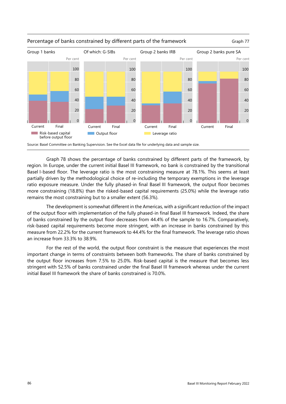

#### Percentage of banks constrained by different parts of the framework Graph 77

<span id="page-93-0"></span>

Source: Basel Committee on Banking Supervision. See the Excel data file for underlying data and sample size.

[Graph 78](#page-94-0) shows the percentage of banks constrained by different parts of the framework, by region. In Europe, under the current initial Basel III framework, no bank is constrained by the transitional Basel I-based floor. The leverage ratio is the most constraining measure at 78.1%. This seems at least partially driven by the methodological choice of re-including the temporary exemptions in the leverage ratio exposure measure. Under the fully phased-in final Basel III framework, the output floor becomes more constraining (18.8%) than the risked-based capital requirements (25.0%) while the leverage ratio remains the most constraining but to a smaller extent (56.3%).

The development is somewhat different in the Americas, with a significant reduction of the impact of the output floor with implementation of the fully phased-in final Basel III framework. Indeed, the share of banks constrained by the output floor decreases from 44.4% of the sample to 16.7%. Comparatively, risk-based capital requirements become more stringent, with an increase in banks constrained by this measure from 22.2% for the current framework to 44.4% for the final framework. The leverage ratio shows an increase from 33.3% to 38.9%.

For the rest of the world, the output floor constraint is the measure that experiences the most important change in terms of constraints between both frameworks. The share of banks constrained by the output floor increases from 7.5% to 25.0%. Risk-based capital is the measure that becomes less stringent with 52.5% of banks constrained under the final Basel III framework whereas under the current initial Basel III framework the share of banks constrained is 70.0%.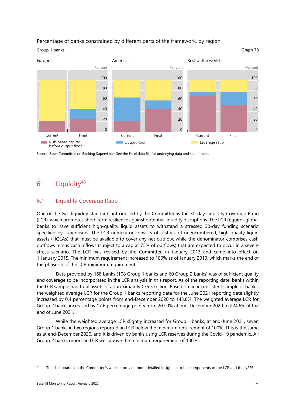

# <span id="page-94-0"></span>Percentage of banks constrained by different parts of the framework, by region

Source: Basel Committee on Banking Supervision. See the Excel data file for underlying data and sample size.

# 6. Liquidity $40$

# 6.1 Liquidity Coverage Ratio

One of the two liquidity standards introduced by the Committee is the 30-day Liquidity Coverage Ratio (LCR), which promotes short-term resilience against potential liquidity disruptions. The LCR requires global banks to have sufficient high-quality liquid assets to withstand a stressed 30-day funding scenario specified by supervisors. The LCR numerator consists of a stock of unencumbered, high-quality liquid assets (HQLAs) that must be available to cover any net outflow, while the denominator comprises cash outflows minus cash inflows (subject to a cap at 75% of outflows) that are expected to occur in a severe stress scenario. The LCR was revised by the Committee in January 2013 and came into effect on 1 January 2015. The minimum requirement increased to 100% as of January 2019, which marks the end of the phase-in of the LCR minimum requirement.

Data provided by 168 banks (108 Group 1 banks and 60 Group 2 banks) was of sufficient quality and coverage to be incorporated in the LCR analysis in this report. As of the reporting date, banks within the LCR sample had total assets of approximately €75.5 trillion. Based on an inconsistent sample of banks, the weighted average LCR for the Group 1 banks reporting data for the June 2021 reporting date slightly increased by 0.4 percentage points from end-December 2020 to 143.8%. The weighted average LCR for Group 2 banks increased by 17.6 percentage points from 207.0% at end-December 2020 to 224.6% at the end of June 2021.

While the weighted average LCR slightly increased for Group 1 banks, at end-June 2021, seven Group 1 banks in two regions reported an LCR below the minimum requirement of 100%. This is the same as at end-December 2020, and it is driven by banks using LCR reserves during the Covid-19 pandemic. All Group 2 banks report an LCR well above the minimum requirement of 100%.

<span id="page-94-1"></span><sup>&</sup>lt;sup>40</sup> The dashboards on the Committee's website provide more detailed insights into the components of the LCR and the NSFR.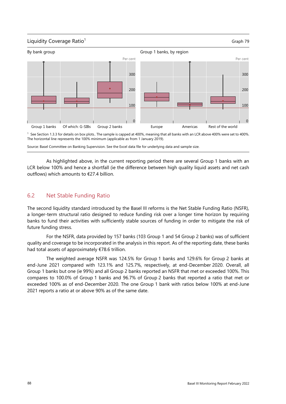



The horizontal line represents the 100% minimum (applicable as from 1 January 2019).

Source: Basel Committee on Banking Supervision. See the Excel data file for underlying data and sample size.

As highlighted above, in the current reporting period there are several Group 1 banks with an LCR below 100% and hence a shortfall (ie the difference between high quality liquid assets and net cash outflows) which amounts to €27.4 billion.

## 6.2 Net Stable Funding Ratio

The second liquidity standard introduced by the Basel III reforms is the Net Stable Funding Ratio (NSFR), a longer-term structural ratio designed to reduce funding risk over a longer time horizon by requiring banks to fund their activities with sufficiently stable sources of funding in order to mitigate the risk of future funding stress.

For the NSFR, data provided by 157 banks (103 Group 1 and 54 Group 2 banks) was of sufficient quality and coverage to be incorporated in the analysis in this report. As of the reporting date, these banks had total assets of approximately €78.6 trillion.

The weighted average NSFR was 124.5% for Group 1 banks and 129.6% for Group 2 banks at end-June 2021 compared with 123.1% and 125.7%, respectively, at end-December 2020. Overall, all Group 1 banks but one (ie 99%) and all Group 2 banks reported an NSFR that met or exceeded 100%. This compares to 100.0% of Group 1 banks and 96.7% of Group 2 banks that reported a ratio that met or exceeded 100% as of end-December 2020. The one Group 1 bank with ratios below 100% at end-June 2021 reports a ratio at or above 90% as of the same date.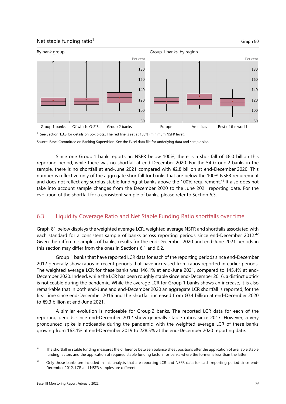

Since one Group 1 bank reports an NSFR below 100%, there is a shortfall of €8.0 billion this reporting period, while there was no shortfall at end-December 2020. For the 54 Group 2 banks in the sample, there is no shortfall at end-June 2021 compared with €2.8 billion at end-December 2020. This number is reflective only of the aggregate shortfall for banks that are below the 100% NSFR requirement and does not reflect any surplus stable funding at banks above the 100% requirement.<sup>41</sup> It also does not take into account sample changes from the December 2020 to the June 2021 reporting date. For the evolution of the shortfall for a consistent sample of banks, please refer to Section 6.3.

# 6.3 Liquidity Coverage Ratio and Net Stable Funding Ratio shortfalls over time

[Graph 81](#page-97-0) below displays the weighted average LCR, weighted average NSFR and shortfalls associated with each standard for a consistent sample of banks across reporting periods since end-December 2012.<sup>[42](#page-96-1)</sup> Given the different samples of banks, results for the end-December 2020 and end-June 2021 periods in this section may differ from the ones in Sections 6.1 and 6.2.

Group 1 banks that have reported LCR data for each of the reporting periods since end-December 2012 generally show ratios in recent periods that have increased from ratios reported in earlier periods. The weighted average LCR for these banks was 146.1% at end-June 2021, compared to 145.4% at end-December 2020. Indeed, while the LCR has been roughly stable since end-December 2016, a distinct uptick is noticeable during the pandemic. While the average LCR for Group 1 banks shows an increase, it is also remarkable that in both end-June and end-December 2020 an aggregate LCR shortfall is reported, for the first time since end-December 2016 and the shortfall increased from €0.4 billion at end-December 2020 to €9.3 billion at end-June 2021.

A similar evolution is noticeable for Group 2 banks. The reported LCR data for each of the reporting periods since end-December 2012 show generally stable ratios since 2017. However, a very pronounced spike is noticeable during the pandemic, with the weighted average LCR of these banks growing from 163.1% at end-December 2019 to 228.5% at the end-December 2020 reporting date.

<span id="page-96-0"></span><sup>&</sup>lt;sup>41</sup> The shortfall in stable funding measures the difference between balance sheet positions after the application of available stable funding factors and the application of required stable funding factors for banks where the former is less than the latter.

<span id="page-96-1"></span><sup>&</sup>lt;sup>42</sup> Only those banks are included in this analysis that are reporting LCR and NSFR data for each reporting period since end-December 2012. LCR and NSFR samples are different.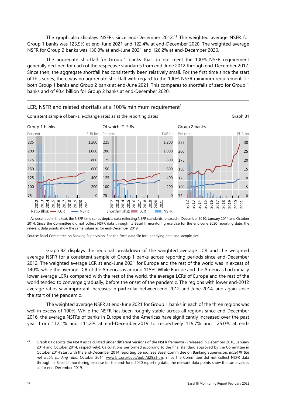The graph also displays NSFRs since end-December 2012.[43](#page-97-1) The weighted average NSFR for Group 1 banks was 123.9% at end-June 2021 and 122.4% at end-December 2020. The weighted average NSFR for Group 2 banks was 130.0% at end-June 2021 and 126.2% at end-December 2020.

The aggregate shortfall for Group 1 banks that do not meet the 100% NSFR requirement generally declined for each of the respective standards from end-June 2012 through end-December 2017. Since then, the aggregate shortfall has consistently been relatively small. For the first time since the start of this series, there was no aggregate shortfall with regard to the 100% NSFR minimum requirement for both Group 1 banks and Group 2 banks at end-June 2021. This compares to shortfalls of zero for Group 1 banks and of €0.4 billion for Group 2 banks at end-December 2020.

<span id="page-97-0"></span>

2014. Since the Committee did not collect NSFR data through its Basel III monitoring exercise for the end-June 2020 reporting date, the relevant data points show the same values as for end-December 2019.

Source: Basel Committee on Banking Supervision. See the Excel data file for underlying data and sample size.

[Graph 82](#page-98-0) displays the regional breakdown of the weighted average LCR and the weighted average NSFR for a consistent sample of Group 1 banks across reporting periods since end-December 2012. The weighted average LCR at end-June 2021 for Europe and the rest of the world was in excess of 140%, while the average LCR of the Americas is around 115%. While Europe and the Americas had initially lower average LCRs compared with the rest of the world, the average LCRs of Europe and the rest of the world tended to converge gradually, before the onset of the pandemic. The regions with lower end-2012 average ratios saw important increases in particular between end-2012 and June 2014, and again since the start of the pandemic.

The weighted average NSFR at end-June 2021 for Group 1 banks in each of the three regions was well in excess of 100%. While the NSFR has been roughly stable across all regions since end-December 2016, the average NSFRs of banks in Europe and the Americas have significantly increased over the past year from 112.1% and 111.2% at end-December 2019 to respectively 119.7% and 125.0% at end-

<span id="page-97-1"></span>[Graph 81](#page-97-0) depicts the NSFR as calculated under different versions of the NSFR framework (released in December 2010, January 2014 and October 2014, respectively). Calculations performed according to the final standard approved by the Committee in October 2014 start with the end-December 2014 reporting period. See Basel Committee on Banking Supervision, *Basel III: the net stable funding ratio*, October 2014, [www.bis.org/bcbs/publ/d295.htm.](http://www.bis.org/bcbs/publ/d295.htm) Since the Committee did not collect NSFR data through its Basel III monitoring exercise for the end-June 2020 reporting date, the relevant data points show the same values as for end-December 2019.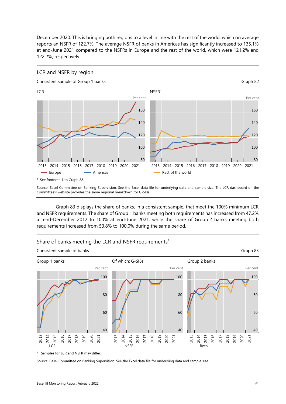December 2020. This is bringing both regions to a level in line with the rest of the world, which on average reports an NSFR of 122.7%. The average NSFR of banks in Americas has significantly increased to 135.1% at end-June 2021 compared to the NSFRs in Europe and the rest of the world, which were 121.2% and 122.2%, respectively.



<span id="page-98-0"></span>

Source: Basel Committee on Banking Supervision. See the Excel data file for underlying data and sample size. The LCR dashboard on the Committee's website provides the same regional breakdown for G-SIBs.

[Graph 83](#page-98-1) displays the share of banks, in a consistent sample, that meet the 100% minimum LCR and NSFR requirements. The share of Group 1 banks meeting both requirements has increased from 47.2% at end-December 2012 to 100% at end-June 2021, while the share of Group 2 banks meeting both requirements increased from 53.8% to 100.0% during the same period.



<span id="page-98-1"></span>Share of banks meeting the LCR and NSFR requirements<sup>1</sup>

Source: Basel Committee on Banking Supervision. See the Excel data file for underlying data and sample size.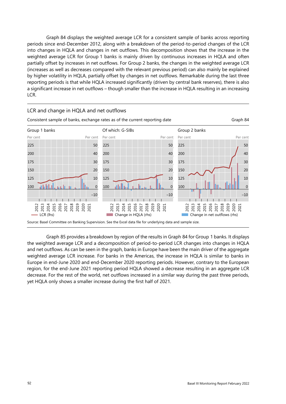[Graph 84](#page-99-0) displays the weighted average LCR for a consistent sample of banks across reporting periods since end-December 2012, along with a breakdown of the period-to-period changes of the LCR into changes in HQLA and changes in net outflows. This decomposition shows that the increase in the weighted average LCR for Group 1 banks is mainly driven by continuous increases in HQLA and often partially offset by increases in net outflows. For Group 2 banks, the changes in the weighted average LCR (increases as well as decreases compared with the relevant previous period) can also mainly be explained by higher volatility in HQLA, partially offset by changes in net outflows. Remarkable during the last three reporting periods is that while HQLA increased significantly (driven by central bank reserves), there is also a significant increase in net outflows – though smaller than the increase in HQLA resulting in an increasing LCR.

<span id="page-99-0"></span>

#### LCR and change in HQLA and net outflows

[Graph 85](#page-100-0) provides a breakdown by region of the results in [Graph 84 f](#page-99-0)or Group 1 banks. It displays the weighted average LCR and a decomposition of period-to-period LCR changes into changes in HQLA and net outflows. As can be seen in the graph, banks in Europe have been the main driver of the aggregate weighted average LCR increase. For banks in the Americas, the increase in HQLA is similar to banks in Europe in end-June 2020 and end-December 2020 reporting periods. However, contrary to the European region, for the end-June 2021 reporting period HQLA showed a decrease resulting in an aggregate LCR decrease. For the rest of the world, net outflows increased in a similar way during the past three periods, yet HQLA only shows a smaller increase during the first half of 2021.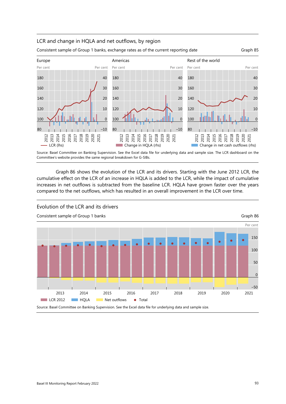#### LCR and change in HQLA and net outflows, by region



<span id="page-100-1"></span><span id="page-100-0"></span>



Source: Basel Committee on Banking Supervision. See the Excel data file for underlying data and sample size. The LCR dashboard on the Committee's website provides the same regional breakdown for G-SIBs.

[Graph 86](#page-100-1) shows the evolution of the LCR and its drivers. Starting with the June 2012 LCR, the cumulative effect on the LCR of an increase in HQLA is added to the LCR, while the impact of cumulative increases in net outflows is subtracted from the baseline LCR. HQLA have grown faster over the years compared to the net outflows, which has resulted in an overall improvement in the LCR over time.



Evolution of the LCR and its drivers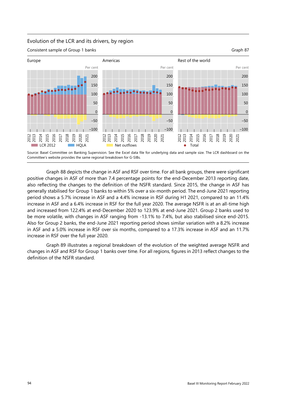# Evolution of the LCR and its drivers, by region





Source: Basel Committee on Banking Supervision. See the Excel data file for underlying data and sample size. The LCR dashboard on the Committee's website provides the same regional breakdown for G-SIBs.

[Graph 88](#page-102-0) depicts the change in ASF and RSF over time. For all bank groups, there were significant positive changes in ASF of more than 7.4 percentage points for the end-December 2013 reporting date, also reflecting the changes to the definition of the NSFR standard. Since 2015, the change in ASF has generally stabilised for Group 1 banks to within 5% over a six-month period. The end-June 2021 reporting period shows a 5.7% increase in ASF and a 4.4% increase in RSF during H1 2021, compared to an 11.4% increase in ASF and a 6.4% increase in RSF for the full year 2020. The average NSFR is at an all-time high and increased from 122.4% at end-December 2020 to 123.9% at end-June 2021. Group 2 banks used to be more volatile, with changes in ASF ranging from -13.1% to 7.4%, but also stabilised since end-2015. Also for Group 2 banks, the end-June 2021 reporting period shows similar variation with a 8.2% increase in ASF and a 5.0% increase in RSF over six months, compared to a 17.3% increase in ASF and an 11.7% increase in RSF over the full year 2020.

[Graph 89](#page-102-1) illustrates a regional breakdown of the evolution of the weighted average NSFR and changes in ASF and RSF for Group 1 banks over time. For all regions, figures in 2013 reflect changes to the definition of the NSFR standard.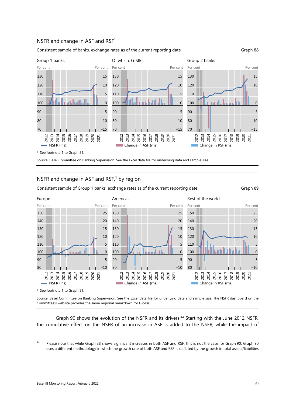#### NSFR and change in ASF and RSF<sup>1</sup>

Consistent sample of banks, exchange rates as of the current reporting date Graph 88

<span id="page-102-0"></span>



1 See footnote 1 t[o Graph 81.](#page-97-0) 

Source: Basel Committee on Banking Supervision. See the Excel data file for underlying data and sample size.

#### NSFR and change in ASF and  $RSF$ ,<sup>1</sup> by region

Consistent sample of Group 1 banks, exchange rates as of the current reporting date Graph 89

<span id="page-102-1"></span>



1 See footnote 1 t[o Graph 81.](#page-97-0) 

Source: Basel Committee on Banking Supervision. See the Excel data file for underlying data and sample size. The NSFR dashboard on the Committee's website provides the same regional breakdown for G-SIBs.

[Graph 90](#page-103-0) shows the evolution of the NSFR and its drivers.<sup>44</sup> Starting with the June 2012 NSFR, the cumulative effect on the NSFR of an increase in ASF is added to the NSFR, while the impact of

<span id="page-102-2"></span>Please note that while [Graph 88](#page-102-0) shows significant increases in both ASF and RSF, this is not the case for Graph 90. Graph 90 uses a different methodology in which the growth rate of both ASF and RSF is deflated by the growth in total assets/liabilities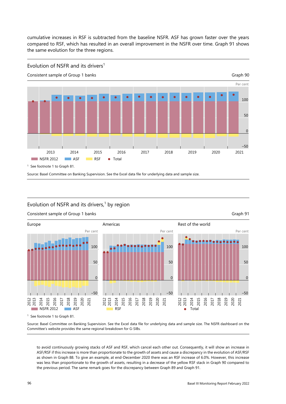<span id="page-103-0"></span>cumulative increases in RSF is subtracted from the baseline NSFR. ASF has grown faster over the years compared to RSF, which has resulted in an overall improvement in the NSFR over time. [Graph 91](#page-103-1) shows the same evolution for the three regions.



#### <span id="page-103-1"></span>Evolution of NSFR and its drivers, $1$  by region



#### Consistent sample of Group 1 banks Graph 91 and the Consistent sample of Graph 91

Source: Basel Committee on Banking Supervision. See the Excel data file for underlying data and sample size. The NSFR dashboard on the Committee's website provides the same regional breakdown for G-SIBs.

to avoid continuously growing stacks of ASF and RSF, which cancel each other out. Consequently, it will show an increase in ASF/RSF if this increase is more than proportionate to the growth of assets and cause a discrepancy in the evolution of ASF/RSF as shown i[n Graph 88.](#page-102-0) To give an example, at end-December 2020 there was an RSF increase of 6.0%. However, this increase was less than proportionate to the growth of assets, resulting in a decrease of the yellow RSF stack i[n Graph 90](#page-103-0) compared to the previous period. The same remark goes for the discrepancy betwee[n Graph 89 a](#page-102-1)n[d Graph 91.](#page-103-1)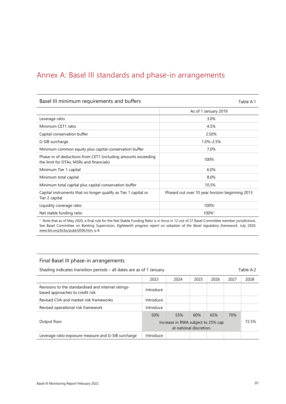# Annex A: Basel III standards and phase-in arrangements

#### Basel III minimum requirements and buffers Table A.1

|                                                                                                           | As of 1 January 2019                           |
|-----------------------------------------------------------------------------------------------------------|------------------------------------------------|
| Leverage ratio                                                                                            | 3.0%                                           |
| Minimum CET1 ratio                                                                                        | 4.5%                                           |
| Capital conservation buffer                                                                               | 2.50%                                          |
| G-SIB surcharge                                                                                           | 1.0%-2.5%                                      |
| Minimum common equity plus capital conservation buffer                                                    | 7.0%                                           |
| Phase-in of deductions from CET1 (including amounts exceeding<br>the limit for DTAs, MSRs and financials) | 100%                                           |
| Minimum Tier 1 capital                                                                                    | 6.0%                                           |
| Minimum total capital                                                                                     | 8.0%                                           |
| Minimum total capital plus capital conservation buffer                                                    | 10.5%                                          |
| Capital instruments that no longer qualify as Tier 1 capital or<br>Tier 2 capital                         | Phased out over 10 year horizon beginning 2013 |
| Liquidity coverage ratio                                                                                  | 100%                                           |
| Net stable funding ratio                                                                                  | 100% <sup>1</sup>                              |

1 Note that as of May 2020, a final rule for the Net Stable Funding Ratio is in force in 12 out of 27 Basel Committee member jurisdictions. See Basel Committee on Banking Supervision, *Eighteenth progress report on adoption of the Basel regulatory framework*, July 2020, [www.bis.org/bcbs/publ/d506.htm,](http://www.bis.org/bcbs/publ/d506.htm) p 8.

#### Final Basel III phase-in arrangements

Shading indicates transition periods – all dates are as of 1 January. The manuscriptum of the A.2

|                                                                                        | 2023      | 2024                                                          | 2025 | 2026 | 2027 | 2028  |
|----------------------------------------------------------------------------------------|-----------|---------------------------------------------------------------|------|------|------|-------|
| Revisions to the standardised and internal ratings-<br>based approaches to credit risk | Introduce |                                                               |      |      |      |       |
| Revised CVA and market risk frameworks                                                 | Introduce |                                                               |      |      |      |       |
| Revised operational risk framework                                                     | Introduce |                                                               |      |      |      |       |
|                                                                                        | 50%       | 55%                                                           | 60%  | 65%  | 70%  |       |
| Output floor                                                                           |           | Increase in RWA subject to 25% cap<br>at national discretion. |      |      |      | 72.5% |
| Leverage ratio exposure measure and G-SIB surcharge                                    | Introduce |                                                               |      |      |      |       |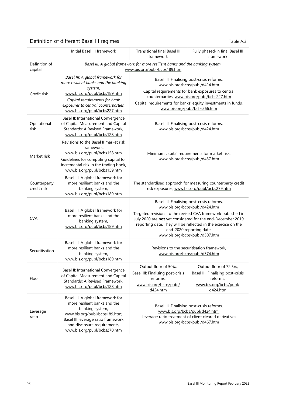| Definition of different Basel III regimes<br>Table A.3 |                                                                                                                                                                                                                               |                                                                                                                                                                                                                                                                                                                                           |                                                                                                                                                                           |  |  |  |
|--------------------------------------------------------|-------------------------------------------------------------------------------------------------------------------------------------------------------------------------------------------------------------------------------|-------------------------------------------------------------------------------------------------------------------------------------------------------------------------------------------------------------------------------------------------------------------------------------------------------------------------------------------|---------------------------------------------------------------------------------------------------------------------------------------------------------------------------|--|--|--|
|                                                        | Initial Basel III framework                                                                                                                                                                                                   | <b>Transitional final Basel III</b><br>framework                                                                                                                                                                                                                                                                                          | Fully phased-in final Basel III<br>framework                                                                                                                              |  |  |  |
| Definition of<br>capital                               | Basel III: A global framework for more resilient banks and the banking system,<br>www.bis.org/publ/bcbs189.htm                                                                                                                |                                                                                                                                                                                                                                                                                                                                           |                                                                                                                                                                           |  |  |  |
| Credit risk                                            | Basel III: A global framework for<br>more resilient banks and the banking<br>system,<br>www.bis.org/publ/bcbs189.htm<br>Capital requirements for bank<br>exposures to central counterparties,<br>www.bis.org/publ/bcbs227.htm | Basel III: Finalising post-crisis reforms,<br>www.bis.org/bcbs/publ/d424.htm<br>Capital requirements for bank exposures to central<br>counterparties, www.bis.org/publ/bcbs227.htm<br>Capital requirements for banks' equity investments in funds,<br>www.bis.org/publ/bcbs266.htm                                                        |                                                                                                                                                                           |  |  |  |
| Operational<br>risk                                    | Basel II: International Convergence<br>of Capital Measurement and Capital<br>Standards: A Revised Framework,<br>www.bis.org/publ/bcbs128.htm                                                                                  | Basel III: Finalising post-crisis reforms,<br>www.bis.org/bcbs/publ/d424.htm                                                                                                                                                                                                                                                              |                                                                                                                                                                           |  |  |  |
| Market risk                                            | Revisions to the Basel II market risk<br>framework,<br>www.bis.org/publ/bcbs158.htm<br>Guidelines for computing capital for<br>incremental risk in the trading book,<br>www.bis.org/publ/bcbs159.htm                          | Minimum capital requirements for market risk,<br>www.bis.org/bcbs/publ/d457.htm                                                                                                                                                                                                                                                           |                                                                                                                                                                           |  |  |  |
| Counterparty<br>credit risk                            | Basel III: A global framework for<br>more resilient banks and the<br>banking system,<br>www.bis.org/publ/bcbs189.htm                                                                                                          | The standardised approach for measuring counterparty credit<br>risk exposures, www.bis.org/publ/bcbs279.htm                                                                                                                                                                                                                               |                                                                                                                                                                           |  |  |  |
| <b>CVA</b>                                             | Basel III: A global framework for<br>more resilient banks and the<br>banking system,<br>www.bis.org/publ/bcbs189.htm                                                                                                          | Basel III: Finalising post-crisis reforms,<br>www.bis.org/bcbs/publ/d424.htm<br>Targeted revisions to the revised CVA framework published in<br>July 2020 are not yet considered for the end-December 2019<br>reporting date. They will be reflected in the exercise on the<br>end-2020 reporting date.<br>www.bis.org/bcbs/publ/d507.htm |                                                                                                                                                                           |  |  |  |
| Securitisation                                         | Basel III: A global framework for<br>more resilient banks and the<br>banking system,<br>www.bis.org/publ/bcbs189.htm                                                                                                          | Revisions to the securitisation framework,<br>www.bis.org/bcbs/publ/d374.htm                                                                                                                                                                                                                                                              |                                                                                                                                                                           |  |  |  |
| Floor                                                  | Basel II: International Convergence<br>of Capital Measurement and Capital<br>Standards: A Revised Framework,<br>www.bis.org/publ/bcbs128.htm                                                                                  | Output floor of 50%,<br>Basel III: Finalising post-crisis<br>reforms,<br>www.bis.org/bcbs/publ/<br>d424.htm                                                                                                                                                                                                                               | Output floor of 72.5%,<br>Basel III: Finalising post-crisis<br>reforms,<br>www.bis.org/bcbs/publ/<br>d424.htm                                                             |  |  |  |
| Leverage<br>ratio                                      | Basel III: A global framework for<br>more resilient banks and the<br>banking system,<br>www.bis.org/publ/bcbs189.htm;<br>Basel III leverage ratio framework<br>and disclosure requirements,<br>www.bis.org/publ/bcbs270.htm   |                                                                                                                                                                                                                                                                                                                                           | Basel III: Finalising post-crisis reforms,<br>www.bis.org/bcbs/publ/d424.htm;<br>Leverage ratio treatment of client cleared derivatives<br>www.bis.org/bcbs/publ/d467.htm |  |  |  |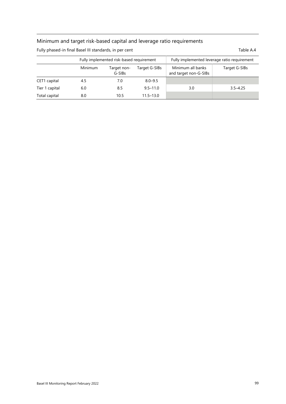# Minimum and target risk-based capital and leverage ratio requirements

| Fully phased-in final Basel III standards, in per cent<br>Table A.4 |         |                                          |                                              |                                            |               |  |
|---------------------------------------------------------------------|---------|------------------------------------------|----------------------------------------------|--------------------------------------------|---------------|--|
|                                                                     |         | Fully implemented risk-based requirement | Fully implemented leverage ratio requirement |                                            |               |  |
|                                                                     | Minimum | Target non-<br>G-SIBs                    | Target G-SIBs                                | Minimum all banks<br>and target non-G-SIBs | Target G-SIBs |  |
| CET1 capital                                                        | 4.5     | 7.0                                      | $8.0 - 9.5$                                  |                                            |               |  |
| Tier 1 capital                                                      | 6.0     | 8.5                                      | $9.5 - 11.0$                                 | 3.0                                        | $3.5 - 4.25$  |  |

Total capital **8.0** 10.5 11.5–13.0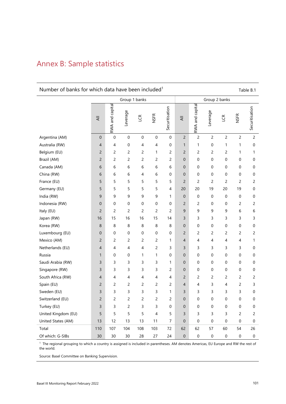## Annex B: Sample statistics

### Number of banks for which data have been included<sup>1</sup>  $\blacksquare$  Table B.1

|                     | Group 1 banks  |                  |                  |                | Group 2 banks |                |                |                  |                  |                |                  |                |
|---------------------|----------------|------------------|------------------|----------------|---------------|----------------|----------------|------------------|------------------|----------------|------------------|----------------|
|                     | ₹              | RWA and capital  | Leverage         | LCR            | <b>NSFR</b>   | Securitisation | $\equiv$       | RWA and capital  | Leverage         | LCR            | <b>NSFR</b>      | Securitisation |
| Argentina (AM)      | 0              | $\boldsymbol{0}$ | $\pmb{0}$        | $\mbox{O}$     | 0             | $\mathbf 0$    | 2              | $\overline{c}$   | $\overline{c}$   | $\overline{c}$ | 2                | $\overline{c}$ |
| Australia (RW)      | 4              | 4                | $\boldsymbol{0}$ | 4              | 4             | $\mathbf 0$    | $\mathbf{1}$   | 1                | $\boldsymbol{0}$ | 1              | 1                | 0              |
| Belgium (EU)        | $\overline{2}$ | $\overline{c}$   | $\overline{c}$   | 2              | 1             | 2              | 2              | 2                | $\overline{c}$   | $\overline{c}$ | 1                | 1              |
| Brazil (AM)         | $\overline{c}$ | 2                | $\overline{c}$   | 2              | 2             | 2              | 0              | 0                | 0                | 0              | 0                | 0              |
| Canada (AM)         | 6              | 6                | 6                | 6              | 6             | 6              | $\overline{0}$ | 0                | 0                | 0              | 0                | 0              |
| China (RW)          | 6              | 6                | 6                | 4              | 6             | 0              | $\overline{0}$ | 0                | 0                | 0              | 0                | 0              |
| France (EU)         | 5              | 5                | 5                | 5              | 5             | 5              | $\overline{2}$ | 2                | 2                | $\overline{c}$ | $\overline{c}$   | 2              |
| Germany (EU)        | 5              | 5                | 5                | 5              | 5             | 4              | 20             | 20               | 19               | 20             | 19               | 0              |
| India (RW)          | 9              | 9                | 9                | 9              | 9             | 1              | 0              | $\boldsymbol{0}$ | $\boldsymbol{0}$ | $\mathbf 0$    | $\pmb{0}$        | $\mathbf 0$    |
| Indonesia (RW)      | $\mathbf 0$    | 0                | 0                | 0              | 0             | 0              | $\overline{c}$ | $\overline{c}$   | 0                | 0              | 2                | 2              |
| Italy (EU)          | $\overline{2}$ | $\overline{c}$   | $\overline{c}$   | $\overline{c}$ | 2             | $\overline{c}$ | 9              | 9                | 9                | 9              | 6                | 6              |
| Japan (RW)          | 16             | 15               | 16               | 16             | 15            | 14             | 3              | 3                | 3                | 3              | 3                | 3              |
| Korea (RW)          | 8              | 8                | 8                | 8              | 8             | 8              | 0              | 0                | 0                | 0              | 0                | 0              |
| Luxembourg (EU)     | $\mathbf 0$    | $\mathbf 0$      | $\mathbf 0$      | 0              | 0             | 0              | $\overline{2}$ | 2                | 2                | 2              | 2                | 2              |
| Mexico (AM)         | $\overline{c}$ | 2                | 2                | 2              | 2             | 1              | 4              | 4                | 4                | 4              | 4                | 1              |
| Netherlands (EU)    | $\overline{4}$ | 4                | 4                | 4              | 2             | 3              | 3              | 3                | 3                | 3              | 3                | 0              |
| Russia              | 1              | $\mathbf 0$      | 0                | 1              | 1             | 0              | 0              | 0                | 0                | 0              | 0                | 0              |
| Saudi Arabia (RW)   | 3              | 3                | 3                | 3              | 3             | 1              | 0              | 0                | 0                | 0              | 0                | 0              |
| Singapore (RW)      | 3              | 3                | 3                | 3              | 3             | 2              | $\mathbf 0$    | 0                | 0                | 0              | 0                | 0              |
| South Africa (RW)   | 4              | 4                | 4                | 4              | 4             | 4              | 2              | 2                | $\overline{c}$   | 2              | 2                | 2              |
| Spain (EU)          | $\overline{c}$ | 2                | $\overline{c}$   | 2              | 2             | 2              | 4              | 4                | 3                | 4              | 2                | 3              |
| Sweden (EU)         | 3              | 3                | 3                | 3              | 3             | 1              | 3              | 3                | 3                | 3              | 3                | 0              |
| Switzerland (EU)    | $\overline{c}$ | 2                | $\overline{c}$   | 2              | 2             | 2              | 0              | 0                | 0                | 0              | $\boldsymbol{0}$ | 0              |
| Turkey (EU)         | 3              | 3                | $\overline{c}$   | 3              | 3             | 0              | $\mathbf 0$    | 0                | $\boldsymbol{0}$ | $\overline{0}$ | $\boldsymbol{0}$ | 0              |
| United Kingdom (EU) | 5              | 5                | 5                | 5              | 4             | 5              | 3              | 3                | 3                | 3              | 2                | 2              |
| United States (AM)  | 13             | 12               | 13               | 13             | 11            | 7              | $\mathbf 0$    | 0                | 0                | 0              | 0                | 0              |
| Total               | 110            | 107              | 104              | 108            | 103           | 72             | 62             | 62               | 57               | 60             | 54               | 26             |
| Of which: G-SIBs    | 30             | 30               | 30               | 28             | 27            | 24             | $\mathbf 0$    | 0                | 0                | $\mathbf 0$    | 0                | 0              |

<sup>1</sup> The regional grouping to which a country is assigned is included in parentheses. AM denotes Americas, EU Europe and RW the rest of the world.

Source: Basel Committee on Banking Supervision.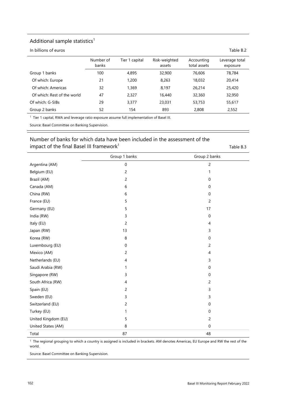#### Additional sample statistics $1$

In billions of euros Table B.2

|                             | Number of<br>banks | Tier 1 capital | Risk-weighted<br>assets | Accounting<br>total assets | Leverage total<br>exposure |
|-----------------------------|--------------------|----------------|-------------------------|----------------------------|----------------------------|
| Group 1 banks               | 100                | 4,895          | 32,900                  | 76,606                     | 78,784                     |
| Of which: Europe            | 21                 | 1,200          | 8,263                   | 18,032                     | 20,414                     |
| Of which: Americas          | 32                 | 1,369          | 8,197                   | 26,214                     | 25,420                     |
| Of which: Rest of the world | 47                 | 2,327          | 16,440                  | 32,360                     | 32,950                     |
| Of which: G-SIBs            | 29                 | 3,377          | 23,031                  | 53,753                     | 55,617                     |
| Group 2 banks               | 52                 | 154            | 893                     | 2,808                      | 2,552                      |

<sup>1</sup> Tier 1 capital, RWA and leverage ratio exposure assume full implementation of Basel III.

Source: Basel Committee on Banking Supervision.

#### Number of banks for which data have been included in the assessment of the impact of the final Basel III framework<sup>1</sup>  $\blacksquare$  Table B.3

|                     | Group 1 banks            | Group 2 banks    |
|---------------------|--------------------------|------------------|
| Argentina (AM)      | $\boldsymbol{0}$         | $\overline{c}$   |
| Belgium (EU)        | $\overline{c}$           | 1                |
| Brazil (AM)         | $\overline{c}$           | $\mathbf 0$      |
| Canada (AM)         | 6                        | $\mathbf 0$      |
| China (RW)          | 6                        | $\mathbf 0$      |
| France (EU)         | 5                        | $\overline{c}$   |
| Germany (EU)        | 5                        | 17               |
| India (RW)          | 3                        | $\boldsymbol{0}$ |
| Italy (EU)          | $\overline{c}$           | 4                |
| Japan (RW)          | 13                       | 3                |
| Korea (RW)          | 8                        | $\mathbf 0$      |
| Luxembourg (EU)     | $\pmb{0}$                | $\overline{c}$   |
| Mexico (AM)         | $\overline{c}$           | $\overline{4}$   |
| Netherlands (EU)    | $\overline{\mathcal{A}}$ | 3                |
| Saudi Arabia (RW)   | 1                        | $\mathbf 0$      |
| Singapore (RW)      | 3                        | $\mathbf 0$      |
| South Africa (RW)   | 4                        | $\overline{c}$   |
| Spain (EU)          | 2                        | 3                |
| Sweden (EU)         | 3                        | 3                |
| Switzerland (EU)    | 2                        | $\mathbf 0$      |
| Turkey (EU)         | 1                        | $\mathbf 0$      |
| United Kingdom (EU) | 5                        | $\overline{c}$   |
| United States (AM)  | 8                        | $\boldsymbol{0}$ |
| Total               | 87                       | 48               |

<sup>1</sup> The regional grouping to which a country is assigned is included in brackets. AM denotes Americas, EU Europe and RW the rest of the world.

Source: Basel Committee on Banking Supervision.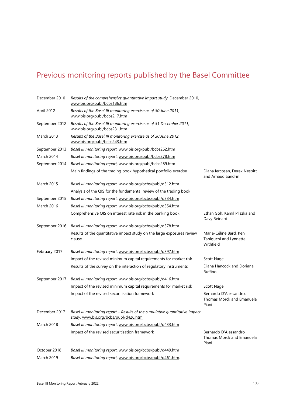# Previous monitoring reports published by the Basel Committee

| December 2010     | Results of the comprehensive quantitative impact study, December 2010,<br>www.bis.org/publ/bcbs186.htm               |                                                               |
|-------------------|----------------------------------------------------------------------------------------------------------------------|---------------------------------------------------------------|
| April 2012        | Results of the Basel III monitoring exercise as of 30 June 2011,<br>www.bis.org/publ/bcbs217.htm                     |                                                               |
| September 2012    | Results of the Basel III monitoring exercise as of 31 December 2011,<br>www.bis.org/publ/bcbs231.htm                 |                                                               |
| <b>March 2013</b> | Results of the Basel III monitoring exercise as of 30 June 2012,<br>www.bis.org/publ/bcbs243.htm                     |                                                               |
| September 2013    | Basel III monitoring report, www.bis.org/publ/bcbs262.htm                                                            |                                                               |
| March 2014        | Basel III monitoring report, www.bis.org/publ/bcbs278.htm                                                            |                                                               |
| September 2014    | Basel III monitoring report, www.bis.org/publ/bcbs289.htm                                                            |                                                               |
|                   | Main findings of the trading book hypothetical portfolio exercise                                                    | Diana Iercosan, Derek Nesbitt<br>and Arnaud Sandrin           |
| <b>March 2015</b> | Basel III monitoring report, www.bis.org/bcbs/publ/d312.htm                                                          |                                                               |
|                   | Analysis of the QIS for the fundamental review of the trading book                                                   |                                                               |
| September 2015    | Basel III monitoring report, www.bis.org/bcbs/publ/d334.htm                                                          |                                                               |
| March 2016        | Basel III monitoring report, www.bis.org/bcbs/publ/d354.htm                                                          |                                                               |
|                   | Comprehensive QIS on interest rate risk in the banking book                                                          | Ethan Goh, Kamil Pliszka and<br>Davy Reinard                  |
| September 2016    | Basel III monitoring report, www.bis.org/bcbs/publ/d378.htm                                                          |                                                               |
|                   | Results of the quantitative impact study on the large exposures review<br>clause                                     | Marie-Céline Bard, Ken<br>Taniguchi and Lynnette<br>Withfield |
| February 2017     | Basel III monitoring report, www.bis.org/bcbs/publ/d397.htm                                                          |                                                               |
|                   | Impact of the revised minimum capital requirements for market risk                                                   | Scott Nagel                                                   |
|                   | Results of the survey on the interaction of regulatory instruments                                                   | Diana Hancock and Doriana<br>Ruffino                          |
| September 2017    | Basel III monitoring report, www.bis.org/bcbs/publ/d416.htm                                                          |                                                               |
|                   | Impact of the revised minimum capital requirements for market risk                                                   | Scott Nagel                                                   |
|                   | Impact of the revised securitisation framework                                                                       | Bernardo D'Alessandro,<br>Thomas Morck and Emanuela<br>Piani  |
| December 2017     | Basel III monitoring report - Results of the cumulative quantitative impact<br>study, www.bis.org/bcbs/publ/d426.htm |                                                               |
| March 2018        | Basel III monitoring report, www.bis.org/bcbs/publ/d433.htm                                                          |                                                               |
|                   | Impact of the revised securitisation framework                                                                       | Bernardo D'Alessandro,<br>Thomas Morck and Emanuela<br>Piani  |
| October 2018      | Basel III monitoring report, www.bis.org/bcbs/publ/d449.htm                                                          |                                                               |
| March 2019        | Basel III monitoring report, www.bis.org/bcbs/publ/d461.htm.                                                         |                                                               |